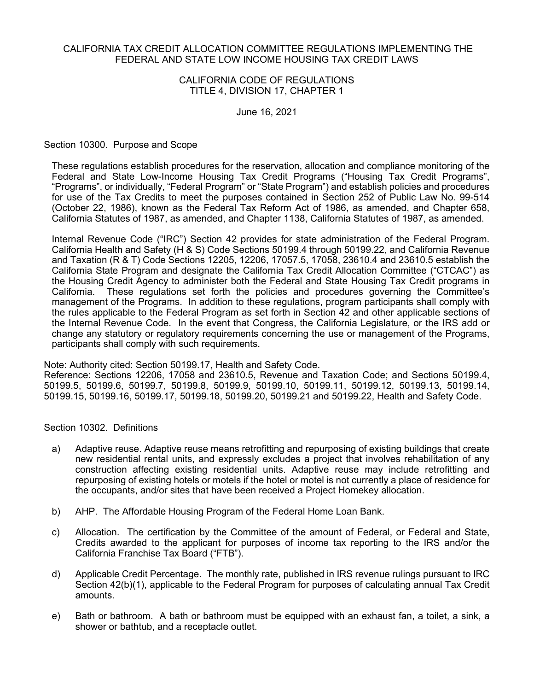## CALIFORNIA TAX CREDIT ALLOCATION COMMITTEE REGULATIONS IMPLEMENTING THE FEDERAL AND STATE LOW INCOME HOUSING TAX CREDIT LAWS

# CALIFORNIA CODE OF REGULATIONS TITLE 4, DIVISION 17, CHAPTER 1

June 16, 2021

Section 10300. Purpose and Scope

These regulations establish procedures for the reservation, allocation and compliance monitoring of the Federal and State Low-Income Housing Tax Credit Programs ("Housing Tax Credit Programs", "Programs", or individually, "Federal Program" or "State Program") and establish policies and procedures for use of the Tax Credits to meet the purposes contained in Section 252 of Public Law No. 99-514 (October 22, 1986), known as the Federal Tax Reform Act of 1986, as amended, and Chapter 658, California Statutes of 1987, as amended, and Chapter 1138, California Statutes of 1987, as amended.

Internal Revenue Code ("IRC") Section 42 provides for state administration of the Federal Program. California Health and Safety (H & S) Code Sections 50199.4 through 50199.22, and California Revenue and Taxation (R & T) Code Sections 12205, 12206, 17057.5, 17058, 23610.4 and 23610.5 establish the California State Program and designate the California Tax Credit Allocation Committee ("CTCAC") as the Housing Credit Agency to administer both the Federal and State Housing Tax Credit programs in California. These regulations set forth the policies and procedures governing the Committee's management of the Programs. In addition to these regulations, program participants shall comply with the rules applicable to the Federal Program as set forth in Section 42 and other applicable sections of the Internal Revenue Code. In the event that Congress, the California Legislature, or the IRS add or change any statutory or regulatory requirements concerning the use or management of the Programs, participants shall comply with such requirements.

Note: Authority cited: Section 50199.17, Health and Safety Code.

Reference: Sections 12206, 17058 and 23610.5, Revenue and Taxation Code; and Sections 50199.4, 50199.5, 50199.6, 50199.7, 50199.8, 50199.9, 50199.10, 50199.11, 50199.12, 50199.13, 50199.14, 50199.15, 50199.16, 50199.17, 50199.18, 50199.20, 50199.21 and 50199.22, Health and Safety Code.

Section 10302. Definitions

- a) Adaptive reuse. Adaptive reuse means retrofitting and repurposing of existing buildings that create new residential rental units, and expressly excludes a project that involves rehabilitation of any construction affecting existing residential units. Adaptive reuse may include retrofitting and repurposing of existing hotels or motels if the hotel or motel is not currently a place of residence for the occupants, and/or sites that have been received a Project Homekey allocation.
- b) AHP. The Affordable Housing Program of the Federal Home Loan Bank.
- c) Allocation. The certification by the Committee of the amount of Federal, or Federal and State, Credits awarded to the applicant for purposes of income tax reporting to the IRS and/or the California Franchise Tax Board ("FTB").
- d) Applicable Credit Percentage. The monthly rate, published in IRS revenue rulings pursuant to IRC Section 42(b)(1), applicable to the Federal Program for purposes of calculating annual Tax Credit amounts.
- e) Bath or bathroom. A bath or bathroom must be equipped with an exhaust fan, a toilet, a sink, a shower or bathtub, and a receptacle outlet.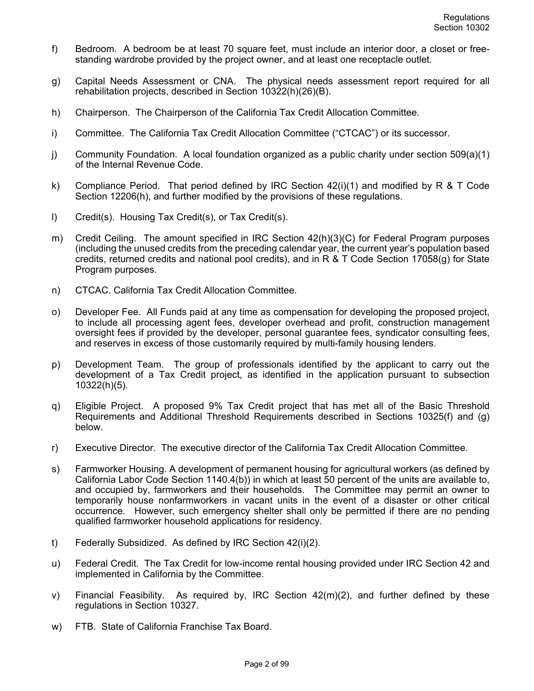- f) Bedroom. A bedroom be at least 70 square feet, must include an interior door, a closet or freestanding wardrobe provided by the project owner, and at least one receptacle outlet.
- g) Capital Needs Assessment or CNA. The physical needs assessment report required for all rehabilitation projects, described in Section 10322(h)(26)(B).
- h) Chairperson. The Chairperson of the California Tax Credit Allocation Committee.
- i) Committee. The California Tax Credit Allocation Committee ("CTCAC") or its successor.
- j) Community Foundation. A local foundation organized as a public charity under section 509(a)(1) of the Internal Revenue Code.
- k) Compliance Period. That period defined by IRC Section  $42(i)(1)$  and modified by R & T Code Section 12206(h), and further modified by the provisions of these regulations.
- l) Credit(s). Housing Tax Credit(s), or Tax Credit(s).
- m) Credit Ceiling. The amount specified in IRC Section 42(h)(3)(C) for Federal Program purposes (including the unused credits from the preceding calendar year, the current year's population based credits, returned credits and national pool credits), and in R & T Code Section 17058(g) for State Program purposes.
- n) CTCAC. California Tax Credit Allocation Committee.
- o) Developer Fee. All Funds paid at any time as compensation for developing the proposed project, to include all processing agent fees, developer overhead and profit, construction management oversight fees if provided by the developer, personal guarantee fees, syndicator consulting fees, and reserves in excess of those customarily required by multi-family housing lenders.
- p) Development Team. The group of professionals identified by the applicant to carry out the development of a Tax Credit project, as identified in the application pursuant to subsection 10322(h)(5).
- q) Eligible Project. A proposed 9% Tax Credit project that has met all of the Basic Threshold Requirements and Additional Threshold Requirements described in Sections 10325(f) and (g) below.
- r) Executive Director. The executive director of the California Tax Credit Allocation Committee.
- s) Farmworker Housing. A development of permanent housing for agricultural workers (as defined by California Labor Code Section 1140.4(b)) in which at least 50 percent of the units are available to, and occupied by, farmworkers and their households. The Committee may permit an owner to temporarily house nonfarmworkers in vacant units in the event of a disaster or other critical occurrence. However, such emergency shelter shall only be permitted if there are no pending qualified farmworker household applications for residency.
- t) Federally Subsidized. As defined by IRC Section 42(i)(2).
- u) Federal Credit. The Tax Credit for low-income rental housing provided under IRC Section 42 and implemented in California by the Committee.
- v) Financial Feasibility. As required by, IRC Section  $42(m)(2)$ , and further defined by these regulations in Section 10327.
- w) FTB. State of California Franchise Tax Board.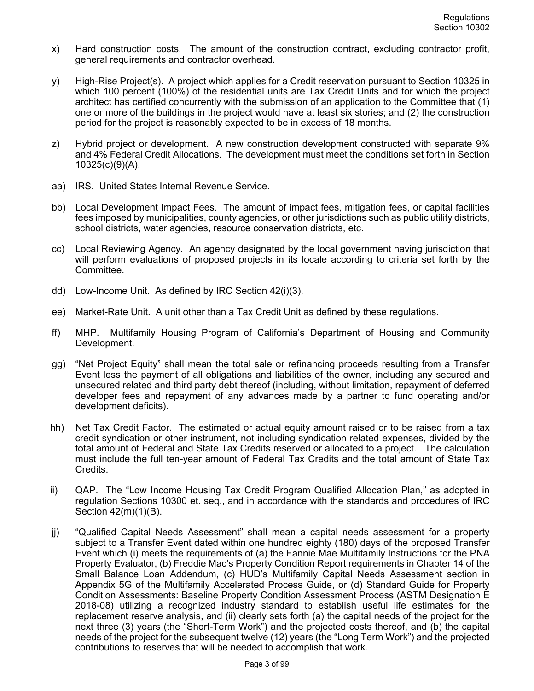- x) Hard construction costs. The amount of the construction contract, excluding contractor profit, general requirements and contractor overhead.
- y) High-Rise Project(s). A project which applies for a Credit reservation pursuant to Section 10325 in which 100 percent (100%) of the residential units are Tax Credit Units and for which the project architect has certified concurrently with the submission of an application to the Committee that (1) one or more of the buildings in the project would have at least six stories; and (2) the construction period for the project is reasonably expected to be in excess of 18 months.
- z) Hybrid project or development. A new construction development constructed with separate 9% and 4% Federal Credit Allocations. The development must meet the conditions set forth in Section 10325(c)(9)(A).
- aa) IRS. United States Internal Revenue Service.
- bb) Local Development Impact Fees. The amount of impact fees, mitigation fees, or capital facilities fees imposed by municipalities, county agencies, or other jurisdictions such as public utility districts, school districts, water agencies, resource conservation districts, etc.
- cc) Local Reviewing Agency. An agency designated by the local government having jurisdiction that will perform evaluations of proposed projects in its locale according to criteria set forth by the Committee.
- dd) Low-Income Unit. As defined by IRC Section 42(i)(3).
- ee) Market-Rate Unit. A unit other than a Tax Credit Unit as defined by these regulations.
- ff) MHP. Multifamily Housing Program of California's Department of Housing and Community Development.
- gg) "Net Project Equity" shall mean the total sale or refinancing proceeds resulting from a Transfer Event less the payment of all obligations and liabilities of the owner, including any secured and unsecured related and third party debt thereof (including, without limitation, repayment of deferred developer fees and repayment of any advances made by a partner to fund operating and/or development deficits).
- hh) Net Tax Credit Factor. The estimated or actual equity amount raised or to be raised from a tax credit syndication or other instrument, not including syndication related expenses, divided by the total amount of Federal and State Tax Credits reserved or allocated to a project. The calculation must include the full ten-year amount of Federal Tax Credits and the total amount of State Tax Credits.
- ii) QAP. The "Low Income Housing Tax Credit Program Qualified Allocation Plan," as adopted in regulation Sections 10300 et. seq., and in accordance with the standards and procedures of IRC Section 42(m)(1)(B).
- jj) "Qualified Capital Needs Assessment" shall mean a capital needs assessment for a property subject to a Transfer Event dated within one hundred eighty (180) days of the proposed Transfer Event which (i) meets the requirements of (a) the Fannie Mae Multifamily Instructions for the PNA Property Evaluator, (b) Freddie Mac's Property Condition Report requirements in Chapter 14 of the Small Balance Loan Addendum, (c) HUD's Multifamily Capital Needs Assessment section in Appendix 5G of the Multifamily Accelerated Process Guide, or (d) Standard Guide for Property Condition Assessments: Baseline Property Condition Assessment Process (ASTM Designation E 2018-08) utilizing a recognized industry standard to establish useful life estimates for the replacement reserve analysis, and (ii) clearly sets forth (a) the capital needs of the project for the next three (3) years (the "Short-Term Work") and the projected costs thereof, and (b) the capital needs of the project for the subsequent twelve (12) years (the "Long Term Work") and the projected contributions to reserves that will be needed to accomplish that work.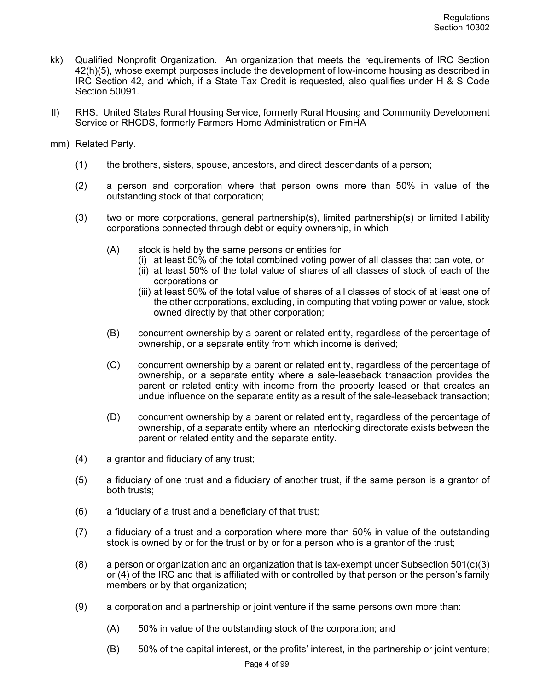- kk) Qualified Nonprofit Organization. An organization that meets the requirements of IRC Section 42(h)(5), whose exempt purposes include the development of low-income housing as described in IRC Section 42, and which, if a State Tax Credit is requested, also qualifies under H & S Code Section 50091.
- ll) RHS. United States Rural Housing Service, formerly Rural Housing and Community Development Service or RHCDS, formerly Farmers Home Administration or FmHA
- mm) Related Party.
	- (1) the brothers, sisters, spouse, ancestors, and direct descendants of a person;
	- (2) a person and corporation where that person owns more than 50% in value of the outstanding stock of that corporation;
	- (3) two or more corporations, general partnership(s), limited partnership(s) or limited liability corporations connected through debt or equity ownership, in which
		- (A) stock is held by the same persons or entities for
			- (i) at least 50% of the total combined voting power of all classes that can vote, or
			- (ii) at least 50% of the total value of shares of all classes of stock of each of the corporations or
			- (iii) at least 50% of the total value of shares of all classes of stock of at least one of the other corporations, excluding, in computing that voting power or value, stock owned directly by that other corporation;
		- (B) concurrent ownership by a parent or related entity, regardless of the percentage of ownership, or a separate entity from which income is derived;
		- (C) concurrent ownership by a parent or related entity, regardless of the percentage of ownership, or a separate entity where a sale-leaseback transaction provides the parent or related entity with income from the property leased or that creates an undue influence on the separate entity as a result of the sale-leaseback transaction;
		- (D) concurrent ownership by a parent or related entity, regardless of the percentage of ownership, of a separate entity where an interlocking directorate exists between the parent or related entity and the separate entity.
	- (4) a grantor and fiduciary of any trust;
	- (5) a fiduciary of one trust and a fiduciary of another trust, if the same person is a grantor of both trusts;
	- (6) a fiduciary of a trust and a beneficiary of that trust;
	- (7) a fiduciary of a trust and a corporation where more than 50% in value of the outstanding stock is owned by or for the trust or by or for a person who is a grantor of the trust;
	- $(8)$  a person or organization and an organization that is tax-exempt under Subsection 501(c)(3) or (4) of the IRC and that is affiliated with or controlled by that person or the person's family members or by that organization;
	- (9) a corporation and a partnership or joint venture if the same persons own more than:
		- (A) 50% in value of the outstanding stock of the corporation; and
		- (B) 50% of the capital interest, or the profits' interest, in the partnership or joint venture;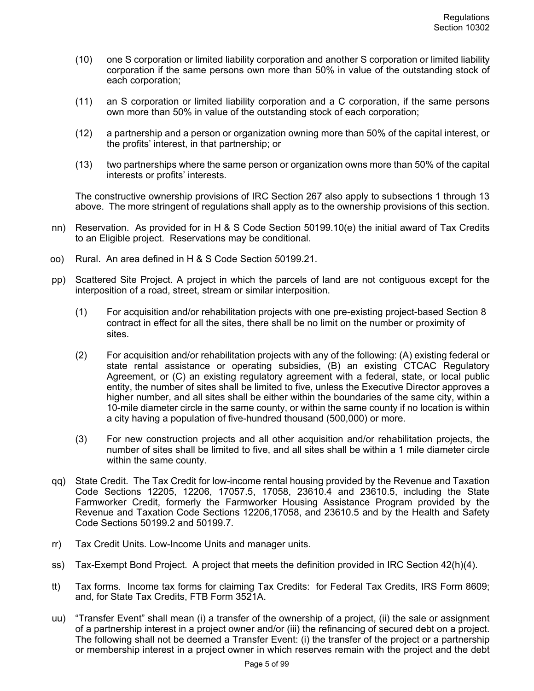- (10) one S corporation or limited liability corporation and another S corporation or limited liability corporation if the same persons own more than 50% in value of the outstanding stock of each corporation;
- (11) an S corporation or limited liability corporation and a C corporation, if the same persons own more than 50% in value of the outstanding stock of each corporation;
- (12) a partnership and a person or organization owning more than 50% of the capital interest, or the profits' interest, in that partnership; or
- (13) two partnerships where the same person or organization owns more than 50% of the capital interests or profits' interests.

The constructive ownership provisions of IRC Section 267 also apply to subsections 1 through 13 above. The more stringent of regulations shall apply as to the ownership provisions of this section.

- nn) Reservation. As provided for in H & S Code Section 50199.10(e) the initial award of Tax Credits to an Eligible project. Reservations may be conditional.
- oo) Rural. An area defined in H & S Code Section 50199.21.
- pp) Scattered Site Project. A project in which the parcels of land are not contiguous except for the interposition of a road, street, stream or similar interposition.
	- (1) For acquisition and/or rehabilitation projects with one pre-existing project-based Section 8 contract in effect for all the sites, there shall be no limit on the number or proximity of sites.
	- (2) For acquisition and/or rehabilitation projects with any of the following: (A) existing federal or state rental assistance or operating subsidies, (B) an existing CTCAC Regulatory Agreement, or (C) an existing regulatory agreement with a federal, state, or local public entity, the number of sites shall be limited to five, unless the Executive Director approves a higher number, and all sites shall be either within the boundaries of the same city, within a 10-mile diameter circle in the same county, or within the same county if no location is within a city having a population of five-hundred thousand (500,000) or more.
	- (3) For new construction projects and all other acquisition and/or rehabilitation projects, the number of sites shall be limited to five, and all sites shall be within a 1 mile diameter circle within the same county.
- qq) State Credit. The Tax Credit for low-income rental housing provided by the Revenue and Taxation Code Sections 12205, 12206, 17057.5, 17058, 23610.4 and 23610.5, including the State Farmworker Credit, formerly the Farmworker Housing Assistance Program provided by the Revenue and Taxation Code Sections 12206,17058, and 23610.5 and by the Health and Safety Code Sections 50199.2 and 50199.7.
- rr) Tax Credit Units. Low-Income Units and manager units.
- ss) Tax-Exempt Bond Project. A project that meets the definition provided in IRC Section 42(h)(4).
- tt) Tax forms. Income tax forms for claiming Tax Credits: for Federal Tax Credits, IRS Form 8609; and, for State Tax Credits, FTB Form 3521A.
- uu) "Transfer Event" shall mean (i) a transfer of the ownership of a project, (ii) the sale or assignment of a partnership interest in a project owner and/or (iii) the refinancing of secured debt on a project. The following shall not be deemed a Transfer Event: (i) the transfer of the project or a partnership or membership interest in a project owner in which reserves remain with the project and the debt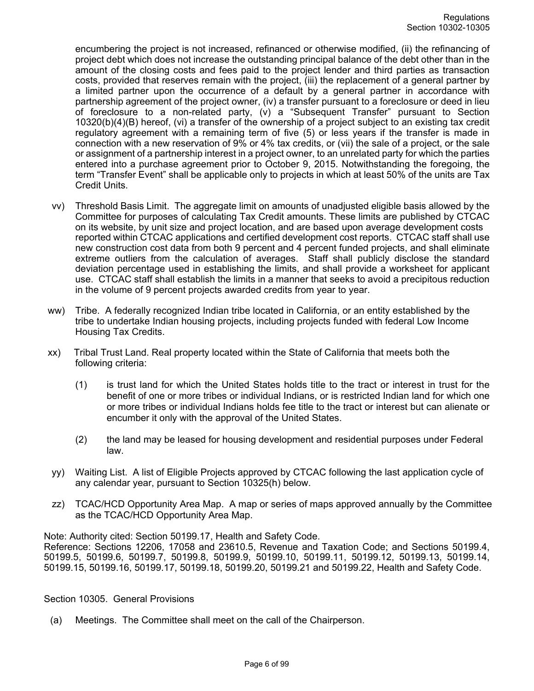encumbering the project is not increased, refinanced or otherwise modified, (ii) the refinancing of project debt which does not increase the outstanding principal balance of the debt other than in the amount of the closing costs and fees paid to the project lender and third parties as transaction costs, provided that reserves remain with the project, (iii) the replacement of a general partner by a limited partner upon the occurrence of a default by a general partner in accordance with partnership agreement of the project owner, (iv) a transfer pursuant to a foreclosure or deed in lieu of foreclosure to a non-related party, (v) a "Subsequent Transfer" pursuant to Section 10320(b)(4)(B) hereof, (vi) a transfer of the ownership of a project subject to an existing tax credit regulatory agreement with a remaining term of five (5) or less years if the transfer is made in connection with a new reservation of 9% or 4% tax credits, or (vii) the sale of a project, or the sale or assignment of a partnership interest in a project owner, to an unrelated party for which the parties entered into a purchase agreement prior to October 9, 2015. Notwithstanding the foregoing, the term "Transfer Event" shall be applicable only to projects in which at least 50% of the units are Tax Credit Units.

- vv) Threshold Basis Limit. The aggregate limit on amounts of unadjusted eligible basis allowed by the Committee for purposes of calculating Tax Credit amounts. These limits are published by CTCAC on its website, by unit size and project location, and are based upon average development costs reported within CTCAC applications and certified development cost reports. CTCAC staff shall use new construction cost data from both 9 percent and 4 percent funded projects, and shall eliminate extreme outliers from the calculation of averages. Staff shall publicly disclose the standard deviation percentage used in establishing the limits, and shall provide a worksheet for applicant use. CTCAC staff shall establish the limits in a manner that seeks to avoid a precipitous reduction in the volume of 9 percent projects awarded credits from year to year.
- ww) Tribe. A federally recognized Indian tribe located in California, or an entity established by the tribe to undertake Indian housing projects, including projects funded with federal Low Income Housing Tax Credits.
- xx) Tribal Trust Land. Real property located within the State of California that meets both the following criteria:
	- (1) is trust land for which the United States holds title to the tract or interest in trust for the benefit of one or more tribes or individual Indians, or is restricted Indian land for which one or more tribes or individual Indians holds fee title to the tract or interest but can alienate or encumber it only with the approval of the United States.
	- (2) the land may be leased for housing development and residential purposes under Federal law.
- yy) Waiting List. A list of Eligible Projects approved by CTCAC following the last application cycle of any calendar year, pursuant to Section 10325(h) below.
- zz) TCAC/HCD Opportunity Area Map. A map or series of maps approved annually by the Committee as the TCAC/HCD Opportunity Area Map.

Note: Authority cited: Section 50199.17, Health and Safety Code. Reference: Sections 12206, 17058 and 23610.5, Revenue and Taxation Code; and Sections 50199.4, 50199.5, 50199.6, 50199.7, 50199.8, 50199.9, 50199.10, 50199.11, 50199.12, 50199.13, 50199.14, 50199.15, 50199.16, 50199.17, 50199.18, 50199.20, 50199.21 and 50199.22, Health and Safety Code.

#### Section 10305. General Provisions

(a) Meetings. The Committee shall meet on the call of the Chairperson.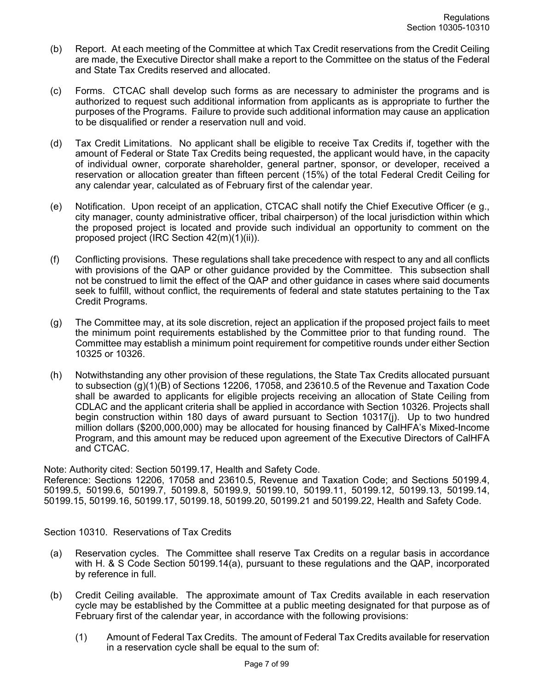- (b) Report. At each meeting of the Committee at which Tax Credit reservations from the Credit Ceiling are made, the Executive Director shall make a report to the Committee on the status of the Federal and State Tax Credits reserved and allocated.
- (c) Forms. CTCAC shall develop such forms as are necessary to administer the programs and is authorized to request such additional information from applicants as is appropriate to further the purposes of the Programs. Failure to provide such additional information may cause an application to be disqualified or render a reservation null and void.
- (d) Tax Credit Limitations. No applicant shall be eligible to receive Tax Credits if, together with the amount of Federal or State Tax Credits being requested, the applicant would have, in the capacity of individual owner, corporate shareholder, general partner, sponsor, or developer, received a reservation or allocation greater than fifteen percent (15%) of the total Federal Credit Ceiling for any calendar year, calculated as of February first of the calendar year.
- (e) Notification. Upon receipt of an application, CTCAC shall notify the Chief Executive Officer (e g., city manager, county administrative officer, tribal chairperson) of the local jurisdiction within which the proposed project is located and provide such individual an opportunity to comment on the proposed project (IRC Section 42(m)(1)(ii)).
- (f) Conflicting provisions. These regulations shall take precedence with respect to any and all conflicts with provisions of the QAP or other guidance provided by the Committee. This subsection shall not be construed to limit the effect of the QAP and other guidance in cases where said documents seek to fulfill, without conflict, the requirements of federal and state statutes pertaining to the Tax Credit Programs.
- (g) The Committee may, at its sole discretion, reject an application if the proposed project fails to meet the minimum point requirements established by the Committee prior to that funding round. The Committee may establish a minimum point requirement for competitive rounds under either Section 10325 or 10326.
- (h) Notwithstanding any other provision of these regulations, the State Tax Credits allocated pursuant to subsection (g)(1)(B) of Sections 12206, 17058, and 23610.5 of the Revenue and Taxation Code shall be awarded to applicants for eligible projects receiving an allocation of State Ceiling from CDLAC and the applicant criteria shall be applied in accordance with Section 10326. Projects shall begin construction within 180 days of award pursuant to Section 10317(j). Up to two hundred million dollars (\$200,000,000) may be allocated for housing financed by CalHFA's Mixed-Income Program, and this amount may be reduced upon agreement of the Executive Directors of CalHFA and CTCAC.

Note: Authority cited: Section 50199.17, Health and Safety Code.

Reference: Sections 12206, 17058 and 23610.5, Revenue and Taxation Code; and Sections 50199.4, 50199.5, 50199.6, 50199.7, 50199.8, 50199.9, 50199.10, 50199.11, 50199.12, 50199.13, 50199.14, 50199.15, 50199.16, 50199.17, 50199.18, 50199.20, 50199.21 and 50199.22, Health and Safety Code.

Section 10310. Reservations of Tax Credits

- (a) Reservation cycles. The Committee shall reserve Tax Credits on a regular basis in accordance with H. & S Code Section 50199.14(a), pursuant to these regulations and the QAP, incorporated by reference in full.
- (b) Credit Ceiling available. The approximate amount of Tax Credits available in each reservation cycle may be established by the Committee at a public meeting designated for that purpose as of February first of the calendar year, in accordance with the following provisions:
	- (1) Amount of Federal Tax Credits. The amount of Federal Tax Credits available for reservation in a reservation cycle shall be equal to the sum of: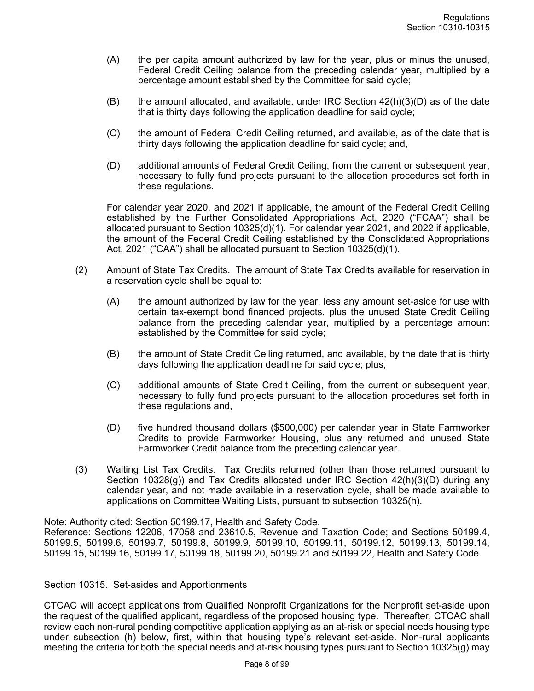- (A) the per capita amount authorized by law for the year, plus or minus the unused, Federal Credit Ceiling balance from the preceding calendar year, multiplied by a percentage amount established by the Committee for said cycle;
- $(B)$  the amount allocated, and available, under IRC Section  $42(h)(3)(D)$  as of the date that is thirty days following the application deadline for said cycle;
- (C) the amount of Federal Credit Ceiling returned, and available, as of the date that is thirty days following the application deadline for said cycle; and,
- (D) additional amounts of Federal Credit Ceiling, from the current or subsequent year, necessary to fully fund projects pursuant to the allocation procedures set forth in these regulations.

For calendar year 2020, and 2021 if applicable, the amount of the Federal Credit Ceiling established by the Further Consolidated Appropriations Act, 2020 ("FCAA") shall be allocated pursuant to Section 10325(d)(1). For calendar year 2021, and 2022 if applicable, the amount of the Federal Credit Ceiling established by the Consolidated Appropriations Act, 2021 ("CAA") shall be allocated pursuant to Section 10325(d)(1).

- (2) Amount of State Tax Credits. The amount of State Tax Credits available for reservation in a reservation cycle shall be equal to:
	- (A) the amount authorized by law for the year, less any amount set-aside for use with certain tax-exempt bond financed projects, plus the unused State Credit Ceiling balance from the preceding calendar year, multiplied by a percentage amount established by the Committee for said cycle;
	- (B) the amount of State Credit Ceiling returned, and available, by the date that is thirty days following the application deadline for said cycle; plus,
	- (C) additional amounts of State Credit Ceiling, from the current or subsequent year, necessary to fully fund projects pursuant to the allocation procedures set forth in these regulations and,
	- (D) five hundred thousand dollars (\$500,000) per calendar year in State Farmworker Credits to provide Farmworker Housing, plus any returned and unused State Farmworker Credit balance from the preceding calendar year.
- (3) Waiting List Tax Credits. Tax Credits returned (other than those returned pursuant to Section 10328(g)) and Tax Credits allocated under IRC Section  $42(h)(3)(D)$  during any calendar year, and not made available in a reservation cycle, shall be made available to applications on Committee Waiting Lists, pursuant to subsection 10325(h).

Note: Authority cited: Section 50199.17, Health and Safety Code.

Reference: Sections 12206, 17058 and 23610.5, Revenue and Taxation Code; and Sections 50199.4, 50199.5, 50199.6, 50199.7, 50199.8, 50199.9, 50199.10, 50199.11, 50199.12, 50199.13, 50199.14, 50199.15, 50199.16, 50199.17, 50199.18, 50199.20, 50199.21 and 50199.22, Health and Safety Code.

## Section 10315. Set-asides and Apportionments

CTCAC will accept applications from Qualified Nonprofit Organizations for the Nonprofit set-aside upon the request of the qualified applicant, regardless of the proposed housing type. Thereafter, CTCAC shall review each non-rural pending competitive application applying as an at-risk or special needs housing type under subsection (h) below, first, within that housing type's relevant set-aside. Non-rural applicants meeting the criteria for both the special needs and at-risk housing types pursuant to Section 10325(g) may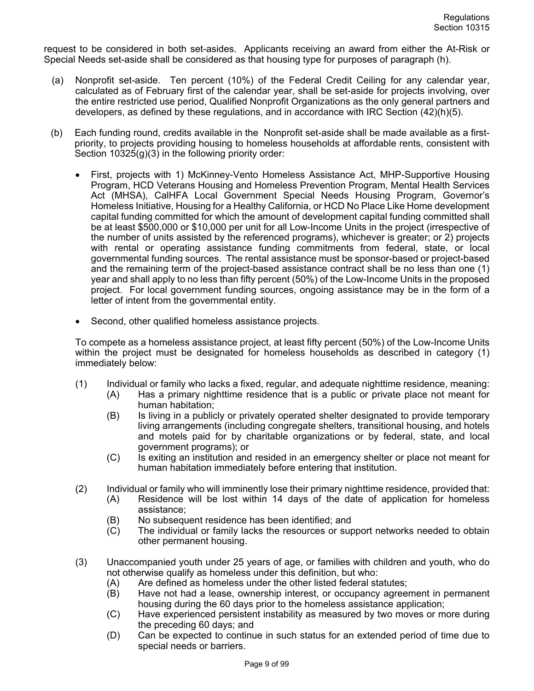request to be considered in both set-asides. Applicants receiving an award from either the At-Risk or Special Needs set-aside shall be considered as that housing type for purposes of paragraph (h).

- (a) Nonprofit set-aside. Ten percent (10%) of the Federal Credit Ceiling for any calendar year, calculated as of February first of the calendar year, shall be set-aside for projects involving, over the entire restricted use period, Qualified Nonprofit Organizations as the only general partners and developers, as defined by these regulations, and in accordance with IRC Section (42)(h)(5).
- (b) Each funding round, credits available in the Nonprofit set-aside shall be made available as a firstpriority, to projects providing housing to homeless households at affordable rents, consistent with Section 10325(g)(3) in the following priority order:
	- First, projects with 1) McKinney-Vento Homeless Assistance Act, MHP-Supportive Housing Program, HCD Veterans Housing and Homeless Prevention Program, Mental Health Services Act (MHSA), CalHFA Local Government Special Needs Housing Program, Governor's Homeless Initiative, Housing for a Healthy California, or HCD No Place Like Home development capital funding committed for which the amount of development capital funding committed shall be at least \$500,000 or \$10,000 per unit for all Low-Income Units in the project (irrespective of the number of units assisted by the referenced programs), whichever is greater; or 2) projects with rental or operating assistance funding commitments from federal, state, or local governmental funding sources. The rental assistance must be sponsor-based or project-based and the remaining term of the project-based assistance contract shall be no less than one (1) year and shall apply to no less than fifty percent (50%) of the Low-Income Units in the proposed project. For local government funding sources, ongoing assistance may be in the form of a letter of intent from the governmental entity.
	- Second, other qualified homeless assistance projects.

To compete as a homeless assistance project, at least fifty percent (50%) of the Low-Income Units within the project must be designated for homeless households as described in category (1) immediately below:

- (1) Individual or family who lacks a fixed, regular, and adequate nighttime residence, meaning:
	- (A) Has a primary nighttime residence that is a public or private place not meant for human habitation;
	- (B) Is living in a publicly or privately operated shelter designated to provide temporary living arrangements (including congregate shelters, transitional housing, and hotels and motels paid for by charitable organizations or by federal, state, and local government programs); or
	- (C) Is exiting an institution and resided in an emergency shelter or place not meant for human habitation immediately before entering that institution.
- (2) Individual or family who will imminently lose their primary nighttime residence, provided that:
	- (A) Residence will be lost within 14 days of the date of application for homeless assistance;
		- (B) No subsequent residence has been identified; and
		- (C) The individual or family lacks the resources or support networks needed to obtain other permanent housing.
- (3) Unaccompanied youth under 25 years of age, or families with children and youth, who do not otherwise qualify as homeless under this definition, but who:
	- (A) Are defined as homeless under the other listed federal statutes;
	- (B) Have not had a lease, ownership interest, or occupancy agreement in permanent housing during the 60 days prior to the homeless assistance application;
	- (C) Have experienced persistent instability as measured by two moves or more during the preceding 60 days; and
	- (D) Can be expected to continue in such status for an extended period of time due to special needs or barriers.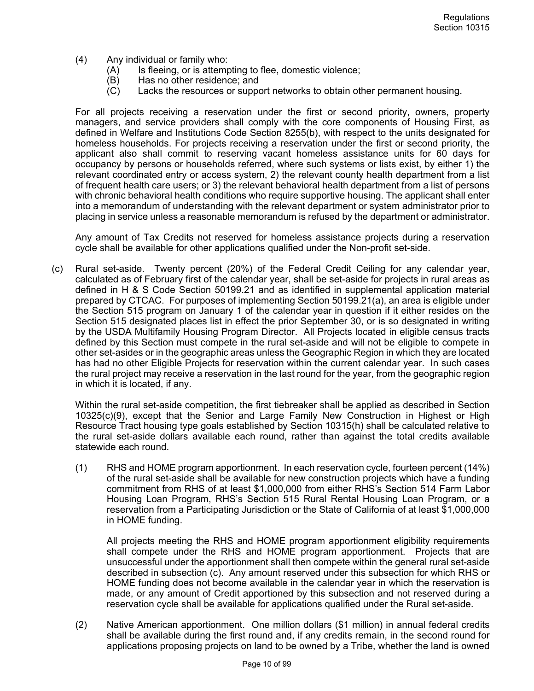- (4) Any individual or family who:
	- (A) Is fleeing, or is attempting to flee, domestic violence;
	- (B) Has no other residence; and
	- (C) Lacks the resources or support networks to obtain other permanent housing.

For all projects receiving a reservation under the first or second priority, owners, property managers, and service providers shall comply with the core components of Housing First, as defined in Welfare and Institutions Code Section 8255(b), with respect to the units designated for homeless households. For projects receiving a reservation under the first or second priority, the applicant also shall commit to reserving vacant homeless assistance units for 60 days for occupancy by persons or households referred, where such systems or lists exist, by either 1) the relevant coordinated entry or access system, 2) the relevant county health department from a list of frequent health care users; or 3) the relevant behavioral health department from a list of persons with chronic behavioral health conditions who require supportive housing. The applicant shall enter into a memorandum of understanding with the relevant department or system administrator prior to placing in service unless a reasonable memorandum is refused by the department or administrator.

Any amount of Tax Credits not reserved for homeless assistance projects during a reservation cycle shall be available for other applications qualified under the Non-profit set-side.

(c) Rural set-aside. Twenty percent (20%) of the Federal Credit Ceiling for any calendar year, calculated as of February first of the calendar year, shall be set-aside for projects in rural areas as defined in H & S Code Section 50199.21 and as identified in supplemental application material prepared by CTCAC. For purposes of implementing Section 50199.21(a), an area is eligible under the Section 515 program on January 1 of the calendar year in question if it either resides on the Section 515 designated places list in effect the prior September 30, or is so designated in writing by the USDA Multifamily Housing Program Director. All Projects located in eligible census tracts defined by this Section must compete in the rural set-aside and will not be eligible to compete in other set-asides or in the geographic areas unless the Geographic Region in which they are located has had no other Eligible Projects for reservation within the current calendar year. In such cases the rural project may receive a reservation in the last round for the year, from the geographic region in which it is located, if any.

Within the rural set-aside competition, the first tiebreaker shall be applied as described in Section 10325(c)(9), except that the Senior and Large Family New Construction in Highest or High Resource Tract housing type goals established by Section 10315(h) shall be calculated relative to the rural set-aside dollars available each round, rather than against the total credits available statewide each round.

(1) RHS and HOME program apportionment. In each reservation cycle, fourteen percent (14%) of the rural set-aside shall be available for new construction projects which have a funding commitment from RHS of at least \$1,000,000 from either RHS's Section 514 Farm Labor Housing Loan Program, RHS's Section 515 Rural Rental Housing Loan Program, or a reservation from a Participating Jurisdiction or the State of California of at least \$1,000,000 in HOME funding.

All projects meeting the RHS and HOME program apportionment eligibility requirements shall compete under the RHS and HOME program apportionment. Projects that are unsuccessful under the apportionment shall then compete within the general rural set-aside described in subsection (c). Any amount reserved under this subsection for which RHS or HOME funding does not become available in the calendar year in which the reservation is made, or any amount of Credit apportioned by this subsection and not reserved during a reservation cycle shall be available for applications qualified under the Rural set-aside.

(2) Native American apportionment. One million dollars (\$1 million) in annual federal credits shall be available during the first round and, if any credits remain, in the second round for applications proposing projects on land to be owned by a Tribe, whether the land is owned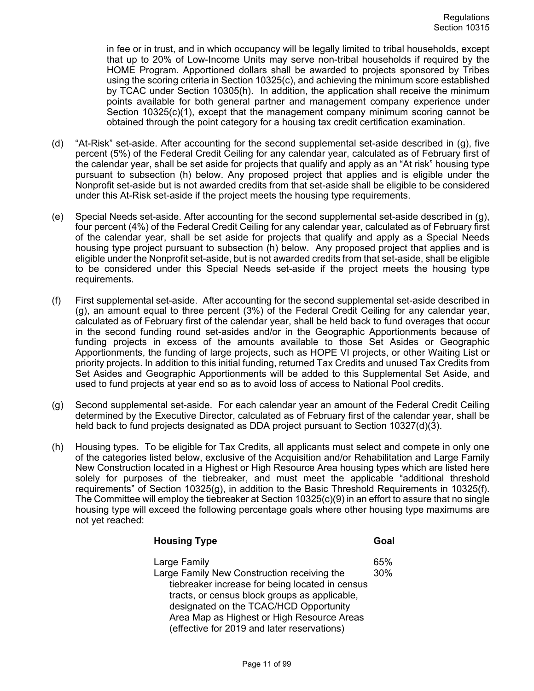in fee or in trust, and in which occupancy will be legally limited to tribal households, except that up to 20% of Low-Income Units may serve non-tribal households if required by the HOME Program. Apportioned dollars shall be awarded to projects sponsored by Tribes using the scoring criteria in Section 10325(c), and achieving the minimum score established by TCAC under Section 10305(h). In addition, the application shall receive the minimum points available for both general partner and management company experience under Section  $10325(c)(1)$ , except that the management company minimum scoring cannot be obtained through the point category for a housing tax credit certification examination.

- (d) "At-Risk" set-aside. After accounting for the second supplemental set-aside described in (g), five percent (5%) of the Federal Credit Ceiling for any calendar year, calculated as of February first of the calendar year, shall be set aside for projects that qualify and apply as an "At risk" housing type pursuant to subsection (h) below. Any proposed project that applies and is eligible under the Nonprofit set-aside but is not awarded credits from that set-aside shall be eligible to be considered under this At-Risk set-aside if the project meets the housing type requirements.
- (e) Special Needs set-aside. After accounting for the second supplemental set-aside described in (g), four percent (4%) of the Federal Credit Ceiling for any calendar year, calculated as of February first of the calendar year, shall be set aside for projects that qualify and apply as a Special Needs housing type project pursuant to subsection (h) below. Any proposed project that applies and is eligible under the Nonprofit set-aside, but is not awarded credits from that set-aside, shall be eligible to be considered under this Special Needs set-aside if the project meets the housing type requirements.
- (f) First supplemental set-aside. After accounting for the second supplemental set-aside described in (g), an amount equal to three percent (3%) of the Federal Credit Ceiling for any calendar year, calculated as of February first of the calendar year, shall be held back to fund overages that occur in the second funding round set-asides and/or in the Geographic Apportionments because of funding projects in excess of the amounts available to those Set Asides or Geographic Apportionments, the funding of large projects, such as HOPE VI projects, or other Waiting List or priority projects. In addition to this initial funding, returned Tax Credits and unused Tax Credits from Set Asides and Geographic Apportionments will be added to this Supplemental Set Aside, and used to fund projects at year end so as to avoid loss of access to National Pool credits.
- (g) Second supplemental set-aside. For each calendar year an amount of the Federal Credit Ceiling determined by the Executive Director, calculated as of February first of the calendar year, shall be held back to fund projects designated as DDA project pursuant to Section 10327(d)(3).
- (h) Housing types. To be eligible for Tax Credits, all applicants must select and compete in only one of the categories listed below, exclusive of the Acquisition and/or Rehabilitation and Large Family New Construction located in a Highest or High Resource Area housing types which are listed here solely for purposes of the tiebreaker, and must meet the applicable "additional threshold requirements" of Section 10325(g), in addition to the Basic Threshold Requirements in 10325(f). The Committee will employ the tiebreaker at Section 10325(c)(9) in an effort to assure that no single housing type will exceed the following percentage goals where other housing type maximums are not yet reached:

| <b>Housing Type</b>                                                                                                                                                                                                                                                                                    | Goal       |
|--------------------------------------------------------------------------------------------------------------------------------------------------------------------------------------------------------------------------------------------------------------------------------------------------------|------------|
| Large Family<br>Large Family New Construction receiving the<br>tiebreaker increase for being located in census<br>tracts, or census block groups as applicable,<br>designated on the TCAC/HCD Opportunity<br>Area Map as Highest or High Resource Areas<br>(effective for 2019 and later reservations) | 65%<br>30% |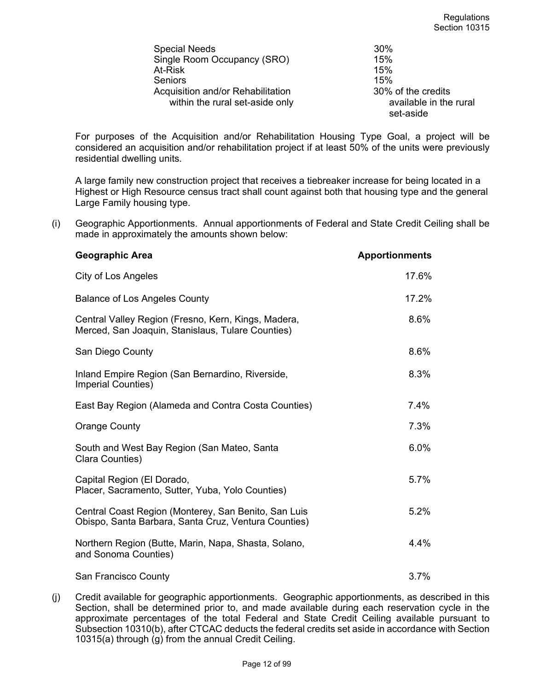| <b>Special Needs</b>              | 30%                    |
|-----------------------------------|------------------------|
| Single Room Occupancy (SRO)       | 15%                    |
| At-Risk                           | 15%                    |
| Seniors                           | 15%                    |
| Acquisition and/or Rehabilitation | 30% of the credits     |
| within the rural set-aside only   | available in the rural |
|                                   | set-aside              |

For purposes of the Acquisition and/or Rehabilitation Housing Type Goal, a project will be considered an acquisition and/or rehabilitation project if at least 50% of the units were previously residential dwelling units.

A large family new construction project that receives a tiebreaker increase for being located in a Highest or High Resource census tract shall count against both that housing type and the general Large Family housing type.

(i) Geographic Apportionments. Annual apportionments of Federal and State Credit Ceiling shall be made in approximately the amounts shown below:

| Geographic Area                                                                                              | <b>Apportionments</b> |
|--------------------------------------------------------------------------------------------------------------|-----------------------|
| <b>City of Los Angeles</b>                                                                                   | 17.6%                 |
| <b>Balance of Los Angeles County</b>                                                                         | 17.2%                 |
| Central Valley Region (Fresno, Kern, Kings, Madera,<br>Merced, San Joaquin, Stanislaus, Tulare Counties)     | 8.6%                  |
| San Diego County                                                                                             | 8.6%                  |
| Inland Empire Region (San Bernardino, Riverside,<br><b>Imperial Counties)</b>                                | 8.3%                  |
| East Bay Region (Alameda and Contra Costa Counties)                                                          | 7.4%                  |
| <b>Orange County</b>                                                                                         | 7.3%                  |
| South and West Bay Region (San Mateo, Santa<br>Clara Counties)                                               | 6.0%                  |
| Capital Region (El Dorado,<br>Placer, Sacramento, Sutter, Yuba, Yolo Counties)                               | 5.7%                  |
| Central Coast Region (Monterey, San Benito, San Luis<br>Obispo, Santa Barbara, Santa Cruz, Ventura Counties) | 5.2%                  |
| Northern Region (Butte, Marin, Napa, Shasta, Solano,<br>and Sonoma Counties)                                 | 4.4%                  |
| San Francisco County                                                                                         | 3.7%                  |

(j) Credit available for geographic apportionments. Geographic apportionments, as described in this Section, shall be determined prior to, and made available during each reservation cycle in the approximate percentages of the total Federal and State Credit Ceiling available pursuant to Subsection 10310(b), after CTCAC deducts the federal credits set aside in accordance with Section 10315(a) through  $(q)$  from the annual Credit Ceiling.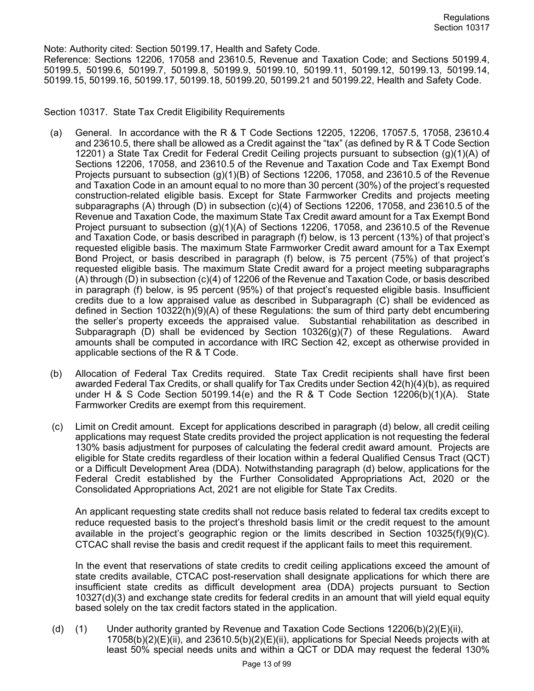Note: Authority cited: Section 50199.17, Health and Safety Code.

Reference: Sections 12206, 17058 and 23610.5, Revenue and Taxation Code; and Sections 50199.4, 50199.5, 50199.6, 50199.7, 50199.8, 50199.9, 50199.10, 50199.11, 50199.12, 50199.13, 50199.14, 50199.15, 50199.16, 50199.17, 50199.18, 50199.20, 50199.21 and 50199.22, Health and Safety Code.

Section 10317. State Tax Credit Eligibility Requirements

- (a) General. In accordance with the R & T Code Sections 12205, 12206, 17057.5, 17058, 23610.4 and 23610.5, there shall be allowed as a Credit against the "tax" (as defined by R & T Code Section 12201) a State Tax Credit for Federal Credit Ceiling projects pursuant to subsection (g)(1)(A) of Sections 12206, 17058, and 23610.5 of the Revenue and Taxation Code and Tax Exempt Bond Projects pursuant to subsection (g)(1)(B) of Sections 12206, 17058, and 23610.5 of the Revenue and Taxation Code in an amount equal to no more than 30 percent (30%) of the project's requested construction-related eligible basis. Except for State Farmworker Credits and projects meeting subparagraphs (A) through (D) in subsection (c)(4) of Sections 12206, 17058, and 23610.5 of the Revenue and Taxation Code, the maximum State Tax Credit award amount for a Tax Exempt Bond Project pursuant to subsection (g)(1)(A) of Sections 12206, 17058, and 23610.5 of the Revenue and Taxation Code, or basis described in paragraph (f) below, is 13 percent (13%) of that project's requested eligible basis. The maximum State Farmworker Credit award amount for a Tax Exempt Bond Project, or basis described in paragraph (f) below, is 75 percent (75%) of that project's requested eligible basis. The maximum State Credit award for a project meeting subparagraphs (A) through (D) in subsection (c)(4) of 12206 of the Revenue and Taxation Code, or basis described in paragraph (f) below, is 95 percent (95%) of that project's requested eligible basis. Insufficient credits due to a low appraised value as described in Subparagraph (C) shall be evidenced as defined in Section 10322(h)(9)(A) of these Regulations: the sum of third party debt encumbering the seller's property exceeds the appraised value. Substantial rehabilitation as described in Subparagraph (D) shall be evidenced by Section 10326(g)(7) of these Regulations. Award amounts shall be computed in accordance with IRC Section 42, except as otherwise provided in applicable sections of the R & T Code.
- (b) Allocation of Federal Tax Credits required. State Tax Credit recipients shall have first been awarded Federal Tax Credits, or shall qualify for Tax Credits under Section 42(h)(4)(b), as required under H & S Code Section 50199.14(e) and the R & T Code Section 12206(b)(1)(A). State Farmworker Credits are exempt from this requirement.
- (c) Limit on Credit amount. Except for applications described in paragraph (d) below, all credit ceiling applications may request State credits provided the project application is not requesting the federal 130% basis adjustment for purposes of calculating the federal credit award amount. Projects are eligible for State credits regardless of their location within a federal Qualified Census Tract (QCT) or a Difficult Development Area (DDA). Notwithstanding paragraph (d) below, applications for the Federal Credit established by the Further Consolidated Appropriations Act, 2020 or the Consolidated Appropriations Act, 2021 are not eligible for State Tax Credits.

An applicant requesting state credits shall not reduce basis related to federal tax credits except to reduce requested basis to the project's threshold basis limit or the credit request to the amount available in the project's geographic region or the limits described in Section 10325(f)(9)(C). CTCAC shall revise the basis and credit request if the applicant fails to meet this requirement.

In the event that reservations of state credits to credit ceiling applications exceed the amount of state credits available, CTCAC post-reservation shall designate applications for which there are insufficient state credits as difficult development area (DDA) projects pursuant to Section 10327(d)(3) and exchange state credits for federal credits in an amount that will yield equal equity based solely on the tax credit factors stated in the application.

(d) (1) Under authority granted by Revenue and Taxation Code Sections 12206(b)(2)(E)(ii),  $17058(b)(2)(E)(ii)$ , and  $23610.5(b)(2)(E)(ii)$ , applications for Special Needs projects with at least 50% special needs units and within a QCT or DDA may request the federal 130%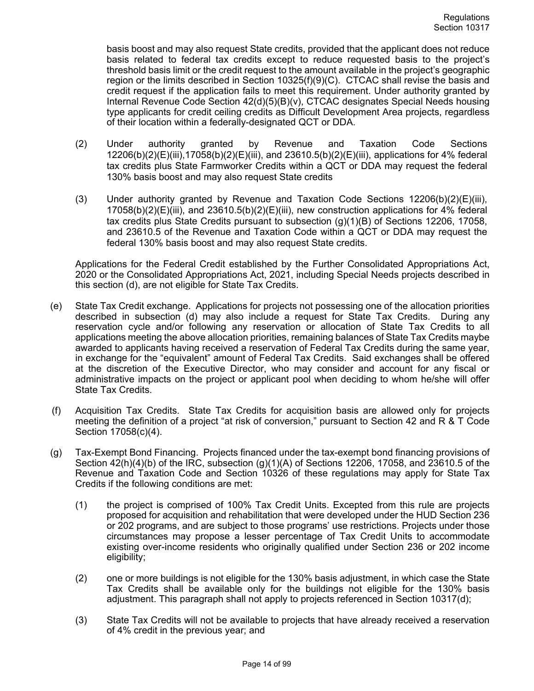basis boost and may also request State credits, provided that the applicant does not reduce basis related to federal tax credits except to reduce requested basis to the project's threshold basis limit or the credit request to the amount available in the project's geographic region or the limits described in Section 10325(f)(9)(C). CTCAC shall revise the basis and credit request if the application fails to meet this requirement. Under authority granted by Internal Revenue Code Section 42(d)(5)(B)(v), CTCAC designates Special Needs housing type applicants for credit ceiling credits as Difficult Development Area projects, regardless of their location within a federally-designated QCT or DDA.

- (2) Under authority granted by Revenue and Taxation Code Sections 12206(b)(2)(E)(iii),17058(b)(2)(E)(iii), and 23610.5(b)(2)(E)(iii), applications for 4% federal tax credits plus State Farmworker Credits within a QCT or DDA may request the federal 130% basis boost and may also request State credits
- (3) Under authority granted by Revenue and Taxation Code Sections  $12206(b)(2)(E)(iii)$ ,  $17058(b)(2)(E)(iii)$ , and  $23610.5(b)(2)(E)(iii)$ , new construction applications for 4% federal tax credits plus State Credits pursuant to subsection (g)(1)(B) of Sections 12206, 17058, and 23610.5 of the Revenue and Taxation Code within a QCT or DDA may request the federal 130% basis boost and may also request State credits.

Applications for the Federal Credit established by the Further Consolidated Appropriations Act, 2020 or the Consolidated Appropriations Act, 2021, including Special Needs projects described in this section (d), are not eligible for State Tax Credits.

- (e) State Tax Credit exchange. Applications for projects not possessing one of the allocation priorities described in subsection (d) may also include a request for State Tax Credits. During any reservation cycle and/or following any reservation or allocation of State Tax Credits to all applications meeting the above allocation priorities, remaining balances of State Tax Credits maybe awarded to applicants having received a reservation of Federal Tax Credits during the same year, in exchange for the "equivalent" amount of Federal Tax Credits. Said exchanges shall be offered at the discretion of the Executive Director, who may consider and account for any fiscal or administrative impacts on the project or applicant pool when deciding to whom he/she will offer State Tax Credits.
- (f) Acquisition Tax Credits. State Tax Credits for acquisition basis are allowed only for projects meeting the definition of a project "at risk of conversion," pursuant to Section 42 and R & T Code Section 17058(c)(4).
- (g) Tax-Exempt Bond Financing. Projects financed under the tax-exempt bond financing provisions of Section 42(h)(4)(b) of the IRC, subsection (g)(1)(A) of Sections 12206, 17058, and 23610.5 of the Revenue and Taxation Code and Section 10326 of these regulations may apply for State Tax Credits if the following conditions are met:
	- (1) the project is comprised of 100% Tax Credit Units. Excepted from this rule are projects proposed for acquisition and rehabilitation that were developed under the HUD Section 236 or 202 programs, and are subject to those programs' use restrictions. Projects under those circumstances may propose a lesser percentage of Tax Credit Units to accommodate existing over-income residents who originally qualified under Section 236 or 202 income eligibility;
	- (2) one or more buildings is not eligible for the 130% basis adjustment, in which case the State Tax Credits shall be available only for the buildings not eligible for the 130% basis adjustment. This paragraph shall not apply to projects referenced in Section 10317(d);
	- (3) State Tax Credits will not be available to projects that have already received a reservation of 4% credit in the previous year; and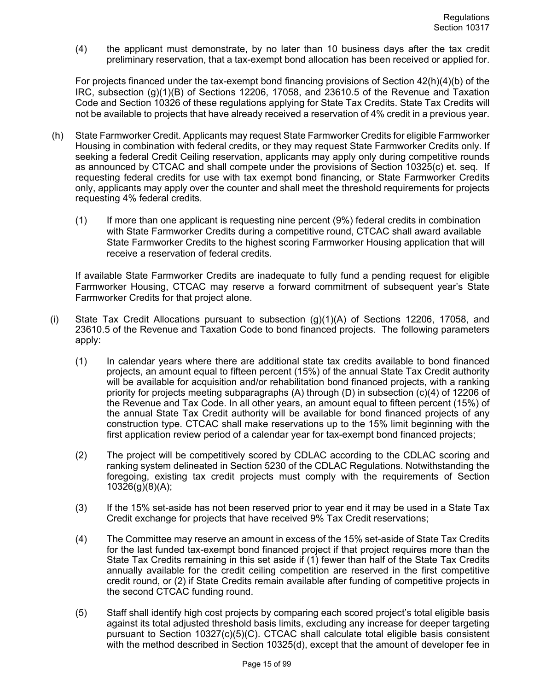(4) the applicant must demonstrate, by no later than 10 business days after the tax credit preliminary reservation, that a tax-exempt bond allocation has been received or applied for.

For projects financed under the tax-exempt bond financing provisions of Section 42(h)(4)(b) of the IRC, subsection (g)(1)(B) of Sections 12206, 17058, and 23610.5 of the Revenue and Taxation Code and Section 10326 of these regulations applying for State Tax Credits. State Tax Credits will not be available to projects that have already received a reservation of 4% credit in a previous year.

- (h) State Farmworker Credit. Applicants may request State Farmworker Credits for eligible Farmworker Housing in combination with federal credits, or they may request State Farmworker Credits only. If seeking a federal Credit Ceiling reservation, applicants may apply only during competitive rounds as announced by CTCAC and shall compete under the provisions of Section 10325(c) et. seq. If requesting federal credits for use with tax exempt bond financing, or State Farmworker Credits only, applicants may apply over the counter and shall meet the threshold requirements for projects requesting 4% federal credits.
	- (1) If more than one applicant is requesting nine percent (9%) federal credits in combination with State Farmworker Credits during a competitive round, CTCAC shall award available State Farmworker Credits to the highest scoring Farmworker Housing application that will receive a reservation of federal credits.

If available State Farmworker Credits are inadequate to fully fund a pending request for eligible Farmworker Housing, CTCAC may reserve a forward commitment of subsequent year's State Farmworker Credits for that project alone.

- (i) State Tax Credit Allocations pursuant to subsection (g)(1)(A) of Sections 12206, 17058, and 23610.5 of the Revenue and Taxation Code to bond financed projects. The following parameters apply:
	- (1) In calendar years where there are additional state tax credits available to bond financed projects, an amount equal to fifteen percent (15%) of the annual State Tax Credit authority will be available for acquisition and/or rehabilitation bond financed projects, with a ranking priority for projects meeting subparagraphs (A) through (D) in subsection (c)(4) of 12206 of the Revenue and Tax Code. In all other years, an amount equal to fifteen percent (15%) of the annual State Tax Credit authority will be available for bond financed projects of any construction type. CTCAC shall make reservations up to the 15% limit beginning with the first application review period of a calendar year for tax-exempt bond financed projects;
	- (2) The project will be competitively scored by CDLAC according to the CDLAC scoring and ranking system delineated in Section 5230 of the CDLAC Regulations. Notwithstanding the foregoing, existing tax credit projects must comply with the requirements of Section 10326(g)(8)(A);
	- (3) If the 15% set-aside has not been reserved prior to year end it may be used in a State Tax Credit exchange for projects that have received 9% Tax Credit reservations;
	- (4) The Committee may reserve an amount in excess of the 15% set-aside of State Tax Credits for the last funded tax-exempt bond financed project if that project requires more than the State Tax Credits remaining in this set aside if (1) fewer than half of the State Tax Credits annually available for the credit ceiling competition are reserved in the first competitive credit round, or (2) if State Credits remain available after funding of competitive projects in the second CTCAC funding round.
	- (5) Staff shall identify high cost projects by comparing each scored project's total eligible basis against its total adjusted threshold basis limits, excluding any increase for deeper targeting pursuant to Section 10327(c)(5)(C). CTCAC shall calculate total eligible basis consistent with the method described in Section 10325(d), except that the amount of developer fee in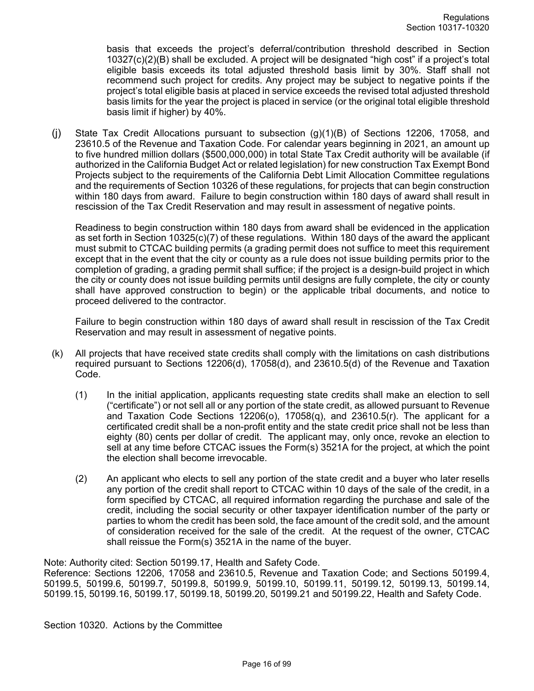basis that exceeds the project's deferral/contribution threshold described in Section 10327(c)(2)(B) shall be excluded. A project will be designated "high cost" if a project's total eligible basis exceeds its total adjusted threshold basis limit by 30%. Staff shall not recommend such project for credits. Any project may be subject to negative points if the project's total eligible basis at placed in service exceeds the revised total adjusted threshold basis limits for the year the project is placed in service (or the original total eligible threshold basis limit if higher) by 40%.

(j) State Tax Credit Allocations pursuant to subsection (g)(1)(B) of Sections 12206, 17058, and 23610.5 of the Revenue and Taxation Code. For calendar years beginning in 2021, an amount up to five hundred million dollars (\$500,000,000) in total State Tax Credit authority will be available (if authorized in the California Budget Act or related legislation) for new construction Tax Exempt Bond Projects subject to the requirements of the California Debt Limit Allocation Committee regulations and the requirements of Section 10326 of these regulations, for projects that can begin construction within 180 days from award. Failure to begin construction within 180 days of award shall result in rescission of the Tax Credit Reservation and may result in assessment of negative points.

Readiness to begin construction within 180 days from award shall be evidenced in the application as set forth in Section 10325(c)(7) of these regulations. Within 180 days of the award the applicant must submit to CTCAC building permits (a grading permit does not suffice to meet this requirement except that in the event that the city or county as a rule does not issue building permits prior to the completion of grading, a grading permit shall suffice; if the project is a design-build project in which the city or county does not issue building permits until designs are fully complete, the city or county shall have approved construction to begin) or the applicable tribal documents, and notice to proceed delivered to the contractor.

Failure to begin construction within 180 days of award shall result in rescission of the Tax Credit Reservation and may result in assessment of negative points.

- (k) All projects that have received state credits shall comply with the limitations on cash distributions required pursuant to Sections 12206(d), 17058(d), and 23610.5(d) of the Revenue and Taxation Code.
	- (1) In the initial application, applicants requesting state credits shall make an election to sell ("certificate") or not sell all or any portion of the state credit, as allowed pursuant to Revenue and Taxation Code Sections  $12206<sub>(o)</sub>$ ,  $17058<sub>(g)</sub>$ , and  $23610.5<sub>(f)</sub>$ . The applicant for a certificated credit shall be a non-profit entity and the state credit price shall not be less than eighty (80) cents per dollar of credit. The applicant may, only once, revoke an election to sell at any time before CTCAC issues the Form(s) 3521A for the project, at which the point the election shall become irrevocable.
	- (2) An applicant who elects to sell any portion of the state credit and a buyer who later resells any portion of the credit shall report to CTCAC within 10 days of the sale of the credit, in a form specified by CTCAC, all required information regarding the purchase and sale of the credit, including the social security or other taxpayer identification number of the party or parties to whom the credit has been sold, the face amount of the credit sold, and the amount of consideration received for the sale of the credit. At the request of the owner, CTCAC shall reissue the Form(s) 3521A in the name of the buyer.

Note: Authority cited: Section 50199.17, Health and Safety Code.

Reference: Sections 12206, 17058 and 23610.5, Revenue and Taxation Code; and Sections 50199.4, 50199.5, 50199.6, 50199.7, 50199.8, 50199.9, 50199.10, 50199.11, 50199.12, 50199.13, 50199.14, 50199.15, 50199.16, 50199.17, 50199.18, 50199.20, 50199.21 and 50199.22, Health and Safety Code.

Section 10320. Actions by the Committee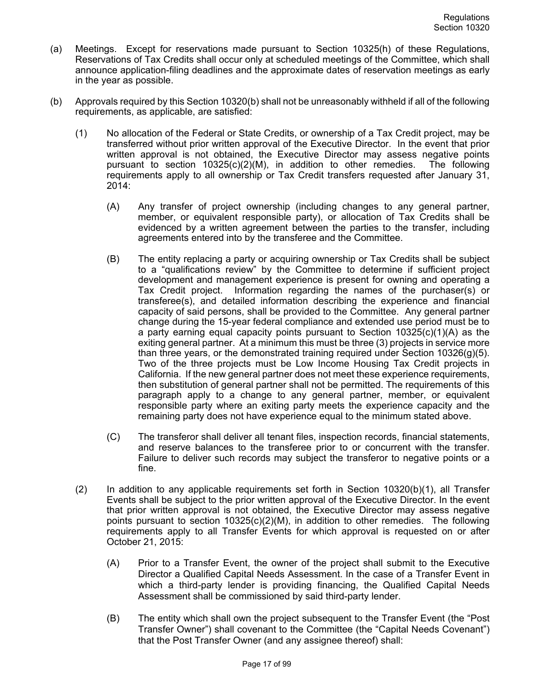- (a) Meetings. Except for reservations made pursuant to Section 10325(h) of these Regulations, Reservations of Tax Credits shall occur only at scheduled meetings of the Committee, which shall announce application-filing deadlines and the approximate dates of reservation meetings as early in the year as possible.
- (b) Approvals required by this Section 10320(b) shall not be unreasonably withheld if all of the following requirements, as applicable, are satisfied:
	- (1) No allocation of the Federal or State Credits, or ownership of a Tax Credit project, may be transferred without prior written approval of the Executive Director. In the event that prior written approval is not obtained, the Executive Director may assess negative points pursuant to section 10325(c)(2)(M), in addition to other remedies. The following requirements apply to all ownership or Tax Credit transfers requested after January 31, 2014:
		- (A) Any transfer of project ownership (including changes to any general partner, member, or equivalent responsible party), or allocation of Tax Credits shall be evidenced by a written agreement between the parties to the transfer, including agreements entered into by the transferee and the Committee.
		- (B) The entity replacing a party or acquiring ownership or Tax Credits shall be subject to a "qualifications review" by the Committee to determine if sufficient project development and management experience is present for owning and operating a Tax Credit project. Information regarding the names of the purchaser(s) or transferee(s), and detailed information describing the experience and financial capacity of said persons, shall be provided to the Committee. Any general partner change during the 15-year federal compliance and extended use period must be to a party earning equal capacity points pursuant to Section  $10325(c)(1)(A)$  as the exiting general partner. At a minimum this must be three (3) projects in service more than three years, or the demonstrated training required under Section 10326(g)(5). Two of the three projects must be Low Income Housing Tax Credit projects in California. If the new general partner does not meet these experience requirements, then substitution of general partner shall not be permitted. The requirements of this paragraph apply to a change to any general partner, member, or equivalent responsible party where an exiting party meets the experience capacity and the remaining party does not have experience equal to the minimum stated above.
		- (C) The transferor shall deliver all tenant files, inspection records, financial statements, and reserve balances to the transferee prior to or concurrent with the transfer. Failure to deliver such records may subject the transferor to negative points or a fine.
	- (2) In addition to any applicable requirements set forth in Section 10320(b)(1), all Transfer Events shall be subject to the prior written approval of the Executive Director. In the event that prior written approval is not obtained, the Executive Director may assess negative points pursuant to section  $10325(c)(2)(M)$ , in addition to other remedies. The following requirements apply to all Transfer Events for which approval is requested on or after October 21, 2015:
		- (A) Prior to a Transfer Event, the owner of the project shall submit to the Executive Director a Qualified Capital Needs Assessment. In the case of a Transfer Event in which a third-party lender is providing financing, the Qualified Capital Needs Assessment shall be commissioned by said third-party lender.
		- (B) The entity which shall own the project subsequent to the Transfer Event (the "Post Transfer Owner") shall covenant to the Committee (the "Capital Needs Covenant") that the Post Transfer Owner (and any assignee thereof) shall: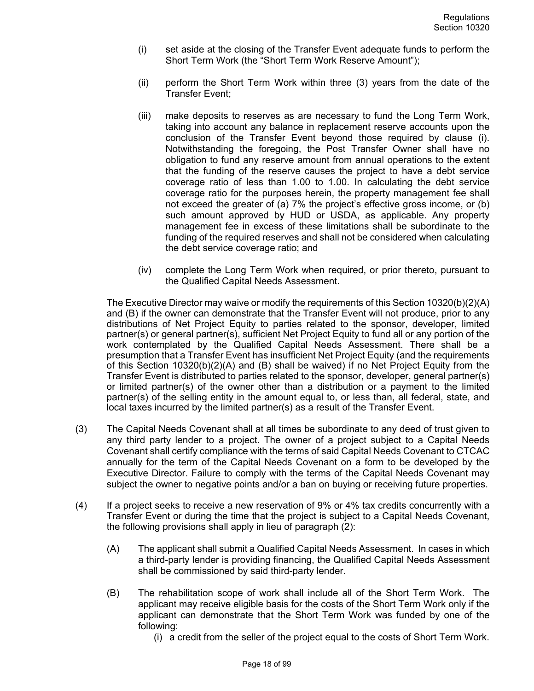- (i) set aside at the closing of the Transfer Event adequate funds to perform the Short Term Work (the "Short Term Work Reserve Amount");
- (ii) perform the Short Term Work within three (3) years from the date of the Transfer Event;
- (iii) make deposits to reserves as are necessary to fund the Long Term Work, taking into account any balance in replacement reserve accounts upon the conclusion of the Transfer Event beyond those required by clause (i). Notwithstanding the foregoing, the Post Transfer Owner shall have no obligation to fund any reserve amount from annual operations to the extent that the funding of the reserve causes the project to have a debt service coverage ratio of less than 1.00 to 1.00. In calculating the debt service coverage ratio for the purposes herein, the property management fee shall not exceed the greater of (a) 7% the project's effective gross income, or (b) such amount approved by HUD or USDA, as applicable. Any property management fee in excess of these limitations shall be subordinate to the funding of the required reserves and shall not be considered when calculating the debt service coverage ratio; and
- (iv) complete the Long Term Work when required, or prior thereto, pursuant to the Qualified Capital Needs Assessment.

The Executive Director may waive or modify the requirements of this Section 10320(b)(2)(A) and (B) if the owner can demonstrate that the Transfer Event will not produce, prior to any distributions of Net Project Equity to parties related to the sponsor, developer, limited partner(s) or general partner(s), sufficient Net Project Equity to fund all or any portion of the work contemplated by the Qualified Capital Needs Assessment. There shall be a presumption that a Transfer Event has insufficient Net Project Equity (and the requirements of this Section 10320(b)(2)(A) and (B) shall be waived) if no Net Project Equity from the Transfer Event is distributed to parties related to the sponsor, developer, general partner(s) or limited partner(s) of the owner other than a distribution or a payment to the limited partner(s) of the selling entity in the amount equal to, or less than, all federal, state, and local taxes incurred by the limited partner(s) as a result of the Transfer Event.

- (3) The Capital Needs Covenant shall at all times be subordinate to any deed of trust given to any third party lender to a project. The owner of a project subject to a Capital Needs Covenant shall certify compliance with the terms of said Capital Needs Covenant to CTCAC annually for the term of the Capital Needs Covenant on a form to be developed by the Executive Director. Failure to comply with the terms of the Capital Needs Covenant may subject the owner to negative points and/or a ban on buying or receiving future properties.
- (4) If a project seeks to receive a new reservation of 9% or 4% tax credits concurrently with a Transfer Event or during the time that the project is subject to a Capital Needs Covenant, the following provisions shall apply in lieu of paragraph (2):
	- (A) The applicant shall submit a Qualified Capital Needs Assessment. In cases in which a third-party lender is providing financing, the Qualified Capital Needs Assessment shall be commissioned by said third-party lender.
	- (B) The rehabilitation scope of work shall include all of the Short Term Work. The applicant may receive eligible basis for the costs of the Short Term Work only if the applicant can demonstrate that the Short Term Work was funded by one of the following:
		- (i) a credit from the seller of the project equal to the costs of Short Term Work.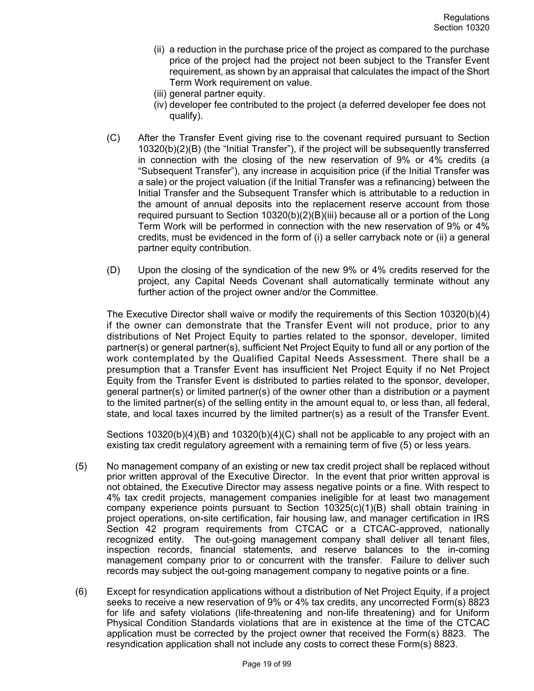- (ii) a reduction in the purchase price of the project as compared to the purchase price of the project had the project not been subject to the Transfer Event requirement, as shown by an appraisal that calculates the impact of the Short Term Work requirement on value.
- (iii) general partner equity.
- (iv) developer fee contributed to the project (a deferred developer fee does not qualify).
- (C) After the Transfer Event giving rise to the covenant required pursuant to Section 10320(b)(2)(B) (the "Initial Transfer"), if the project will be subsequently transferred in connection with the closing of the new reservation of 9% or 4% credits (a "Subsequent Transfer"), any increase in acquisition price (if the Initial Transfer was a sale) or the project valuation (if the Initial Transfer was a refinancing) between the Initial Transfer and the Subsequent Transfer which is attributable to a reduction in the amount of annual deposits into the replacement reserve account from those required pursuant to Section 10320(b)(2)(B)(iii) because all or a portion of the Long Term Work will be performed in connection with the new reservation of 9% or 4% credits, must be evidenced in the form of (i) a seller carryback note or (ii) a general partner equity contribution.
- (D) Upon the closing of the syndication of the new 9% or 4% credits reserved for the project, any Capital Needs Covenant shall automatically terminate without any further action of the project owner and/or the Committee.

The Executive Director shall waive or modify the requirements of this Section 10320(b)(4) if the owner can demonstrate that the Transfer Event will not produce, prior to any distributions of Net Project Equity to parties related to the sponsor, developer, limited partner(s) or general partner(s), sufficient Net Project Equity to fund all or any portion of the work contemplated by the Qualified Capital Needs Assessment. There shall be a presumption that a Transfer Event has insufficient Net Project Equity if no Net Project Equity from the Transfer Event is distributed to parties related to the sponsor, developer, general partner(s) or limited partner(s) of the owner other than a distribution or a payment to the limited partner(s) of the selling entity in the amount equal to, or less than, all federal, state, and local taxes incurred by the limited partner(s) as a result of the Transfer Event.

Sections 10320(b)(4)(B) and 10320(b)(4)(C) shall not be applicable to any project with an existing tax credit regulatory agreement with a remaining term of five (5) or less years.

- (5) No management company of an existing or new tax credit project shall be replaced without prior written approval of the Executive Director. In the event that prior written approval is not obtained, the Executive Director may assess negative points or a fine. With respect to 4% tax credit projects, management companies ineligible for at least two management company experience points pursuant to Section  $10325(c)(1)(B)$  shall obtain training in project operations, on-site certification, fair housing law, and manager certification in IRS Section 42 program requirements from CTCAC or a CTCAC-approved, nationally recognized entity. The out-going management company shall deliver all tenant files, inspection records, financial statements, and reserve balances to the in-coming management company prior to or concurrent with the transfer. Failure to deliver such records may subject the out-going management company to negative points or a fine.
- (6) Except for resyndication applications without a distribution of Net Project Equity, if a project seeks to receive a new reservation of 9% or 4% tax credits, any uncorrected Form(s) 8823 for life and safety violations (life-threatening and non-life threatening) and for Uniform Physical Condition Standards violations that are in existence at the time of the CTCAC application must be corrected by the project owner that received the Form(s) 8823. The resyndication application shall not include any costs to correct these Form(s) 8823.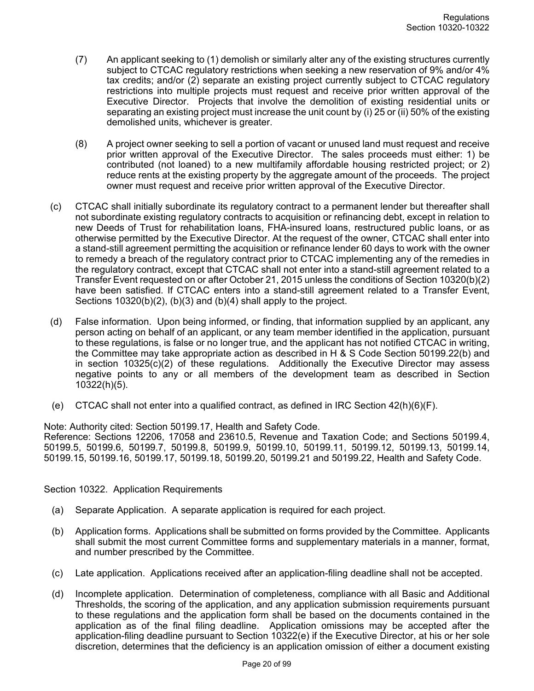- (7) An applicant seeking to (1) demolish or similarly alter any of the existing structures currently subject to CTCAC regulatory restrictions when seeking a new reservation of 9% and/or 4% tax credits; and/or (2) separate an existing project currently subject to CTCAC regulatory restrictions into multiple projects must request and receive prior written approval of the Executive Director. Projects that involve the demolition of existing residential units or separating an existing project must increase the unit count by (i) 25 or (ii) 50% of the existing demolished units, whichever is greater.
- (8) A project owner seeking to sell a portion of vacant or unused land must request and receive prior written approval of the Executive Director. The sales proceeds must either: 1) be contributed (not loaned) to a new multifamily affordable housing restricted project; or 2) reduce rents at the existing property by the aggregate amount of the proceeds. The project owner must request and receive prior written approval of the Executive Director.
- (c) CTCAC shall initially subordinate its regulatory contract to a permanent lender but thereafter shall not subordinate existing regulatory contracts to acquisition or refinancing debt, except in relation to new Deeds of Trust for rehabilitation loans, FHA-insured loans, restructured public loans, or as otherwise permitted by the Executive Director. At the request of the owner, CTCAC shall enter into a stand-still agreement permitting the acquisition or refinance lender 60 days to work with the owner to remedy a breach of the regulatory contract prior to CTCAC implementing any of the remedies in the regulatory contract, except that CTCAC shall not enter into a stand-still agreement related to a Transfer Event requested on or after October 21, 2015 unless the conditions of Section 10320(b)(2) have been satisfied. If CTCAC enters into a stand-still agreement related to a Transfer Event, Sections 10320(b)(2), (b)(3) and (b)(4) shall apply to the project.
- (d) False information. Upon being informed, or finding, that information supplied by an applicant, any person acting on behalf of an applicant, or any team member identified in the application, pursuant to these regulations, is false or no longer true, and the applicant has not notified CTCAC in writing, the Committee may take appropriate action as described in H & S Code Section 50199.22(b) and in section 10325(c)(2) of these regulations. Additionally the Executive Director may assess negative points to any or all members of the development team as described in Section 10322(h)(5).
- (e) CTCAC shall not enter into a qualified contract, as defined in IRC Section  $42(h)(6)(F)$ .

Note: Authority cited: Section 50199.17, Health and Safety Code.

Reference: Sections 12206, 17058 and 23610.5, Revenue and Taxation Code; and Sections 50199.4, 50199.5, 50199.6, 50199.7, 50199.8, 50199.9, 50199.10, 50199.11, 50199.12, 50199.13, 50199.14, 50199.15, 50199.16, 50199.17, 50199.18, 50199.20, 50199.21 and 50199.22, Health and Safety Code.

Section 10322. Application Requirements

- (a) Separate Application. A separate application is required for each project.
- (b) Application forms. Applications shall be submitted on forms provided by the Committee. Applicants shall submit the most current Committee forms and supplementary materials in a manner, format, and number prescribed by the Committee.
- (c) Late application. Applications received after an application-filing deadline shall not be accepted.
- (d) Incomplete application. Determination of completeness, compliance with all Basic and Additional Thresholds, the scoring of the application, and any application submission requirements pursuant to these regulations and the application form shall be based on the documents contained in the application as of the final filing deadline. Application omissions may be accepted after the application-filing deadline pursuant to Section 10322(e) if the Executive Director, at his or her sole discretion, determines that the deficiency is an application omission of either a document existing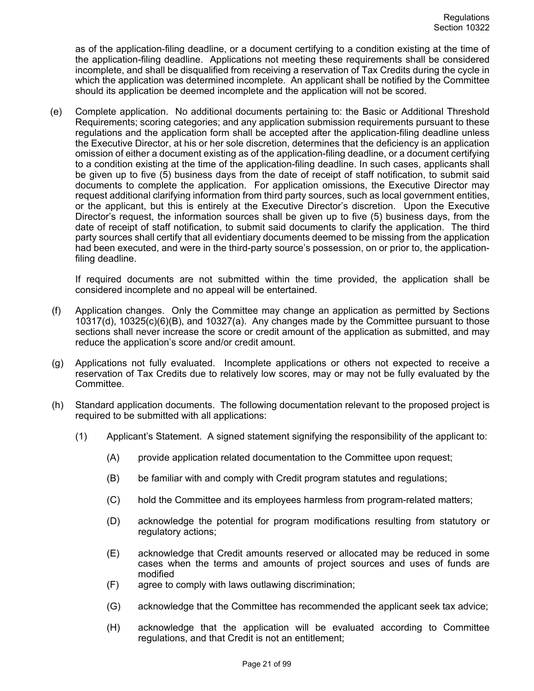as of the application-filing deadline, or a document certifying to a condition existing at the time of the application-filing deadline. Applications not meeting these requirements shall be considered incomplete, and shall be disqualified from receiving a reservation of Tax Credits during the cycle in which the application was determined incomplete. An applicant shall be notified by the Committee should its application be deemed incomplete and the application will not be scored.

(e) Complete application. No additional documents pertaining to: the Basic or Additional Threshold Requirements; scoring categories; and any application submission requirements pursuant to these regulations and the application form shall be accepted after the application-filing deadline unless the Executive Director, at his or her sole discretion, determines that the deficiency is an application omission of either a document existing as of the application-filing deadline, or a document certifying to a condition existing at the time of the application-filing deadline. In such cases, applicants shall be given up to five (5) business days from the date of receipt of staff notification, to submit said documents to complete the application. For application omissions, the Executive Director may request additional clarifying information from third party sources, such as local government entities, or the applicant, but this is entirely at the Executive Director's discretion. Upon the Executive Director's request, the information sources shall be given up to five (5) business days, from the date of receipt of staff notification, to submit said documents to clarify the application. The third party sources shall certify that all evidentiary documents deemed to be missing from the application had been executed, and were in the third-party source's possession, on or prior to, the applicationfiling deadline.

If required documents are not submitted within the time provided, the application shall be considered incomplete and no appeal will be entertained.

- (f) Application changes. Only the Committee may change an application as permitted by Sections 10317(d), 10325(c)(6)(B), and 10327(a). Any changes made by the Committee pursuant to those sections shall never increase the score or credit amount of the application as submitted, and may reduce the application's score and/or credit amount.
- (g) Applications not fully evaluated. Incomplete applications or others not expected to receive a reservation of Tax Credits due to relatively low scores, may or may not be fully evaluated by the Committee.
- (h) Standard application documents. The following documentation relevant to the proposed project is required to be submitted with all applications:
	- (1) Applicant's Statement. A signed statement signifying the responsibility of the applicant to:
		- (A) provide application related documentation to the Committee upon request;
		- (B) be familiar with and comply with Credit program statutes and regulations;
		- (C) hold the Committee and its employees harmless from program-related matters;
		- (D) acknowledge the potential for program modifications resulting from statutory or regulatory actions;
		- (E) acknowledge that Credit amounts reserved or allocated may be reduced in some cases when the terms and amounts of project sources and uses of funds are modified
		- (F) agree to comply with laws outlawing discrimination;
		- (G) acknowledge that the Committee has recommended the applicant seek tax advice;
		- (H) acknowledge that the application will be evaluated according to Committee regulations, and that Credit is not an entitlement;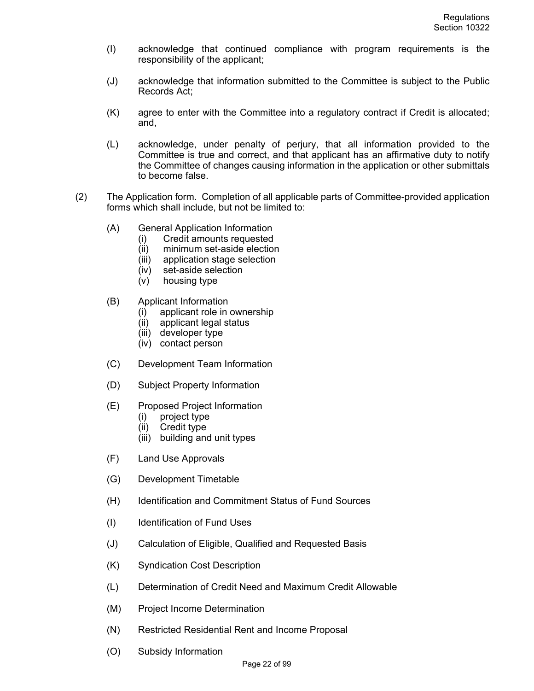- (I) acknowledge that continued compliance with program requirements is the responsibility of the applicant;
- (J) acknowledge that information submitted to the Committee is subject to the Public Records Act;
- (K) agree to enter with the Committee into a regulatory contract if Credit is allocated; and,
- (L) acknowledge, under penalty of perjury, that all information provided to the Committee is true and correct, and that applicant has an affirmative duty to notify the Committee of changes causing information in the application or other submittals to become false.
- (2) The Application form. Completion of all applicable parts of Committee-provided application forms which shall include, but not be limited to:
	- (A) General Application Information
		- (i) Credit amounts requested
		- (ii) minimum set-aside election
		- (iii) application stage selection
		- (iv) set-aside selection
		- (v) housing type
	- (B) Applicant Information
		- (i) applicant role in ownership
		- (ii) applicant legal status
		- (iii) developer type
		- (iv) contact person
	- (C) Development Team Information
	- (D) Subject Property Information
	- (E) Proposed Project Information
		- (i) project type
		- (ii) Credit type
		- (iii) building and unit types
	- (F) Land Use Approvals
	- (G) Development Timetable
	- (H) Identification and Commitment Status of Fund Sources
	- (I) Identification of Fund Uses
	- (J) Calculation of Eligible, Qualified and Requested Basis
	- (K) Syndication Cost Description
	- (L) Determination of Credit Need and Maximum Credit Allowable
	- (M) Project Income Determination
	- (N) Restricted Residential Rent and Income Proposal
	- (O) Subsidy Information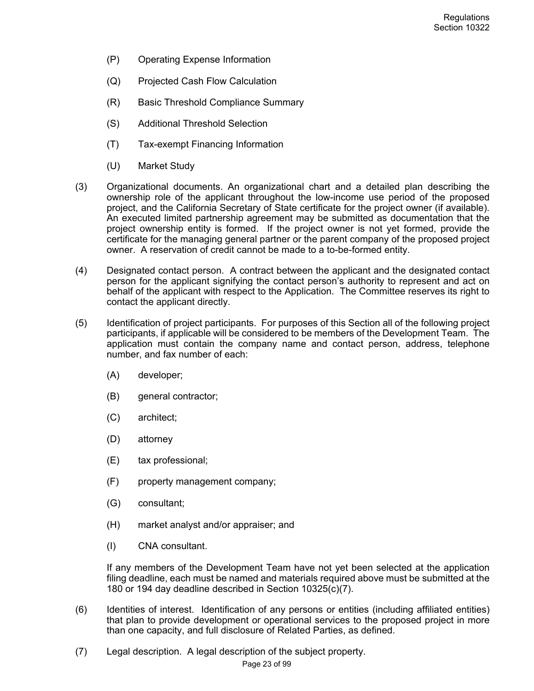- (P) Operating Expense Information
- (Q) Projected Cash Flow Calculation
- (R) Basic Threshold Compliance Summary
- (S) Additional Threshold Selection
- (T) Tax-exempt Financing Information
- (U) Market Study
- (3) Organizational documents. An organizational chart and a detailed plan describing the ownership role of the applicant throughout the low-income use period of the proposed project, and the California Secretary of State certificate for the project owner (if available). An executed limited partnership agreement may be submitted as documentation that the project ownership entity is formed. If the project owner is not yet formed, provide the certificate for the managing general partner or the parent company of the proposed project owner. A reservation of credit cannot be made to a to-be-formed entity.
- (4) Designated contact person. A contract between the applicant and the designated contact person for the applicant signifying the contact person's authority to represent and act on behalf of the applicant with respect to the Application. The Committee reserves its right to contact the applicant directly.
- (5) Identification of project participants. For purposes of this Section all of the following project participants, if applicable will be considered to be members of the Development Team. The application must contain the company name and contact person, address, telephone number, and fax number of each:
	- (A) developer;
	- (B) general contractor;
	- (C) architect;
	- (D) attorney
	- (E) tax professional;
	- (F) property management company;
	- (G) consultant;
	- (H) market analyst and/or appraiser; and
	- (I) CNA consultant.

If any members of the Development Team have not yet been selected at the application filing deadline, each must be named and materials required above must be submitted at the 180 or 194 day deadline described in Section 10325(c)(7).

- (6) Identities of interest. Identification of any persons or entities (including affiliated entities) that plan to provide development or operational services to the proposed project in more than one capacity, and full disclosure of Related Parties, as defined.
- (7) Legal description. A legal description of the subject property.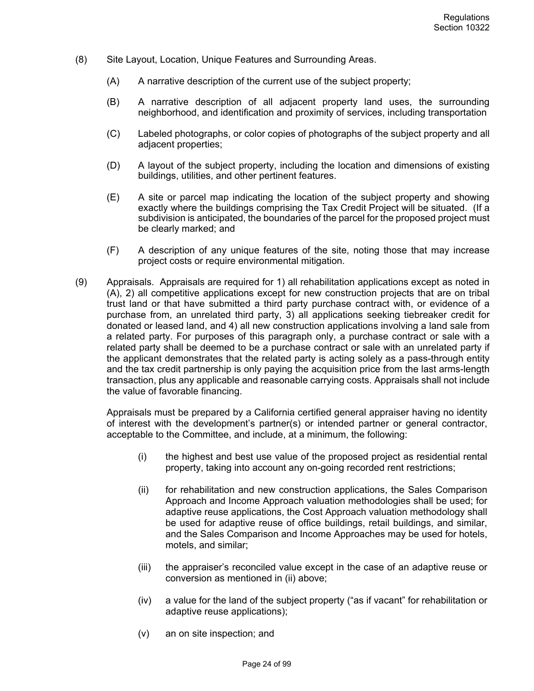- (8) Site Layout, Location, Unique Features and Surrounding Areas.
	- (A) A narrative description of the current use of the subject property;
	- (B) A narrative description of all adjacent property land uses, the surrounding neighborhood, and identification and proximity of services, including transportation
	- (C) Labeled photographs, or color copies of photographs of the subject property and all adjacent properties;
	- (D) A layout of the subject property, including the location and dimensions of existing buildings, utilities, and other pertinent features.
	- (E) A site or parcel map indicating the location of the subject property and showing exactly where the buildings comprising the Tax Credit Project will be situated. (If a subdivision is anticipated, the boundaries of the parcel for the proposed project must be clearly marked; and
	- (F) A description of any unique features of the site, noting those that may increase project costs or require environmental mitigation.
- (9) Appraisals. Appraisals are required for 1) all rehabilitation applications except as noted in (A), 2) all competitive applications except for new construction projects that are on tribal trust land or that have submitted a third party purchase contract with, or evidence of a purchase from, an unrelated third party, 3) all applications seeking tiebreaker credit for donated or leased land, and 4) all new construction applications involving a land sale from a related party. For purposes of this paragraph only, a purchase contract or sale with a related party shall be deemed to be a purchase contract or sale with an unrelated party if the applicant demonstrates that the related party is acting solely as a pass-through entity and the tax credit partnership is only paying the acquisition price from the last arms-length transaction, plus any applicable and reasonable carrying costs. Appraisals shall not include the value of favorable financing.

Appraisals must be prepared by a California certified general appraiser having no identity of interest with the development's partner(s) or intended partner or general contractor, acceptable to the Committee, and include, at a minimum, the following:

- (i) the highest and best use value of the proposed project as residential rental property, taking into account any on-going recorded rent restrictions;
- (ii) for rehabilitation and new construction applications, the Sales Comparison Approach and Income Approach valuation methodologies shall be used; for adaptive reuse applications, the Cost Approach valuation methodology shall be used for adaptive reuse of office buildings, retail buildings, and similar, and the Sales Comparison and Income Approaches may be used for hotels, motels, and similar;
- (iii) the appraiser's reconciled value except in the case of an adaptive reuse or conversion as mentioned in (ii) above;
- (iv) a value for the land of the subject property ("as if vacant" for rehabilitation or adaptive reuse applications);
- (v) an on site inspection; and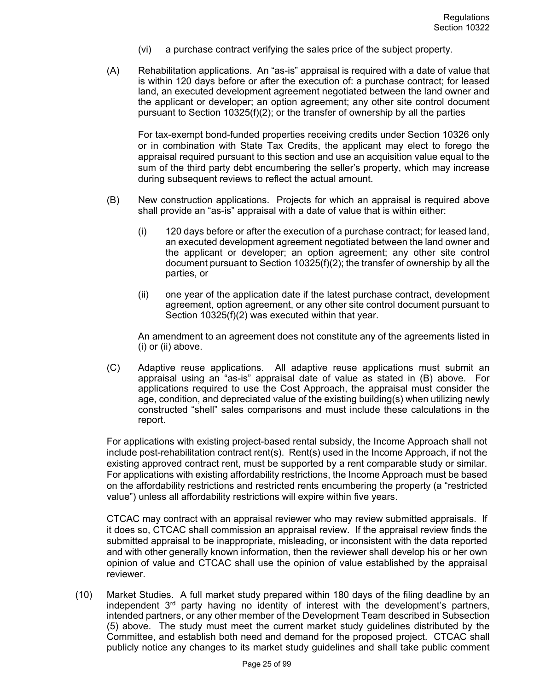- (vi) a purchase contract verifying the sales price of the subject property.
- (A) Rehabilitation applications. An "as-is" appraisal is required with a date of value that is within 120 days before or after the execution of: a purchase contract; for leased land, an executed development agreement negotiated between the land owner and the applicant or developer; an option agreement; any other site control document pursuant to Section 10325(f)(2); or the transfer of ownership by all the parties

For tax-exempt bond-funded properties receiving credits under Section 10326 only or in combination with State Tax Credits, the applicant may elect to forego the appraisal required pursuant to this section and use an acquisition value equal to the sum of the third party debt encumbering the seller's property, which may increase during subsequent reviews to reflect the actual amount.

- (B) New construction applications. Projects for which an appraisal is required above shall provide an "as-is" appraisal with a date of value that is within either:
	- (i) 120 days before or after the execution of a purchase contract; for leased land, an executed development agreement negotiated between the land owner and the applicant or developer; an option agreement; any other site control document pursuant to Section 10325(f)(2); the transfer of ownership by all the parties, or
	- (ii) one year of the application date if the latest purchase contract, development agreement, option agreement, or any other site control document pursuant to Section 10325(f)(2) was executed within that year.

An amendment to an agreement does not constitute any of the agreements listed in (i) or (ii) above.

(C) Adaptive reuse applications. All adaptive reuse applications must submit an appraisal using an "as-is" appraisal date of value as stated in (B) above. For applications required to use the Cost Approach, the appraisal must consider the age, condition, and depreciated value of the existing building(s) when utilizing newly constructed "shell" sales comparisons and must include these calculations in the report.

For applications with existing project-based rental subsidy, the Income Approach shall not include post-rehabilitation contract rent(s). Rent(s) used in the Income Approach, if not the existing approved contract rent, must be supported by a rent comparable study or similar. For applications with existing affordability restrictions, the Income Approach must be based on the affordability restrictions and restricted rents encumbering the property (a "restricted value") unless all affordability restrictions will expire within five years.

CTCAC may contract with an appraisal reviewer who may review submitted appraisals. If it does so, CTCAC shall commission an appraisal review. If the appraisal review finds the submitted appraisal to be inappropriate, misleading, or inconsistent with the data reported and with other generally known information, then the reviewer shall develop his or her own opinion of value and CTCAC shall use the opinion of value established by the appraisal reviewer.

(10) Market Studies. A full market study prepared within 180 days of the filing deadline by an independent  $3<sup>rd</sup>$  party having no identity of interest with the development's partners, intended partners, or any other member of the Development Team described in Subsection (5) above. The study must meet the current market study guidelines distributed by the Committee, and establish both need and demand for the proposed project. CTCAC shall publicly notice any changes to its market study guidelines and shall take public comment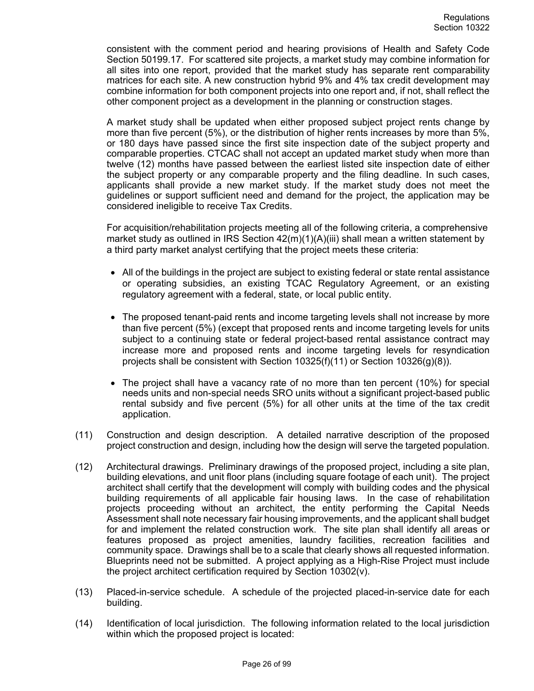consistent with the comment period and hearing provisions of Health and Safety Code Section 50199.17. For scattered site projects, a market study may combine information for all sites into one report, provided that the market study has separate rent comparability matrices for each site. A new construction hybrid 9% and 4% tax credit development may combine information for both component projects into one report and, if not, shall reflect the other component project as a development in the planning or construction stages.

A market study shall be updated when either proposed subject project rents change by more than five percent (5%), or the distribution of higher rents increases by more than 5%, or 180 days have passed since the first site inspection date of the subject property and comparable properties. CTCAC shall not accept an updated market study when more than twelve (12) months have passed between the earliest listed site inspection date of either the subject property or any comparable property and the filing deadline. In such cases, applicants shall provide a new market study. If the market study does not meet the guidelines or support sufficient need and demand for the project, the application may be considered ineligible to receive Tax Credits.

For acquisition/rehabilitation projects meeting all of the following criteria, a comprehensive market study as outlined in IRS Section  $42(m)(1)(A)(iii)$  shall mean a written statement by a third party market analyst certifying that the project meets these criteria:

- All of the buildings in the project are subject to existing federal or state rental assistance or operating subsidies, an existing TCAC Regulatory Agreement, or an existing regulatory agreement with a federal, state, or local public entity.
- The proposed tenant-paid rents and income targeting levels shall not increase by more than five percent (5%) (except that proposed rents and income targeting levels for units subject to a continuing state or federal project-based rental assistance contract may increase more and proposed rents and income targeting levels for resyndication projects shall be consistent with Section 10325(f)(11) or Section 10326(g)(8)).
- The project shall have a vacancy rate of no more than ten percent (10%) for special needs units and non-special needs SRO units without a significant project-based public rental subsidy and five percent (5%) for all other units at the time of the tax credit application.
- (11) Construction and design description. A detailed narrative description of the proposed project construction and design, including how the design will serve the targeted population.
- (12) Architectural drawings. Preliminary drawings of the proposed project, including a site plan, building elevations, and unit floor plans (including square footage of each unit). The project architect shall certify that the development will comply with building codes and the physical building requirements of all applicable fair housing laws. In the case of rehabilitation projects proceeding without an architect, the entity performing the Capital Needs Assessment shall note necessary fair housing improvements, and the applicant shall budget for and implement the related construction work. The site plan shall identify all areas or features proposed as project amenities, laundry facilities, recreation facilities and community space. Drawings shall be to a scale that clearly shows all requested information. Blueprints need not be submitted. A project applying as a High-Rise Project must include the project architect certification required by Section 10302(v).
- (13) Placed-in-service schedule. A schedule of the projected placed-in-service date for each building.
- (14) Identification of local jurisdiction. The following information related to the local jurisdiction within which the proposed project is located: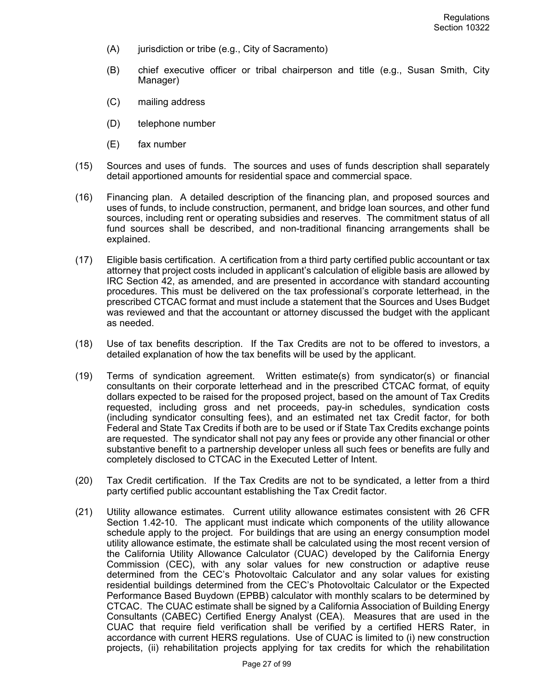- (A) jurisdiction or tribe (e.g., City of Sacramento)
- (B) chief executive officer or tribal chairperson and title (e.g., Susan Smith, City Manager)
- (C) mailing address
- (D) telephone number
- (E) fax number
- (15) Sources and uses of funds. The sources and uses of funds description shall separately detail apportioned amounts for residential space and commercial space.
- (16) Financing plan. A detailed description of the financing plan, and proposed sources and uses of funds, to include construction, permanent, and bridge loan sources, and other fund sources, including rent or operating subsidies and reserves. The commitment status of all fund sources shall be described, and non-traditional financing arrangements shall be explained.
- (17) Eligible basis certification. A certification from a third party certified public accountant or tax attorney that project costs included in applicant's calculation of eligible basis are allowed by IRC Section 42, as amended, and are presented in accordance with standard accounting procedures. This must be delivered on the tax professional's corporate letterhead, in the prescribed CTCAC format and must include a statement that the Sources and Uses Budget was reviewed and that the accountant or attorney discussed the budget with the applicant as needed.
- (18) Use of tax benefits description. If the Tax Credits are not to be offered to investors, a detailed explanation of how the tax benefits will be used by the applicant.
- (19) Terms of syndication agreement. Written estimate(s) from syndicator(s) or financial consultants on their corporate letterhead and in the prescribed CTCAC format, of equity dollars expected to be raised for the proposed project, based on the amount of Tax Credits requested, including gross and net proceeds, pay-in schedules, syndication costs (including syndicator consulting fees), and an estimated net tax Credit factor, for both Federal and State Tax Credits if both are to be used or if State Tax Credits exchange points are requested. The syndicator shall not pay any fees or provide any other financial or other substantive benefit to a partnership developer unless all such fees or benefits are fully and completely disclosed to CTCAC in the Executed Letter of Intent.
- (20) Tax Credit certification. If the Tax Credits are not to be syndicated, a letter from a third party certified public accountant establishing the Tax Credit factor.
- (21) Utility allowance estimates. Current utility allowance estimates consistent with 26 CFR Section 1.42-10. The applicant must indicate which components of the utility allowance schedule apply to the project. For buildings that are using an energy consumption model utility allowance estimate, the estimate shall be calculated using the most recent version of the California Utility Allowance Calculator (CUAC) developed by the California Energy Commission (CEC), with any solar values for new construction or adaptive reuse determined from the CEC's Photovoltaic Calculator and any solar values for existing residential buildings determined from the CEC's Photovoltaic Calculator or the Expected Performance Based Buydown (EPBB) calculator with monthly scalars to be determined by CTCAC. The CUAC estimate shall be signed by a California Association of Building Energy Consultants (CABEC) Certified Energy Analyst (CEA). Measures that are used in the CUAC that require field verification shall be verified by a certified HERS Rater, in accordance with current HERS regulations. Use of CUAC is limited to (i) new construction projects, (ii) rehabilitation projects applying for tax credits for which the rehabilitation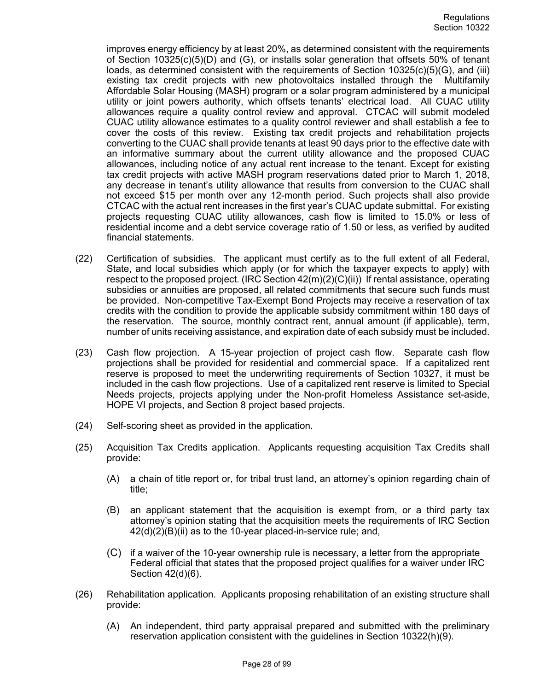improves energy efficiency by at least 20%, as determined consistent with the requirements of Section 10325(c)(5)(D) and (G), or installs solar generation that offsets 50% of tenant loads, as determined consistent with the requirements of Section 10325(c)(5)(G), and (iii) existing tax credit projects with new photovoltaics installed through the Multifamily Affordable Solar Housing (MASH) program or a solar program administered by a municipal utility or joint powers authority, which offsets tenants' electrical load. All CUAC utility allowances require a quality control review and approval. CTCAC will submit modeled CUAC utility allowance estimates to a quality control reviewer and shall establish a fee to cover the costs of this review. Existing tax credit projects and rehabilitation projects converting to the CUAC shall provide tenants at least 90 days prior to the effective date with an informative summary about the current utility allowance and the proposed CUAC allowances, including notice of any actual rent increase to the tenant. Except for existing tax credit projects with active MASH program reservations dated prior to March 1, 2018, any decrease in tenant's utility allowance that results from conversion to the CUAC shall not exceed \$15 per month over any 12-month period. Such projects shall also provide CTCAC with the actual rent increases in the first year's CUAC update submittal. For existing projects requesting CUAC utility allowances, cash flow is limited to 15.0% or less of residential income and a debt service coverage ratio of 1.50 or less, as verified by audited financial statements.

- (22) Certification of subsidies. The applicant must certify as to the full extent of all Federal, State, and local subsidies which apply (or for which the taxpayer expects to apply) with respect to the proposed project. (IRC Section  $42(m)(2)(C)(ii)$ ) If rental assistance, operating subsidies or annuities are proposed, all related commitments that secure such funds must be provided. Non-competitive Tax-Exempt Bond Projects may receive a reservation of tax credits with the condition to provide the applicable subsidy commitment within 180 days of the reservation. The source, monthly contract rent, annual amount (if applicable), term, number of units receiving assistance, and expiration date of each subsidy must be included.
- (23) Cash flow projection. A 15-year projection of project cash flow. Separate cash flow projections shall be provided for residential and commercial space. If a capitalized rent reserve is proposed to meet the underwriting requirements of Section 10327, it must be included in the cash flow projections. Use of a capitalized rent reserve is limited to Special Needs projects, projects applying under the Non-profit Homeless Assistance set-aside, HOPE VI projects, and Section 8 project based projects.
- (24) Self-scoring sheet as provided in the application.
- (25) Acquisition Tax Credits application. Applicants requesting acquisition Tax Credits shall provide:
	- (A) a chain of title report or, for tribal trust land, an attorney's opinion regarding chain of title;
	- (B) an applicant statement that the acquisition is exempt from, or a third party tax attorney's opinion stating that the acquisition meets the requirements of IRC Section 42(d)(2)(B)(ii) as to the 10-year placed-in-service rule; and,
	- (C) if a waiver of the 10-year ownership rule is necessary, a letter from the appropriate Federal official that states that the proposed project qualifies for a waiver under IRC Section 42(d)(6).
- (26) Rehabilitation application. Applicants proposing rehabilitation of an existing structure shall provide:
	- (A) An independent, third party appraisal prepared and submitted with the preliminary reservation application consistent with the guidelines in Section 10322(h)(9).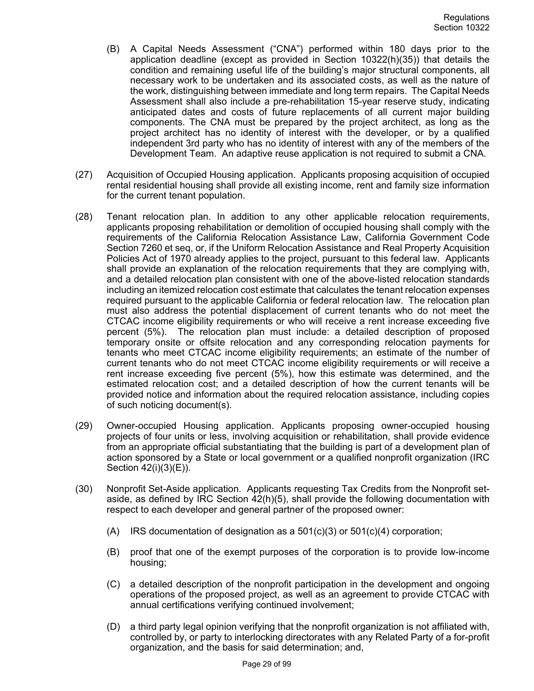- (B) A Capital Needs Assessment ("CNA") performed within 180 days prior to the application deadline (except as provided in Section 10322(h)(35)) that details the condition and remaining useful life of the building's major structural components, all necessary work to be undertaken and its associated costs, as well as the nature of the work, distinguishing between immediate and long term repairs. The Capital Needs Assessment shall also include a pre-rehabilitation 15-year reserve study, indicating anticipated dates and costs of future replacements of all current major building components. The CNA must be prepared by the project architect, as long as the project architect has no identity of interest with the developer, or by a qualified independent 3rd party who has no identity of interest with any of the members of the Development Team. An adaptive reuse application is not required to submit a CNA.
- (27) Acquisition of Occupied Housing application. Applicants proposing acquisition of occupied rental residential housing shall provide all existing income, rent and family size information for the current tenant population.
- (28) Tenant relocation plan. In addition to any other applicable relocation requirements, applicants proposing rehabilitation or demolition of occupied housing shall comply with the requirements of the California Relocation Assistance Law, California Government Code Section 7260 et seq, or, if the Uniform Relocation Assistance and Real Property Acquisition Policies Act of 1970 already applies to the project, pursuant to this federal law. Applicants shall provide an explanation of the relocation requirements that they are complying with, and a detailed relocation plan consistent with one of the above-listed relocation standards including an itemized relocation cost estimate that calculates the tenant relocation expenses required pursuant to the applicable California or federal relocation law. The relocation plan must also address the potential displacement of current tenants who do not meet the CTCAC income eligibility requirements or who will receive a rent increase exceeding five percent (5%). The relocation plan must include: a detailed description of proposed temporary onsite or offsite relocation and any corresponding relocation payments for tenants who meet CTCAC income eligibility requirements; an estimate of the number of current tenants who do not meet CTCAC income eligibility requirements or will receive a rent increase exceeding five percent (5%), how this estimate was determined, and the estimated relocation cost; and a detailed description of how the current tenants will be provided notice and information about the required relocation assistance, including copies of such noticing document(s).
- (29) Owner-occupied Housing application. Applicants proposing owner-occupied housing projects of four units or less, involving acquisition or rehabilitation, shall provide evidence from an appropriate official substantiating that the building is part of a development plan of action sponsored by a State or local government or a qualified nonprofit organization (IRC Section 42(i)(3)(E)).
- (30) Nonprofit Set-Aside application. Applicants requesting Tax Credits from the Nonprofit setaside, as defined by IRC Section 42(h)(5), shall provide the following documentation with respect to each developer and general partner of the proposed owner:
	- (A) IRS documentation of designation as a  $501(c)(3)$  or  $501(c)(4)$  corporation;
	- (B) proof that one of the exempt purposes of the corporation is to provide low-income housing;
	- (C) a detailed description of the nonprofit participation in the development and ongoing operations of the proposed project, as well as an agreement to provide CTCAC with annual certifications verifying continued involvement;
	- (D) a third party legal opinion verifying that the nonprofit organization is not affiliated with, controlled by, or party to interlocking directorates with any Related Party of a for-profit organization, and the basis for said determination; and,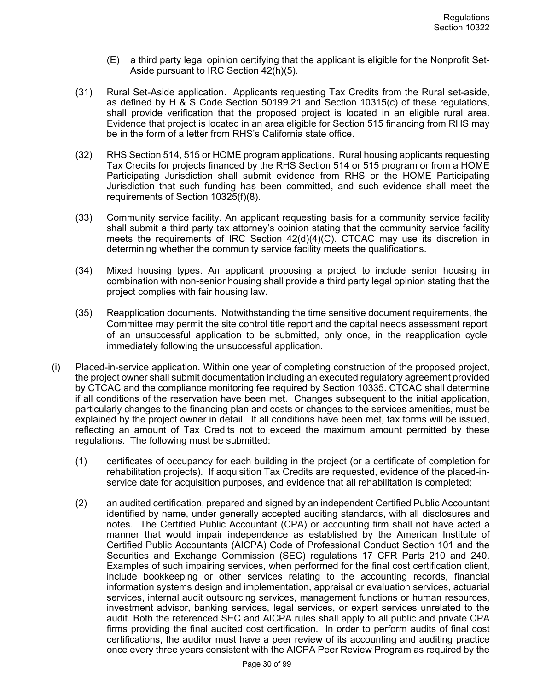- (E) a third party legal opinion certifying that the applicant is eligible for the Nonprofit Set-Aside pursuant to IRC Section 42(h)(5).
- (31) Rural Set-Aside application. Applicants requesting Tax Credits from the Rural set-aside, as defined by H & S Code Section 50199.21 and Section 10315(c) of these regulations, shall provide verification that the proposed project is located in an eligible rural area. Evidence that project is located in an area eligible for Section 515 financing from RHS may be in the form of a letter from RHS's California state office.
- (32) RHS Section 514, 515 or HOME program applications. Rural housing applicants requesting Tax Credits for projects financed by the RHS Section 514 or 515 program or from a HOME Participating Jurisdiction shall submit evidence from RHS or the HOME Participating Jurisdiction that such funding has been committed, and such evidence shall meet the requirements of Section 10325(f)(8).
- (33) Community service facility. An applicant requesting basis for a community service facility shall submit a third party tax attorney's opinion stating that the community service facility meets the requirements of IRC Section  $42(d)(4)(C)$ . CTCAC may use its discretion in determining whether the community service facility meets the qualifications.
- (34) Mixed housing types. An applicant proposing a project to include senior housing in combination with non-senior housing shall provide a third party legal opinion stating that the project complies with fair housing law.
- (35) Reapplication documents. Notwithstanding the time sensitive document requirements, the Committee may permit the site control title report and the capital needs assessment report of an unsuccessful application to be submitted, only once, in the reapplication cycle immediately following the unsuccessful application.
- (i) Placed-in-service application. Within one year of completing construction of the proposed project, the project owner shall submit documentation including an executed regulatory agreement provided by CTCAC and the compliance monitoring fee required by Section 10335. CTCAC shall determine if all conditions of the reservation have been met. Changes subsequent to the initial application, particularly changes to the financing plan and costs or changes to the services amenities, must be explained by the project owner in detail. If all conditions have been met, tax forms will be issued, reflecting an amount of Tax Credits not to exceed the maximum amount permitted by these regulations. The following must be submitted:
	- (1) certificates of occupancy for each building in the project (or a certificate of completion for rehabilitation projects). If acquisition Tax Credits are requested, evidence of the placed-inservice date for acquisition purposes, and evidence that all rehabilitation is completed;
	- (2) an audited certification, prepared and signed by an independent Certified Public Accountant identified by name, under generally accepted auditing standards, with all disclosures and notes. The Certified Public Accountant (CPA) or accounting firm shall not have acted a manner that would impair independence as established by the American Institute of Certified Public Accountants (AICPA) Code of Professional Conduct Section 101 and the Securities and Exchange Commission (SEC) regulations 17 CFR Parts 210 and 240. Examples of such impairing services, when performed for the final cost certification client, include bookkeeping or other services relating to the accounting records, financial information systems design and implementation, appraisal or evaluation services, actuarial services, internal audit outsourcing services, management functions or human resources, investment advisor, banking services, legal services, or expert services unrelated to the audit. Both the referenced SEC and AICPA rules shall apply to all public and private CPA firms providing the final audited cost certification. In order to perform audits of final cost certifications, the auditor must have a peer review of its accounting and auditing practice once every three years consistent with the AICPA Peer Review Program as required by the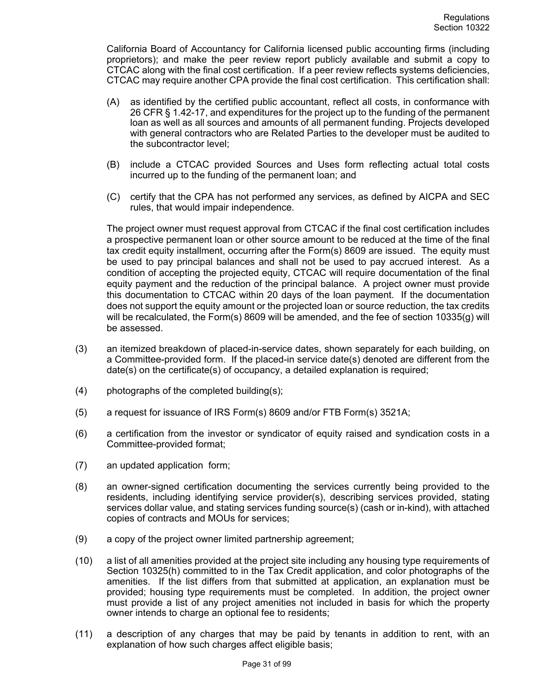California Board of Accountancy for California licensed public accounting firms (including proprietors); and make the peer review report publicly available and submit a copy to CTCAC along with the final cost certification. If a peer review reflects systems deficiencies, CTCAC may require another CPA provide the final cost certification. This certification shall:

- (A) as identified by the certified public accountant, reflect all costs, in conformance with 26 CFR § 1.42-17, and expenditures for the project up to the funding of the permanent loan as well as all sources and amounts of all permanent funding. Projects developed with general contractors who are Related Parties to the developer must be audited to the subcontractor level;
- (B) include a CTCAC provided Sources and Uses form reflecting actual total costs incurred up to the funding of the permanent loan; and
- (C) certify that the CPA has not performed any services, as defined by AICPA and SEC rules, that would impair independence.

The project owner must request approval from CTCAC if the final cost certification includes a prospective permanent loan or other source amount to be reduced at the time of the final tax credit equity installment, occurring after the Form(s) 8609 are issued. The equity must be used to pay principal balances and shall not be used to pay accrued interest. As a condition of accepting the projected equity, CTCAC will require documentation of the final equity payment and the reduction of the principal balance. A project owner must provide this documentation to CTCAC within 20 days of the loan payment. If the documentation does not support the equity amount or the projected loan or source reduction, the tax credits will be recalculated, the Form(s) 8609 will be amended, and the fee of section 10335(g) will be assessed.

- (3) an itemized breakdown of placed-in-service dates, shown separately for each building, on a Committee-provided form. If the placed-in service date(s) denoted are different from the date(s) on the certificate(s) of occupancy, a detailed explanation is required;
- (4) photographs of the completed building(s);
- (5) a request for issuance of IRS Form(s) 8609 and/or FTB Form(s) 3521A;
- (6) a certification from the investor or syndicator of equity raised and syndication costs in a Committee-provided format;
- (7) an updated application form;
- (8) an owner-signed certification documenting the services currently being provided to the residents, including identifying service provider(s), describing services provided, stating services dollar value, and stating services funding source(s) (cash or in-kind), with attached copies of contracts and MOUs for services;
- (9) a copy of the project owner limited partnership agreement;
- (10) a list of all amenities provided at the project site including any housing type requirements of Section 10325(h) committed to in the Tax Credit application, and color photographs of the amenities. If the list differs from that submitted at application, an explanation must be provided; housing type requirements must be completed. In addition, the project owner must provide a list of any project amenities not included in basis for which the property owner intends to charge an optional fee to residents;
- (11) a description of any charges that may be paid by tenants in addition to rent, with an explanation of how such charges affect eligible basis;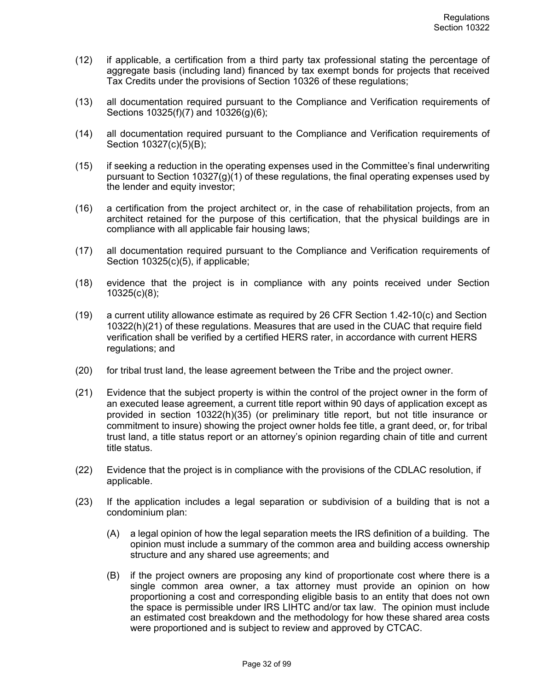- (12) if applicable, a certification from a third party tax professional stating the percentage of aggregate basis (including land) financed by tax exempt bonds for projects that received Tax Credits under the provisions of Section 10326 of these regulations;
- (13) all documentation required pursuant to the Compliance and Verification requirements of Sections 10325(f)(7) and 10326(g)(6);
- (14) all documentation required pursuant to the Compliance and Verification requirements of Section 10327(c)(5)(B);
- (15) if seeking a reduction in the operating expenses used in the Committee's final underwriting pursuant to Section 10327(g)(1) of these regulations, the final operating expenses used by the lender and equity investor;
- (16) a certification from the project architect or, in the case of rehabilitation projects, from an architect retained for the purpose of this certification, that the physical buildings are in compliance with all applicable fair housing laws;
- (17) all documentation required pursuant to the Compliance and Verification requirements of Section 10325(c)(5), if applicable;
- (18) evidence that the project is in compliance with any points received under Section 10325(c)(8);
- (19) a current utility allowance estimate as required by 26 CFR Section 1.42-10(c) and Section 10322(h)(21) of these regulations. Measures that are used in the CUAC that require field verification shall be verified by a certified HERS rater, in accordance with current HERS regulations; and
- (20) for tribal trust land, the lease agreement between the Tribe and the project owner.
- (21) Evidence that the subject property is within the control of the project owner in the form of an executed lease agreement, a current title report within 90 days of application except as provided in section 10322(h)(35) (or preliminary title report, but not title insurance or commitment to insure) showing the project owner holds fee title, a grant deed, or, for tribal trust land, a title status report or an attorney's opinion regarding chain of title and current title status.
- (22) Evidence that the project is in compliance with the provisions of the CDLAC resolution, if applicable.
- (23) If the application includes a legal separation or subdivision of a building that is not a condominium plan:
	- (A) a legal opinion of how the legal separation meets the IRS definition of a building. The opinion must include a summary of the common area and building access ownership structure and any shared use agreements; and
	- (B) if the project owners are proposing any kind of proportionate cost where there is a single common area owner, a tax attorney must provide an opinion on how proportioning a cost and corresponding eligible basis to an entity that does not own the space is permissible under IRS LIHTC and/or tax law. The opinion must include an estimated cost breakdown and the methodology for how these shared area costs were proportioned and is subject to review and approved by CTCAC.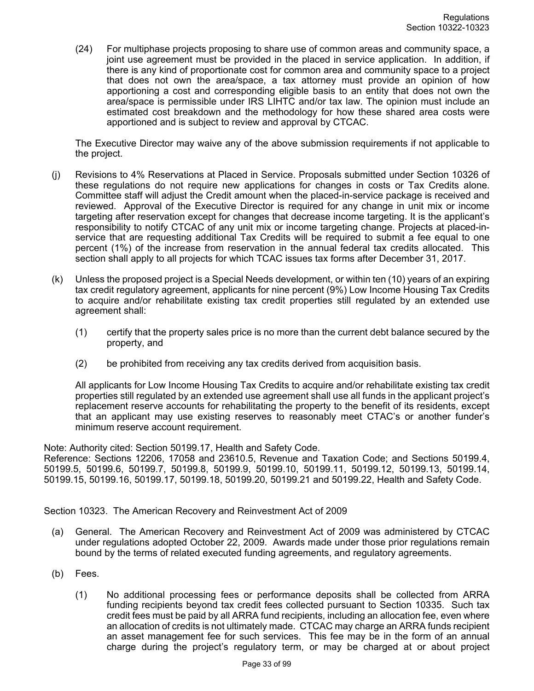(24) For multiphase projects proposing to share use of common areas and community space, a joint use agreement must be provided in the placed in service application. In addition, if there is any kind of proportionate cost for common area and community space to a project that does not own the area/space, a tax attorney must provide an opinion of how apportioning a cost and corresponding eligible basis to an entity that does not own the area/space is permissible under IRS LIHTC and/or tax law. The opinion must include an estimated cost breakdown and the methodology for how these shared area costs were apportioned and is subject to review and approval by CTCAC.

The Executive Director may waive any of the above submission requirements if not applicable to the project.

- (j) Revisions to 4% Reservations at Placed in Service. Proposals submitted under Section 10326 of these regulations do not require new applications for changes in costs or Tax Credits alone. Committee staff will adjust the Credit amount when the placed-in-service package is received and reviewed. Approval of the Executive Director is required for any change in unit mix or income targeting after reservation except for changes that decrease income targeting. It is the applicant's responsibility to notify CTCAC of any unit mix or income targeting change. Projects at placed-inservice that are requesting additional Tax Credits will be required to submit a fee equal to one percent (1%) of the increase from reservation in the annual federal tax credits allocated. This section shall apply to all projects for which TCAC issues tax forms after December 31, 2017.
- (k) Unless the proposed project is a Special Needs development, or within ten (10) years of an expiring tax credit regulatory agreement, applicants for nine percent (9%) Low Income Housing Tax Credits to acquire and/or rehabilitate existing tax credit properties still regulated by an extended use agreement shall:
	- (1) certify that the property sales price is no more than the current debt balance secured by the property, and
	- (2) be prohibited from receiving any tax credits derived from acquisition basis.

All applicants for Low Income Housing Tax Credits to acquire and/or rehabilitate existing tax credit properties still regulated by an extended use agreement shall use all funds in the applicant project's replacement reserve accounts for rehabilitating the property to the benefit of its residents, except that an applicant may use existing reserves to reasonably meet CTAC's or another funder's minimum reserve account requirement.

Note: Authority cited: Section 50199.17, Health and Safety Code.

Reference: Sections 12206, 17058 and 23610.5, Revenue and Taxation Code; and Sections 50199.4, 50199.5, 50199.6, 50199.7, 50199.8, 50199.9, 50199.10, 50199.11, 50199.12, 50199.13, 50199.14, 50199.15, 50199.16, 50199.17, 50199.18, 50199.20, 50199.21 and 50199.22, Health and Safety Code.

Section 10323. The American Recovery and Reinvestment Act of 2009

- (a) General. The American Recovery and Reinvestment Act of 2009 was administered by CTCAC under regulations adopted October 22, 2009. Awards made under those prior regulations remain bound by the terms of related executed funding agreements, and regulatory agreements.
- (b) Fees.
	- (1) No additional processing fees or performance deposits shall be collected from ARRA funding recipients beyond tax credit fees collected pursuant to Section 10335. Such tax credit fees must be paid by all ARRA fund recipients, including an allocation fee, even where an allocation of credits is not ultimately made. CTCAC may charge an ARRA funds recipient an asset management fee for such services. This fee may be in the form of an annual charge during the project's regulatory term, or may be charged at or about project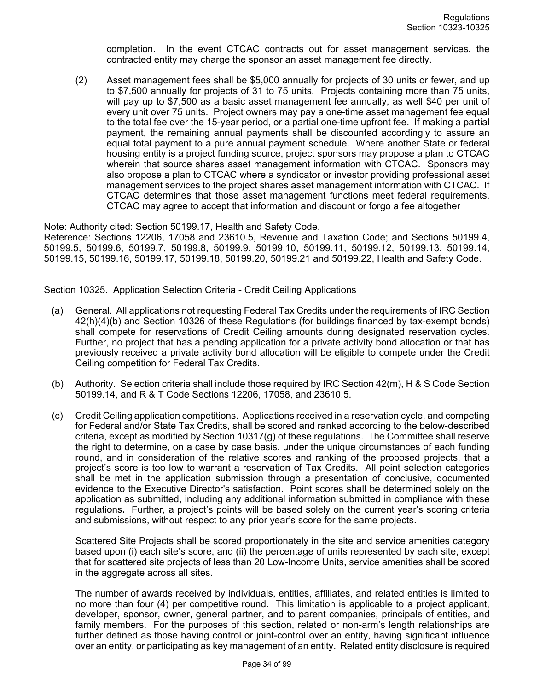completion. In the event CTCAC contracts out for asset management services, the contracted entity may charge the sponsor an asset management fee directly.

(2) Asset management fees shall be \$5,000 annually for projects of 30 units or fewer, and up to \$7,500 annually for projects of 31 to 75 units. Projects containing more than 75 units, will pay up to \$7,500 as a basic asset management fee annually, as well \$40 per unit of every unit over 75 units. Project owners may pay a one-time asset management fee equal to the total fee over the 15-year period, or a partial one-time upfront fee. If making a partial payment, the remaining annual payments shall be discounted accordingly to assure an equal total payment to a pure annual payment schedule. Where another State or federal housing entity is a project funding source, project sponsors may propose a plan to CTCAC wherein that source shares asset management information with CTCAC. Sponsors may also propose a plan to CTCAC where a syndicator or investor providing professional asset management services to the project shares asset management information with CTCAC. If CTCAC determines that those asset management functions meet federal requirements, CTCAC may agree to accept that information and discount or forgo a fee altogether

Note: Authority cited: Section 50199.17, Health and Safety Code.

Reference: Sections 12206, 17058 and 23610.5, Revenue and Taxation Code; and Sections 50199.4, 50199.5, 50199.6, 50199.7, 50199.8, 50199.9, 50199.10, 50199.11, 50199.12, 50199.13, 50199.14, 50199.15, 50199.16, 50199.17, 50199.18, 50199.20, 50199.21 and 50199.22, Health and Safety Code.

Section 10325. Application Selection Criteria - Credit Ceiling Applications

- (a) General. All applications not requesting Federal Tax Credits under the requirements of IRC Section 42(h)(4)(b) and Section 10326 of these Regulations (for buildings financed by tax-exempt bonds) shall compete for reservations of Credit Ceiling amounts during designated reservation cycles. Further, no project that has a pending application for a private activity bond allocation or that has previously received a private activity bond allocation will be eligible to compete under the Credit Ceiling competition for Federal Tax Credits.
- (b) Authority. Selection criteria shall include those required by IRC Section 42(m), H & S Code Section 50199.14, and R & T Code Sections 12206, 17058, and 23610.5.
- (c) Credit Ceiling application competitions. Applications received in a reservation cycle, and competing for Federal and/or State Tax Credits, shall be scored and ranked according to the below-described criteria, except as modified by Section 10317(g) of these regulations. The Committee shall reserve the right to determine, on a case by case basis, under the unique circumstances of each funding round, and in consideration of the relative scores and ranking of the proposed projects, that a project's score is too low to warrant a reservation of Tax Credits. All point selection categories shall be met in the application submission through a presentation of conclusive, documented evidence to the Executive Director's satisfaction. Point scores shall be determined solely on the application as submitted, including any additional information submitted in compliance with these regulations**.** Further, a project's points will be based solely on the current year's scoring criteria and submissions, without respect to any prior year's score for the same projects.

Scattered Site Projects shall be scored proportionately in the site and service amenities category based upon (i) each site's score, and (ii) the percentage of units represented by each site, except that for scattered site projects of less than 20 Low-Income Units, service amenities shall be scored in the aggregate across all sites.

The number of awards received by individuals, entities, affiliates, and related entities is limited to no more than four (4) per competitive round. This limitation is applicable to a project applicant, developer, sponsor, owner, general partner, and to parent companies, principals of entities, and family members. For the purposes of this section, related or non-arm's length relationships are further defined as those having control or joint-control over an entity, having significant influence over an entity, or participating as key management of an entity. Related entity disclosure is required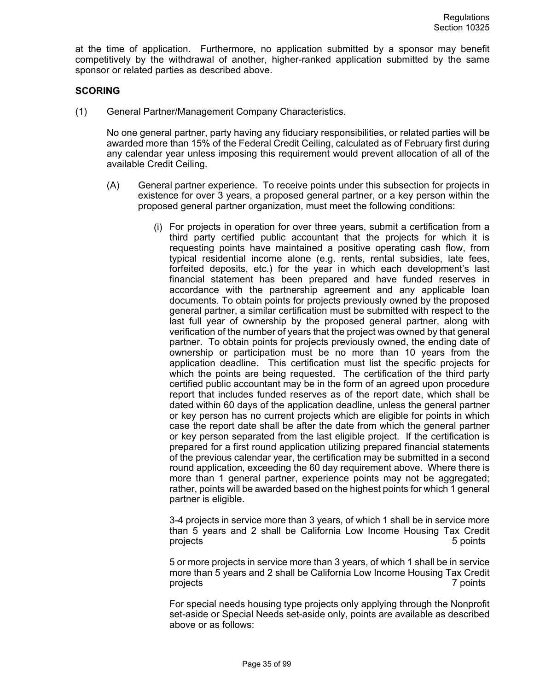at the time of application. Furthermore, no application submitted by a sponsor may benefit competitively by the withdrawal of another, higher-ranked application submitted by the same sponsor or related parties as described above.

## **SCORING**

(1) General Partner/Management Company Characteristics.

No one general partner, party having any fiduciary responsibilities, or related parties will be awarded more than 15% of the Federal Credit Ceiling, calculated as of February first during any calendar year unless imposing this requirement would prevent allocation of all of the available Credit Ceiling.

- (A) General partner experience. To receive points under this subsection for projects in existence for over 3 years, a proposed general partner, or a key person within the proposed general partner organization, must meet the following conditions:
	- (i) For projects in operation for over three years, submit a certification from a third party certified public accountant that the projects for which it is requesting points have maintained a positive operating cash flow, from typical residential income alone (e.g. rents, rental subsidies, late fees, forfeited deposits, etc.) for the year in which each development's last financial statement has been prepared and have funded reserves in accordance with the partnership agreement and any applicable loan documents. To obtain points for projects previously owned by the proposed general partner, a similar certification must be submitted with respect to the last full year of ownership by the proposed general partner, along with verification of the number of years that the project was owned by that general partner. To obtain points for projects previously owned, the ending date of ownership or participation must be no more than 10 years from the application deadline. This certification must list the specific projects for which the points are being requested. The certification of the third party certified public accountant may be in the form of an agreed upon procedure report that includes funded reserves as of the report date, which shall be dated within 60 days of the application deadline, unless the general partner or key person has no current projects which are eligible for points in which case the report date shall be after the date from which the general partner or key person separated from the last eligible project. If the certification is prepared for a first round application utilizing prepared financial statements of the previous calendar year, the certification may be submitted in a second round application, exceeding the 60 day requirement above. Where there is more than 1 general partner, experience points may not be aggregated; rather, points will be awarded based on the highest points for which 1 general partner is eligible.

3-4 projects in service more than 3 years, of which 1 shall be in service more than 5 years and 2 shall be California Low Income Housing Tax Credit projects 5 points

5 or more projects in service more than 3 years, of which 1 shall be in service more than 5 years and 2 shall be California Low Income Housing Tax Credit projects 7 points

For special needs housing type projects only applying through the Nonprofit set-aside or Special Needs set-aside only, points are available as described above or as follows: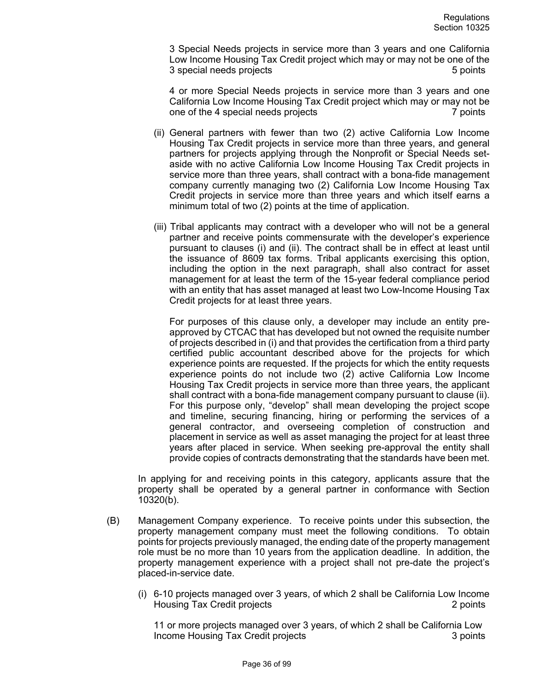3 Special Needs projects in service more than 3 years and one California Low Income Housing Tax Credit project which may or may not be one of the 3 special needs projects **5 points** 5 points

4 or more Special Needs projects in service more than 3 years and one California Low Income Housing Tax Credit project which may or may not be one of the 4 special needs projects **7** points 7 points

- (ii) General partners with fewer than two (2) active California Low Income Housing Tax Credit projects in service more than three years, and general partners for projects applying through the Nonprofit or Special Needs setaside with no active California Low Income Housing Tax Credit projects in service more than three years, shall contract with a bona-fide management company currently managing two (2) California Low Income Housing Tax Credit projects in service more than three years and which itself earns a minimum total of two (2) points at the time of application.
- (iii) Tribal applicants may contract with a developer who will not be a general partner and receive points commensurate with the developer's experience pursuant to clauses (i) and (ii). The contract shall be in effect at least until the issuance of 8609 tax forms. Tribal applicants exercising this option, including the option in the next paragraph, shall also contract for asset management for at least the term of the 15-year federal compliance period with an entity that has asset managed at least two Low-Income Housing Tax Credit projects for at least three years.

For purposes of this clause only, a developer may include an entity preapproved by CTCAC that has developed but not owned the requisite number of projects described in (i) and that provides the certification from a third party certified public accountant described above for the projects for which experience points are requested. If the projects for which the entity requests experience points do not include two (2) active California Low Income Housing Tax Credit projects in service more than three years, the applicant shall contract with a bona-fide management company pursuant to clause (ii). For this purpose only, "develop" shall mean developing the project scope and timeline, securing financing, hiring or performing the services of a general contractor, and overseeing completion of construction and placement in service as well as asset managing the project for at least three years after placed in service. When seeking pre-approval the entity shall provide copies of contracts demonstrating that the standards have been met.

In applying for and receiving points in this category, applicants assure that the property shall be operated by a general partner in conformance with Section 10320(b).

- (B) Management Company experience. To receive points under this subsection, the property management company must meet the following conditions. To obtain points for projects previously managed, the ending date of the property management role must be no more than 10 years from the application deadline. In addition, the property management experience with a project shall not pre-date the project's placed-in-service date.
	- (i) 6-10 projects managed over 3 years, of which 2 shall be California Low Income Housing Tax Credit projects 2 points

11 or more projects managed over 3 years, of which 2 shall be California Low Income Housing Tax Credit projects 3 points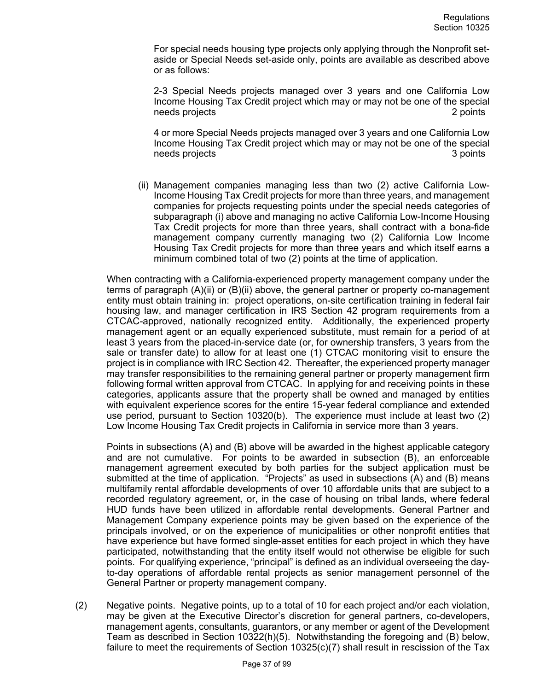For special needs housing type projects only applying through the Nonprofit setaside or Special Needs set-aside only, points are available as described above or as follows:

2-3 Special Needs projects managed over 3 years and one California Low Income Housing Tax Credit project which may or may not be one of the special needs projects **2 points** 2 points

4 or more Special Needs projects managed over 3 years and one California Low Income Housing Tax Credit project which may or may not be one of the special needs projects **3** points **3** points

(ii) Management companies managing less than two (2) active California Low-Income Housing Tax Credit projects for more than three years, and management companies for projects requesting points under the special needs categories of subparagraph (i) above and managing no active California Low-Income Housing Tax Credit projects for more than three years, shall contract with a bona-fide management company currently managing two (2) California Low Income Housing Tax Credit projects for more than three years and which itself earns a minimum combined total of two (2) points at the time of application.

When contracting with a California-experienced property management company under the terms of paragraph (A)(ii) or (B)(ii) above, the general partner or property co-management entity must obtain training in: project operations, on-site certification training in federal fair housing law, and manager certification in IRS Section 42 program requirements from a CTCAC-approved, nationally recognized entity. Additionally, the experienced property management agent or an equally experienced substitute, must remain for a period of at least 3 years from the placed-in-service date (or, for ownership transfers, 3 years from the sale or transfer date) to allow for at least one (1) CTCAC monitoring visit to ensure the project is in compliance with IRC Section 42. Thereafter, the experienced property manager may transfer responsibilities to the remaining general partner or property management firm following formal written approval from CTCAC. In applying for and receiving points in these categories, applicants assure that the property shall be owned and managed by entities with equivalent experience scores for the entire 15-year federal compliance and extended use period, pursuant to Section 10320(b). The experience must include at least two (2) Low Income Housing Tax Credit projects in California in service more than 3 years.

Points in subsections (A) and (B) above will be awarded in the highest applicable category and are not cumulative. For points to be awarded in subsection (B), an enforceable management agreement executed by both parties for the subject application must be submitted at the time of application. "Projects" as used in subsections (A) and (B) means multifamily rental affordable developments of over 10 affordable units that are subject to a recorded regulatory agreement, or, in the case of housing on tribal lands, where federal HUD funds have been utilized in affordable rental developments. General Partner and Management Company experience points may be given based on the experience of the principals involved, or on the experience of municipalities or other nonprofit entities that have experience but have formed single-asset entities for each project in which they have participated, notwithstanding that the entity itself would not otherwise be eligible for such points. For qualifying experience, "principal" is defined as an individual overseeing the dayto-day operations of affordable rental projects as senior management personnel of the General Partner or property management company.

(2) Negative points. Negative points, up to a total of 10 for each project and/or each violation, may be given at the Executive Director's discretion for general partners, co-developers, management agents, consultants, guarantors, or any member or agent of the Development Team as described in Section 10322(h)(5). Notwithstanding the foregoing and (B) below, failure to meet the requirements of Section  $10325(c)(7)$  shall result in rescission of the Tax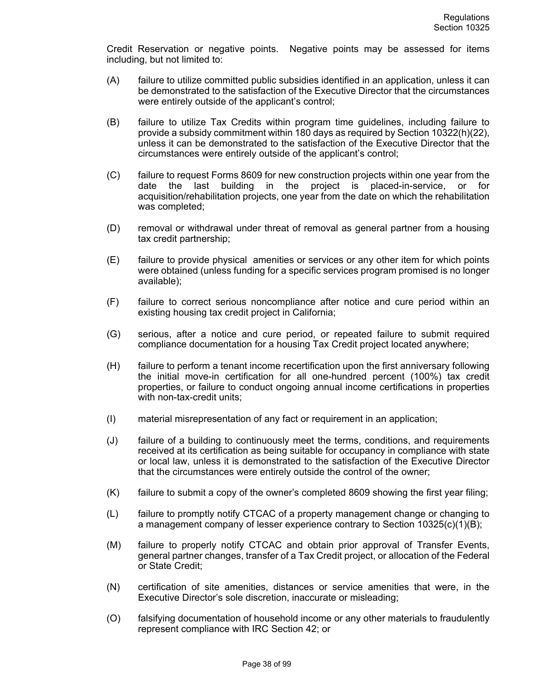Credit Reservation or negative points. Negative points may be assessed for items including, but not limited to:

- (A) failure to utilize committed public subsidies identified in an application, unless it can be demonstrated to the satisfaction of the Executive Director that the circumstances were entirely outside of the applicant's control;
- (B) failure to utilize Tax Credits within program time guidelines, including failure to provide a subsidy commitment within 180 days as required by Section 10322(h)(22), unless it can be demonstrated to the satisfaction of the Executive Director that the circumstances were entirely outside of the applicant's control;
- (C) failure to request Forms 8609 for new construction projects within one year from the date the last building in the project is placed-in-service, or for acquisition/rehabilitation projects, one year from the date on which the rehabilitation was completed;
- (D) removal or withdrawal under threat of removal as general partner from a housing tax credit partnership;
- (E) failure to provide physical amenities or services or any other item for which points were obtained (unless funding for a specific services program promised is no longer available);
- (F) failure to correct serious noncompliance after notice and cure period within an existing housing tax credit project in California;
- (G) serious, after a notice and cure period, or repeated failure to submit required compliance documentation for a housing Tax Credit project located anywhere;
- (H) failure to perform a tenant income recertification upon the first anniversary following the initial move-in certification for all one-hundred percent (100%) tax credit properties, or failure to conduct ongoing annual income certifications in properties with non-tax-credit units;
- (I) material misrepresentation of any fact or requirement in an application;
- (J) failure of a building to continuously meet the terms, conditions, and requirements received at its certification as being suitable for occupancy in compliance with state or local law, unless it is demonstrated to the satisfaction of the Executive Director that the circumstances were entirely outside the control of the owner;
- (K) failure to submit a copy of the owner's completed 8609 showing the first year filing;
- (L) failure to promptly notify CTCAC of a property management change or changing to a management company of lesser experience contrary to Section  $10325(c)(1)(B)$ ;
- (M) failure to properly notify CTCAC and obtain prior approval of Transfer Events, general partner changes, transfer of a Tax Credit project, or allocation of the Federal or State Credit;
- (N) certification of site amenities, distances or service amenities that were, in the Executive Director's sole discretion, inaccurate or misleading;
- (O) falsifying documentation of household income or any other materials to fraudulently represent compliance with IRC Section 42; or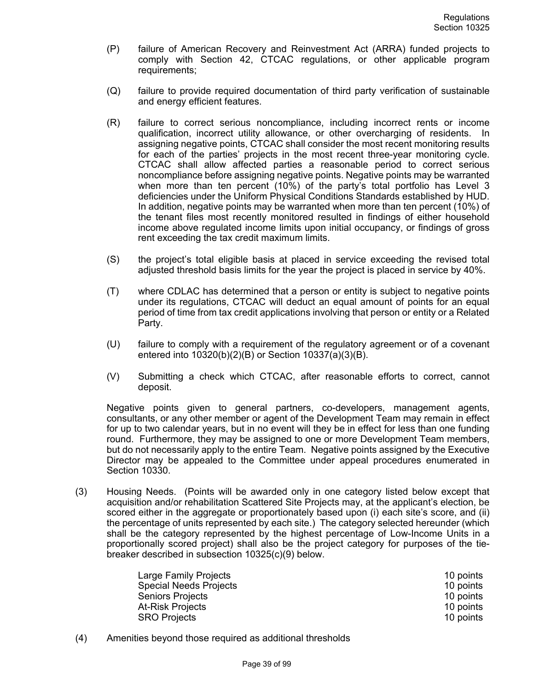- (P) failure of American Recovery and Reinvestment Act (ARRA) funded projects to comply with Section 42, CTCAC regulations, or other applicable program requirements;
- (Q) failure to provide required documentation of third party verification of sustainable and energy efficient features.
- (R) failure to correct serious noncompliance, including incorrect rents or income qualification, incorrect utility allowance, or other overcharging of residents. In assigning negative points, CTCAC shall consider the most recent monitoring results for each of the parties' projects in the most recent three-year monitoring cycle. CTCAC shall allow affected parties a reasonable period to correct serious noncompliance before assigning negative points. Negative points may be warranted when more than ten percent (10%) of the party's total portfolio has Level 3 deficiencies under the Uniform Physical Conditions Standards established by HUD. In addition, negative points may be warranted when more than ten percent (10%) of the tenant files most recently monitored resulted in findings of either household income above regulated income limits upon initial occupancy, or findings of gross rent exceeding the tax credit maximum limits.
- (S) the project's total eligible basis at placed in service exceeding the revised total adjusted threshold basis limits for the year the project is placed in service by 40%.
- (T) where CDLAC has determined that a person or entity is subject to negative points under its regulations, CTCAC will deduct an equal amount of points for an equal period of time from tax credit applications involving that person or entity or a Related Party.
- (U) failure to comply with a requirement of the regulatory agreement or of a covenant entered into 10320(b)(2)(B) or Section 10337(a)(3)(B).
- (V) Submitting a check which CTCAC, after reasonable efforts to correct, cannot deposit.

Negative points given to general partners, co-developers, management agents, consultants, or any other member or agent of the Development Team may remain in effect for up to two calendar years, but in no event will they be in effect for less than one funding round. Furthermore, they may be assigned to one or more Development Team members, but do not necessarily apply to the entire Team. Negative points assigned by the Executive Director may be appealed to the Committee under appeal procedures enumerated in Section 10330.

(3) Housing Needs. (Points will be awarded only in one category listed below except that acquisition and/or rehabilitation Scattered Site Projects may, at the applicant's election, be scored either in the aggregate or proportionately based upon (i) each site's score, and (ii) the percentage of units represented by each site.) The category selected hereunder (which shall be the category represented by the highest percentage of Low-Income Units in a proportionally scored project) shall also be the project category for purposes of the tiebreaker described in subsection 10325(c)(9) below.

| Large Family Projects         | 10 points |
|-------------------------------|-----------|
| <b>Special Needs Projects</b> | 10 points |
| <b>Seniors Projects</b>       | 10 points |
| <b>At-Risk Projects</b>       | 10 points |
| <b>SRO Projects</b>           | 10 points |

(4) Amenities beyond those required as additional thresholds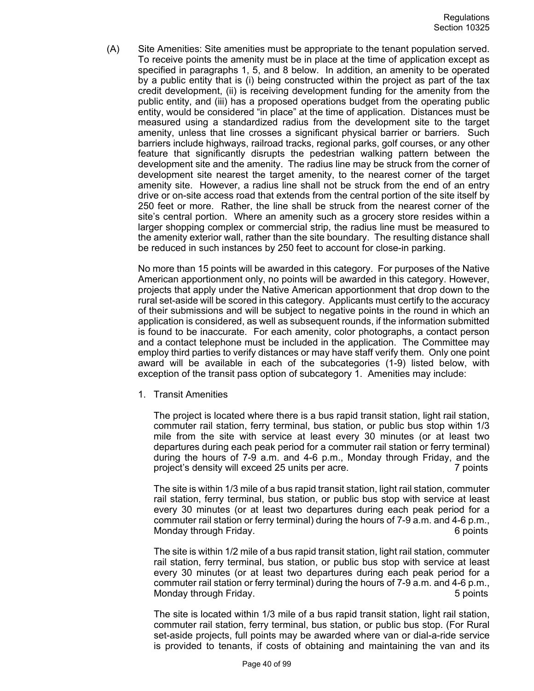(A) Site Amenities: Site amenities must be appropriate to the tenant population served. To receive points the amenity must be in place at the time of application except as specified in paragraphs 1, 5, and 8 below. In addition, an amenity to be operated by a public entity that is (i) being constructed within the project as part of the tax credit development, (ii) is receiving development funding for the amenity from the public entity, and (iii) has a proposed operations budget from the operating public entity, would be considered "in place" at the time of application. Distances must be measured using a standardized radius from the development site to the target amenity, unless that line crosses a significant physical barrier or barriers. Such barriers include highways, railroad tracks, regional parks, golf courses, or any other feature that significantly disrupts the pedestrian walking pattern between the development site and the amenity. The radius line may be struck from the corner of development site nearest the target amenity, to the nearest corner of the target amenity site. However, a radius line shall not be struck from the end of an entry drive or on-site access road that extends from the central portion of the site itself by 250 feet or more. Rather, the line shall be struck from the nearest corner of the site's central portion. Where an amenity such as a grocery store resides within a larger shopping complex or commercial strip, the radius line must be measured to the amenity exterior wall, rather than the site boundary. The resulting distance shall be reduced in such instances by 250 feet to account for close-in parking.

No more than 15 points will be awarded in this category. For purposes of the Native American apportionment only, no points will be awarded in this category. However, projects that apply under the Native American apportionment that drop down to the rural set-aside will be scored in this category. Applicants must certify to the accuracy of their submissions and will be subject to negative points in the round in which an application is considered, as well as subsequent rounds, if the information submitted is found to be inaccurate. For each amenity, color photographs, a contact person and a contact telephone must be included in the application. The Committee may employ third parties to verify distances or may have staff verify them. Only one point award will be available in each of the subcategories (1-9) listed below, with exception of the transit pass option of subcategory 1. Amenities may include:

1. Transit Amenities

The project is located where there is a bus rapid transit station, light rail station, commuter rail station, ferry terminal, bus station, or public bus stop within 1/3 mile from the site with service at least every 30 minutes (or at least two departures during each peak period for a commuter rail station or ferry terminal) during the hours of 7-9 a.m. and 4-6 p.m., Monday through Friday, and the project's density will exceed 25 units per acre. 7 points

The site is within 1/3 mile of a bus rapid transit station, light rail station, commuter rail station, ferry terminal, bus station, or public bus stop with service at least every 30 minutes (or at least two departures during each peak period for a commuter rail station or ferry terminal) during the hours of 7-9 a.m. and 4-6 p.m., Monday through Friday. **6 points** 6 points

The site is within 1/2 mile of a bus rapid transit station, light rail station, commuter rail station, ferry terminal, bus station, or public bus stop with service at least every 30 minutes (or at least two departures during each peak period for a commuter rail station or ferry terminal) during the hours of 7-9 a.m. and 4-6 p.m., Monday through Friday. 5 points

The site is located within 1/3 mile of a bus rapid transit station, light rail station, commuter rail station, ferry terminal, bus station, or public bus stop. (For Rural set-aside projects, full points may be awarded where van or dial-a-ride service is provided to tenants, if costs of obtaining and maintaining the van and its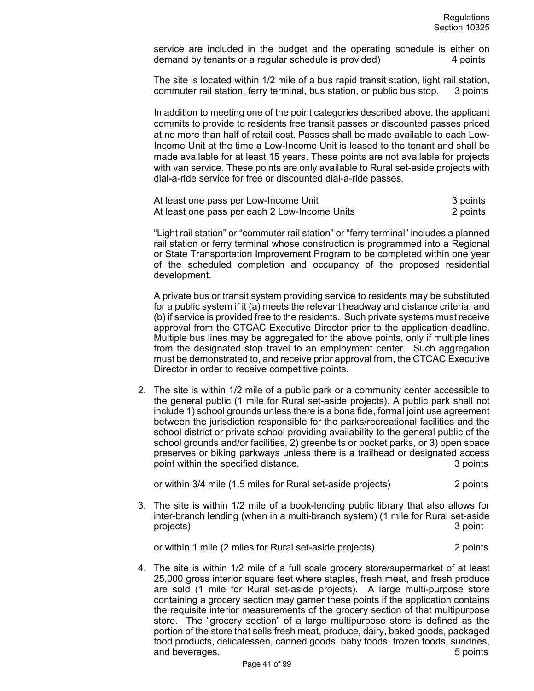service are included in the budget and the operating schedule is either on demand by tenants or a regular schedule is provided) 4 points

The site is located within 1/2 mile of a bus rapid transit station, light rail station, commuter rail station, ferry terminal, bus station, or public bus stop. 3 points

In addition to meeting one of the point categories described above, the applicant commits to provide to residents free transit passes or discounted passes priced at no more than half of retail cost. Passes shall be made available to each Low-Income Unit at the time a Low-Income Unit is leased to the tenant and shall be made available for at least 15 years. These points are not available for projects with van service. These points are only available to Rural set-aside projects with dial-a-ride service for free or discounted dial-a-ride passes.

| At least one pass per Low-Income Unit         | 3 points |
|-----------------------------------------------|----------|
| At least one pass per each 2 Low-Income Units | 2 points |

"Light rail station" or "commuter rail station" or "ferry terminal" includes a planned rail station or ferry terminal whose construction is programmed into a Regional or State Transportation Improvement Program to be completed within one year of the scheduled completion and occupancy of the proposed residential development.

A private bus or transit system providing service to residents may be substituted for a public system if it (a) meets the relevant headway and distance criteria, and (b) if service is provided free to the residents. Such private systems must receive approval from the CTCAC Executive Director prior to the application deadline. Multiple bus lines may be aggregated for the above points, only if multiple lines from the designated stop travel to an employment center. Such aggregation must be demonstrated to, and receive prior approval from, the CTCAC Executive Director in order to receive competitive points.

2. The site is within 1/2 mile of a public park or a community center accessible to the general public (1 mile for Rural set-aside projects). A public park shall not include 1) school grounds unless there is a bona fide, formal joint use agreement between the jurisdiction responsible for the parks/recreational facilities and the school district or private school providing availability to the general public of the school grounds and/or facilities, 2) greenbelts or pocket parks, or 3) open space preserves or biking parkways unless there is a trailhead or designated access point within the specified distance. **3** points 3 points

or within 3/4 mile (1.5 miles for Rural set-aside projects) 2 points

3. The site is within 1/2 mile of a book-lending public library that also allows for inter-branch lending (when in a multi-branch system) (1 mile for Rural set-aside projects) 3 point

or within 1 mile (2 miles for Rural set-aside projects) 2 points

4. The site is within 1/2 mile of a full scale grocery store/supermarket of at least 25,000 gross interior square feet where staples, fresh meat, and fresh produce are sold (1 mile for Rural set-aside projects). A large multi-purpose store containing a grocery section may garner these points if the application contains the requisite interior measurements of the grocery section of that multipurpose store. The "grocery section" of a large multipurpose store is defined as the portion of the store that sells fresh meat, produce, dairy, baked goods, packaged food products, delicatessen, canned goods, baby foods, frozen foods, sundries, and beverages. The set of the set of the set of the set of the set of the set of the set of the set of the set of the set of the set of the set of the set of the set of the set of the set of the set of the set of the set o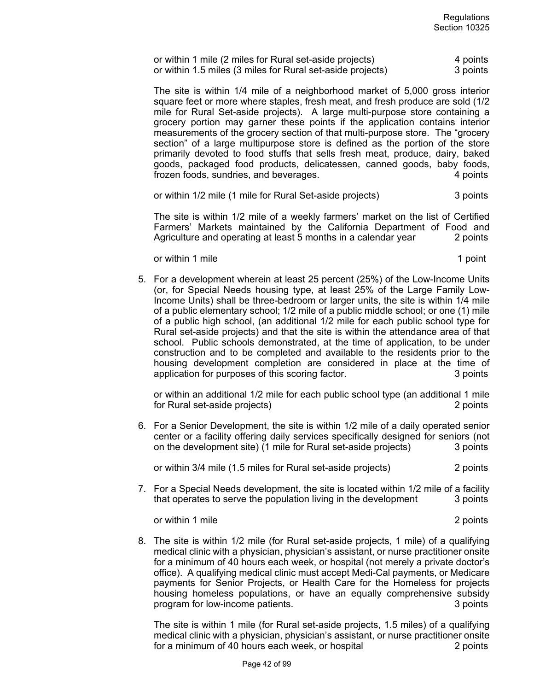| or within 1 mile (2 miles for Rural set-aside projects)    |  | 4 points |
|------------------------------------------------------------|--|----------|
| or within 1.5 miles (3 miles for Rural set-aside projects) |  | 3 points |

The site is within 1/4 mile of a neighborhood market of 5,000 gross interior square feet or more where staples, fresh meat, and fresh produce are sold (1/2 mile for Rural Set-aside projects). A large multi-purpose store containing a grocery portion may garner these points if the application contains interior measurements of the grocery section of that multi-purpose store. The "grocery section" of a large multipurpose store is defined as the portion of the store primarily devoted to food stuffs that sells fresh meat, produce, dairy, baked goods, packaged food products, delicatessen, canned goods, baby foods, frozen foods, sundries, and beverages. 4 points

or within 1/2 mile (1 mile for Rural Set-aside projects) 3 points

The site is within 1/2 mile of a weekly farmers' market on the list of Certified Farmers' Markets maintained by the California Department of Food and Agriculture and operating at least 5 months in a calendar year 2 points

or within 1 mile 1 point to the 1 point of within 1 mile

5. For a development wherein at least 25 percent (25%) of the Low-Income Units (or, for Special Needs housing type, at least 25% of the Large Family Low-Income Units) shall be three-bedroom or larger units, the site is within 1/4 mile of a public elementary school; 1/2 mile of a public middle school; or one (1) mile of a public high school, (an additional 1/2 mile for each public school type for Rural set-aside projects) and that the site is within the attendance area of that school. Public schools demonstrated, at the time of application, to be under construction and to be completed and available to the residents prior to the housing development completion are considered in place at the time of application for purposes of this scoring factor. **3** points

or within an additional 1/2 mile for each public school type (an additional 1 mile for Rural set-aside projects) 2 points

6. For a Senior Development, the site is within 1/2 mile of a daily operated senior center or a facility offering daily services specifically designed for seniors (not on the development site) (1 mile for Rural set-aside projects) 3 points

or within 3/4 mile (1.5 miles for Rural set-aside projects) 2 points

7. For a Special Needs development, the site is located within 1/2 mile of a facility that operates to serve the population living in the development 3 points

or within 1 mile 2 points and 2 points of within 1 mile 2 points and 2 points of within 1 mile 2 points and 2 points of  $\alpha$ 

8. The site is within 1/2 mile (for Rural set-aside projects, 1 mile) of a qualifying medical clinic with a physician, physician's assistant, or nurse practitioner onsite for a minimum of 40 hours each week, or hospital (not merely a private doctor's office). A qualifying medical clinic must accept Medi-Cal payments, or Medicare payments for Senior Projects, or Health Care for the Homeless for projects housing homeless populations, or have an equally comprehensive subsidy program for low-income patients. The state of the state of the state of the state of the state of the state of the state of the state of the state of the state of the state of the state of the state of the state of the sta

The site is within 1 mile (for Rural set-aside projects, 1.5 miles) of a qualifying medical clinic with a physician, physician's assistant, or nurse practitioner onsite for a minimum of 40 hours each week, or hospital 2 points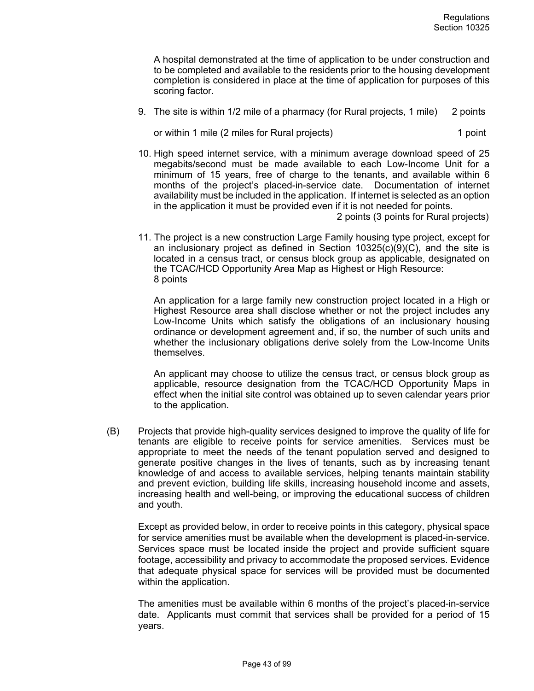A hospital demonstrated at the time of application to be under construction and to be completed and available to the residents prior to the housing development completion is considered in place at the time of application for purposes of this scoring factor.

9. The site is within 1/2 mile of a pharmacy (for Rural projects, 1 mile) 2 points

or within 1 mile (2 miles for Rural projects) 1 point

10. High speed internet service, with a minimum average download speed of 25 megabits/second must be made available to each Low-Income Unit for a minimum of 15 years, free of charge to the tenants, and available within 6 months of the project's placed-in-service date. Documentation of internet availability must be included in the application. If internet is selected as an option in the application it must be provided even if it is not needed for points.

2 points (3 points for Rural projects)

11. The project is a new construction Large Family housing type project, except for an inclusionary project as defined in Section  $10325(c)(9)(C)$ , and the site is located in a census tract, or census block group as applicable, designated on the TCAC/HCD Opportunity Area Map as Highest or High Resource: 8 points

An application for a large family new construction project located in a High or Highest Resource area shall disclose whether or not the project includes any Low-Income Units which satisfy the obligations of an inclusionary housing ordinance or development agreement and, if so, the number of such units and whether the inclusionary obligations derive solely from the Low-Income Units themselves.

An applicant may choose to utilize the census tract, or census block group as applicable, resource designation from the TCAC/HCD Opportunity Maps in effect when the initial site control was obtained up to seven calendar years prior to the application.

(B) Projects that provide high-quality services designed to improve the quality of life for tenants are eligible to receive points for service amenities. Services must be appropriate to meet the needs of the tenant population served and designed to generate positive changes in the lives of tenants, such as by increasing tenant knowledge of and access to available services, helping tenants maintain stability and prevent eviction, building life skills, increasing household income and assets, increasing health and well-being, or improving the educational success of children and youth.

Except as provided below, in order to receive points in this category, physical space for service amenities must be available when the development is placed-in-service. Services space must be located inside the project and provide sufficient square footage, accessibility and privacy to accommodate the proposed services. Evidence that adequate physical space for services will be provided must be documented within the application.

The amenities must be available within 6 months of the project's placed-in-service date. Applicants must commit that services shall be provided for a period of 15 years.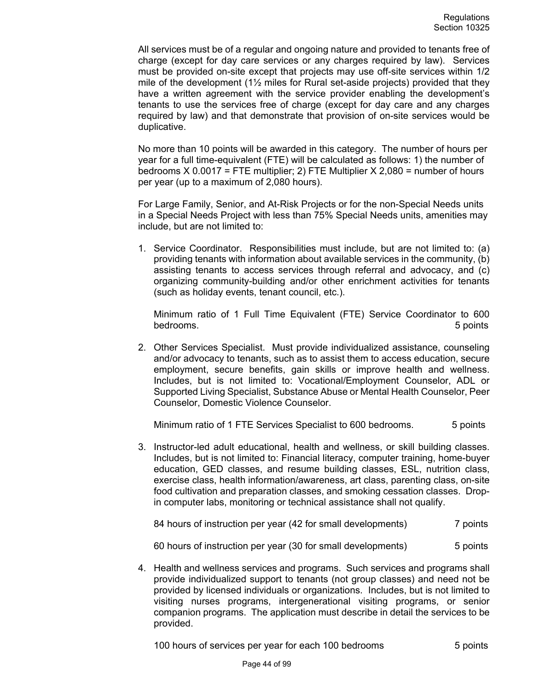All services must be of a regular and ongoing nature and provided to tenants free of charge (except for day care services or any charges required by law). Services must be provided on-site except that projects may use off-site services within 1/2 mile of the development  $(1\frac{1}{2})$  miles for Rural set-aside projects) provided that they have a written agreement with the service provider enabling the development's tenants to use the services free of charge (except for day care and any charges required by law) and that demonstrate that provision of on-site services would be duplicative.

No more than 10 points will be awarded in this category. The number of hours per year for a full time-equivalent (FTE) will be calculated as follows: 1) the number of bedrooms  $X$  0.0017 = FTE multiplier; 2) FTE Multiplier  $X$  2,080 = number of hours per year (up to a maximum of 2,080 hours).

For Large Family, Senior, and At-Risk Projects or for the non-Special Needs units in a Special Needs Project with less than 75% Special Needs units, amenities may include, but are not limited to:

1. Service Coordinator. Responsibilities must include, but are not limited to: (a) providing tenants with information about available services in the community, (b) assisting tenants to access services through referral and advocacy, and (c) organizing community-building and/or other enrichment activities for tenants (such as holiday events, tenant council, etc.).

Minimum ratio of 1 Full Time Equivalent (FTE) Service Coordinator to 600 bedrooms. 5 points

2. Other Services Specialist. Must provide individualized assistance, counseling and/or advocacy to tenants, such as to assist them to access education, secure employment, secure benefits, gain skills or improve health and wellness. Includes, but is not limited to: Vocational/Employment Counselor, ADL or Supported Living Specialist, Substance Abuse or Mental Health Counselor, Peer Counselor, Domestic Violence Counselor.

Minimum ratio of 1 FTE Services Specialist to 600 bedrooms. 5 points

3. Instructor-led adult educational, health and wellness, or skill building classes. Includes, but is not limited to: Financial literacy, computer training, home-buyer education, GED classes, and resume building classes, ESL, nutrition class, exercise class, health information/awareness, art class, parenting class, on-site food cultivation and preparation classes, and smoking cessation classes. Dropin computer labs, monitoring or technical assistance shall not qualify.

84 hours of instruction per year (42 for small developments) 7 points

60 hours of instruction per year (30 for small developments) 5 points

4. Health and wellness services and programs. Such services and programs shall provide individualized support to tenants (not group classes) and need not be provided by licensed individuals or organizations. Includes, but is not limited to visiting nurses programs, intergenerational visiting programs, or senior companion programs. The application must describe in detail the services to be provided.

100 hours of services per year for each 100 bedrooms 5 points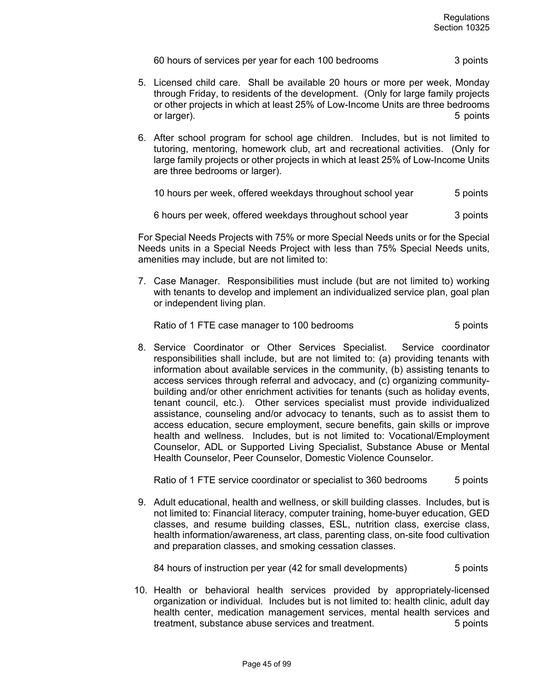60 hours of services per year for each 100 bedrooms 3 points

- 5. Licensed child care. Shall be available 20 hours or more per week, Monday through Friday, to residents of the development. (Only for large family projects or other projects in which at least 25% of Low-Income Units are three bedrooms or larger). 5 points that the set of larger is set of larger in the set of larger in the set of larger in the set of larger in the set of larger in the set of larger in the set of larger in the set of larger in the set of
- 6. After school program for school age children. Includes, but is not limited to tutoring, mentoring, homework club, art and recreational activities. (Only for large family projects or other projects in which at least 25% of Low-Income Units are three bedrooms or larger).

10 hours per week, offered weekdays throughout school year 5 points

6 hours per week, offered weekdays throughout school year 3 points

For Special Needs Projects with 75% or more Special Needs units or for the Special Needs units in a Special Needs Project with less than 75% Special Needs units, amenities may include, but are not limited to:

7. Case Manager. Responsibilities must include (but are not limited to) working with tenants to develop and implement an individualized service plan, goal plan or independent living plan.

Ratio of 1 FTE case manager to 100 bedrooms The State Counts 5 points

8. Service Coordinator or Other Services Specialist. Service coordinator responsibilities shall include, but are not limited to: (a) providing tenants with information about available services in the community, (b) assisting tenants to access services through referral and advocacy, and (c) organizing communitybuilding and/or other enrichment activities for tenants (such as holiday events, tenant council, etc.). Other services specialist must provide individualized assistance, counseling and/or advocacy to tenants, such as to assist them to access education, secure employment, secure benefits, gain skills or improve health and wellness. Includes, but is not limited to: Vocational/Employment Counselor, ADL or Supported Living Specialist, Substance Abuse or Mental Health Counselor, Peer Counselor, Domestic Violence Counselor.

Ratio of 1 FTE service coordinator or specialist to 360 bedrooms 5 points

9. Adult educational, health and wellness, or skill building classes. Includes, but is not limited to: Financial literacy, computer training, home-buyer education, GED classes, and resume building classes, ESL, nutrition class, exercise class, health information/awareness, art class, parenting class, on-site food cultivation and preparation classes, and smoking cessation classes.

84 hours of instruction per year (42 for small developments) 5 points

10. Health or behavioral health services provided by appropriately-licensed organization or individual. Includes but is not limited to: health clinic, adult day health center, medication management services, mental health services and treatment, substance abuse services and treatment. 5 points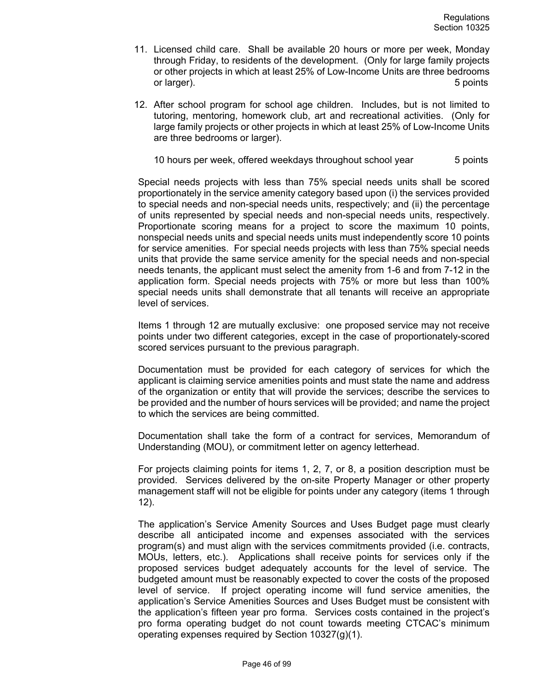- 11. Licensed child care. Shall be available 20 hours or more per week, Monday through Friday, to residents of the development. (Only for large family projects or other projects in which at least 25% of Low-Income Units are three bedrooms or larger). 5 points
- 12. After school program for school age children. Includes, but is not limited to tutoring, mentoring, homework club, art and recreational activities. (Only for large family projects or other projects in which at least 25% of Low-Income Units are three bedrooms or larger).

10 hours per week, offered weekdays throughout school year 5 points

Special needs projects with less than 75% special needs units shall be scored proportionately in the service amenity category based upon (i) the services provided to special needs and non-special needs units, respectively; and (ii) the percentage of units represented by special needs and non-special needs units, respectively. Proportionate scoring means for a project to score the maximum 10 points, nonspecial needs units and special needs units must independently score 10 points for service amenities. For special needs projects with less than 75% special needs units that provide the same service amenity for the special needs and non-special needs tenants, the applicant must select the amenity from 1-6 and from 7-12 in the application form. Special needs projects with 75% or more but less than 100% special needs units shall demonstrate that all tenants will receive an appropriate level of services.

Items 1 through 12 are mutually exclusive: one proposed service may not receive points under two different categories, except in the case of proportionately-scored scored services pursuant to the previous paragraph.

Documentation must be provided for each category of services for which the applicant is claiming service amenities points and must state the name and address of the organization or entity that will provide the services; describe the services to be provided and the number of hours services will be provided; and name the project to which the services are being committed.

Documentation shall take the form of a contract for services, Memorandum of Understanding (MOU), or commitment letter on agency letterhead.

For projects claiming points for items 1, 2, 7, or 8, a position description must be provided. Services delivered by the on-site Property Manager or other property management staff will not be eligible for points under any category (items 1 through 12).

The application's Service Amenity Sources and Uses Budget page must clearly describe all anticipated income and expenses associated with the services program(s) and must align with the services commitments provided (i.e. contracts, MOUs, letters, etc.). Applications shall receive points for services only if the proposed services budget adequately accounts for the level of service. The budgeted amount must be reasonably expected to cover the costs of the proposed level of service. If project operating income will fund service amenities, the application's Service Amenities Sources and Uses Budget must be consistent with the application's fifteen year pro forma. Services costs contained in the project's pro forma operating budget do not count towards meeting CTCAC's minimum operating expenses required by Section 10327(g)(1).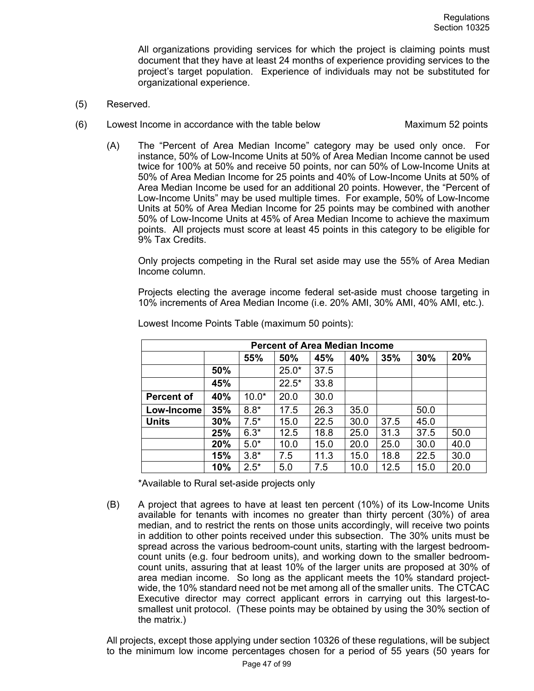All organizations providing services for which the project is claiming points must document that they have at least 24 months of experience providing services to the project's target population. Experience of individuals may not be substituted for organizational experience.

- (5) Reserved.
- (6) Lowest Income in accordance with the table below Maximum 52 points
	- (A) The "Percent of Area Median Income" category may be used only once. For instance, 50% of Low-Income Units at 50% of Area Median Income cannot be used twice for 100% at 50% and receive 50 points, nor can 50% of Low-Income Units at 50% of Area Median Income for 25 points and 40% of Low-Income Units at 50% of Area Median Income be used for an additional 20 points. However, the "Percent of Low-Income Units" may be used multiple times. For example, 50% of Low-Income Units at 50% of Area Median Income for 25 points may be combined with another 50% of Low-Income Units at 45% of Area Median Income to achieve the maximum points. All projects must score at least 45 points in this category to be eligible for 9% Tax Credits.

Only projects competing in the Rural set aside may use the 55% of Area Median Income column.

Projects electing the average income federal set-aside must choose targeting in 10% increments of Area Median Income (i.e. 20% AMI, 30% AMI, 40% AMI, etc.).

| <b>Percent of Area Median Income</b> |     |         |         |      |      |      |      |      |
|--------------------------------------|-----|---------|---------|------|------|------|------|------|
|                                      |     | 55%     | 50%     | 45%  | 40%  | 35%  | 30%  | 20%  |
|                                      | 50% |         | $25.0*$ | 37.5 |      |      |      |      |
|                                      | 45% |         | $22.5*$ | 33.8 |      |      |      |      |
| <b>Percent of</b>                    | 40% | $10.0*$ | 20.0    | 30.0 |      |      |      |      |
| Low-Income                           | 35% | $8.8*$  | 17.5    | 26.3 | 35.0 |      | 50.0 |      |
| <b>Units</b>                         | 30% | $7.5*$  | 15.0    | 22.5 | 30.0 | 37.5 | 45.0 |      |
|                                      | 25% | $6.3*$  | 12.5    | 18.8 | 25.0 | 31.3 | 37.5 | 50.0 |
|                                      | 20% | $5.0*$  | 10.0    | 15.0 | 20.0 | 25.0 | 30.0 | 40.0 |
|                                      | 15% | $3.8*$  | 7.5     | 11.3 | 15.0 | 18.8 | 22.5 | 30.0 |
|                                      | 10% | $2.5*$  | 5.0     | 7.5  | 10.0 | 12.5 | 15.0 | 20.0 |

Lowest Income Points Table (maximum 50 points):

\*Available to Rural set-aside projects only

(B) A project that agrees to have at least ten percent (10%) of its Low-Income Units available for tenants with incomes no greater than thirty percent (30%) of area median, and to restrict the rents on those units accordingly, will receive two points in addition to other points received under this subsection. The 30% units must be spread across the various bedroom-count units, starting with the largest bedroomcount units (e.g. four bedroom units), and working down to the smaller bedroomcount units, assuring that at least 10% of the larger units are proposed at 30% of area median income. So long as the applicant meets the 10% standard projectwide, the 10% standard need not be met among all of the smaller units. The CTCAC Executive director may correct applicant errors in carrying out this largest-tosmallest unit protocol. (These points may be obtained by using the 30% section of the matrix.)

All projects, except those applying under section 10326 of these regulations, will be subject to the minimum low income percentages chosen for a period of 55 years (50 years for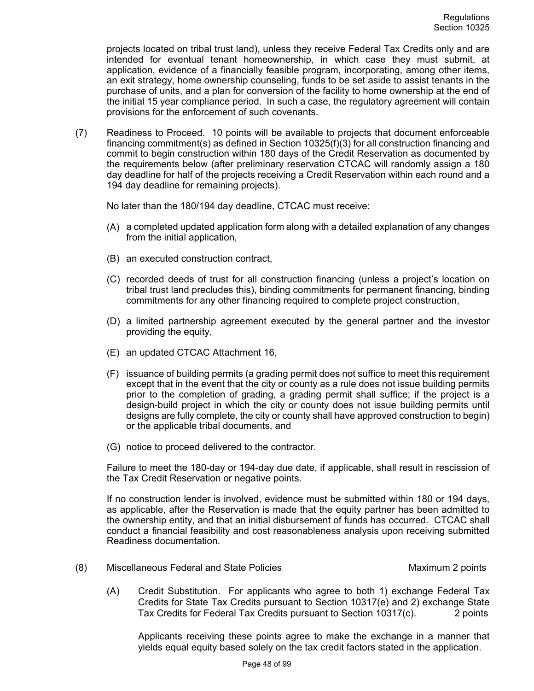projects located on tribal trust land), unless they receive Federal Tax Credits only and are intended for eventual tenant homeownership, in which case they must submit, at application, evidence of a financially feasible program, incorporating, among other items, an exit strategy, home ownership counseling, funds to be set aside to assist tenants in the purchase of units, and a plan for conversion of the facility to home ownership at the end of the initial 15 year compliance period. In such a case, the regulatory agreement will contain provisions for the enforcement of such covenants.

(7) Readiness to Proceed. 10 points will be available to projects that document enforceable financing commitment(s) as defined in Section 10325(f)(3) for all construction financing and commit to begin construction within 180 days of the Credit Reservation as documented by the requirements below (after preliminary reservation CTCAC will randomly assign a 180 day deadline for half of the projects receiving a Credit Reservation within each round and a 194 day deadline for remaining projects).

No later than the 180/194 day deadline, CTCAC must receive:

- (A) a completed updated application form along with a detailed explanation of any changes from the initial application,
- (B) an executed construction contract,
- (C) recorded deeds of trust for all construction financing (unless a project's location on tribal trust land precludes this), binding commitments for permanent financing, binding commitments for any other financing required to complete project construction,
- (D) a limited partnership agreement executed by the general partner and the investor providing the equity,
- (E) an updated CTCAC Attachment 16,
- (F) issuance of building permits (a grading permit does not suffice to meet this requirement except that in the event that the city or county as a rule does not issue building permits prior to the completion of grading, a grading permit shall suffice; if the project is a design-build project in which the city or county does not issue building permits until designs are fully complete, the city or county shall have approved construction to begin) or the applicable tribal documents, and
- (G) notice to proceed delivered to the contractor.

Failure to meet the 180-day or 194-day due date, if applicable, shall result in rescission of the Tax Credit Reservation or negative points.

If no construction lender is involved, evidence must be submitted within 180 or 194 days, as applicable, after the Reservation is made that the equity partner has been admitted to the ownership entity, and that an initial disbursement of funds has occurred. CTCAC shall conduct a financial feasibility and cost reasonableness analysis upon receiving submitted Readiness documentation.

- (8) Miscellaneous Federal and State Policies Maximum 2 points
	- (A) Credit Substitution. For applicants who agree to both 1) exchange Federal Tax Credits for State Tax Credits pursuant to Section 10317(e) and 2) exchange State Tax Credits for Federal Tax Credits pursuant to Section 10317(c). 2 points

Applicants receiving these points agree to make the exchange in a manner that yields equal equity based solely on the tax credit factors stated in the application.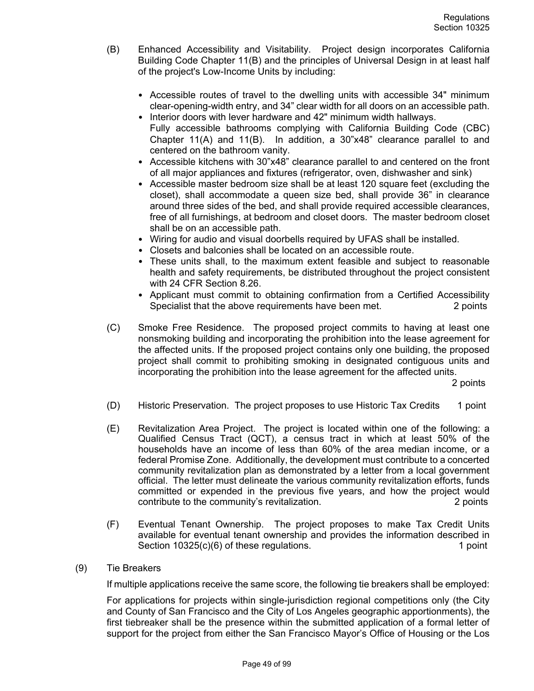- (B) Enhanced Accessibility and Visitability. Project design incorporates California Building Code Chapter 11(B) and the principles of Universal Design in at least half of the project's Low-Income Units by including:
	- Accessible routes of travel to the dwelling units with accessible 34" minimum clear-opening-width entry, and 34" clear width for all doors on an accessible path.
	- Interior doors with lever hardware and 42" minimum width hallways. • Fully accessible bathrooms complying with California Building Code (CBC) Chapter 11(A) and 11(B). In addition, a 30"x48" clearance parallel to and centered on the bathroom vanity.
	- Accessible kitchens with 30"x48" clearance parallel to and centered on the front of all major appliances and fixtures (refrigerator, oven, dishwasher and sink)
	- Accessible master bedroom size shall be at least 120 square feet (excluding the closet), shall accommodate a queen size bed, shall provide 36" in clearance around three sides of the bed, and shall provide required accessible clearances, free of all furnishings, at bedroom and closet doors. The master bedroom closet shall be on an accessible path.
	- Wiring for audio and visual doorbells required by UFAS shall be installed.
	- Closets and balconies shall be located on an accessible route.
	- These units shall, to the maximum extent feasible and subject to reasonable health and safety requirements, be distributed throughout the project consistent with 24 CFR Section 8.26.
	- Applicant must commit to obtaining confirmation from a Certified Accessibility Specialist that the above requirements have been met. 2 points
- (C) Smoke Free Residence. The proposed project commits to having at least one nonsmoking building and incorporating the prohibition into the lease agreement for the affected units. If the proposed project contains only one building, the proposed project shall commit to prohibiting smoking in designated contiguous units and incorporating the prohibition into the lease agreement for the affected units.

2 points

- (D) Historic Preservation. The project proposes to use Historic Tax Credits 1 point
- (E) Revitalization Area Project. The project is located within one of the following: a Qualified Census Tract (QCT), a census tract in which at least 50% of the households have an income of less than 60% of the area median income, or a federal Promise Zone. Additionally, the development must contribute to a concerted community revitalization plan as demonstrated by a letter from a local government official. The letter must delineate the various community revitalization efforts, funds committed or expended in the previous five years, and how the project would contribute to the community's revitalization. 2 points
- (F) Eventual Tenant Ownership. The project proposes to make Tax Credit Units available for eventual tenant ownership and provides the information described in Section 10325(c)(6) of these regulations. 1 point
- (9) Tie Breakers

If multiple applications receive the same score, the following tie breakers shall be employed:

For applications for projects within single-jurisdiction regional competitions only (the City and County of San Francisco and the City of Los Angeles geographic apportionments), the first tiebreaker shall be the presence within the submitted application of a formal letter of support for the project from either the San Francisco Mayor's Office of Housing or the Los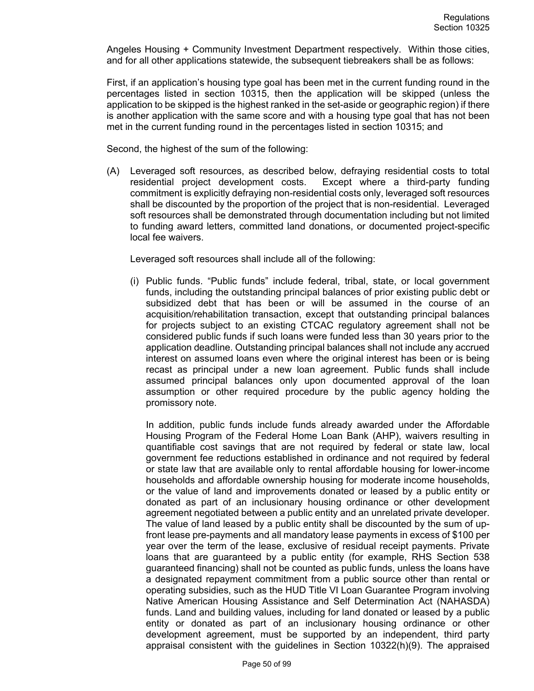Angeles Housing + Community Investment Department respectively. Within those cities, and for all other applications statewide, the subsequent tiebreakers shall be as follows:

First, if an application's housing type goal has been met in the current funding round in the percentages listed in section 10315, then the application will be skipped (unless the application to be skipped is the highest ranked in the set-aside or geographic region) if there is another application with the same score and with a housing type goal that has not been met in the current funding round in the percentages listed in section 10315; and

Second, the highest of the sum of the following:

(A) Leveraged soft resources, as described below, defraying residential costs to total residential project development costs. Except where a third-party funding commitment is explicitly defraying non-residential costs only, leveraged soft resources shall be discounted by the proportion of the project that is non-residential. Leveraged soft resources shall be demonstrated through documentation including but not limited to funding award letters, committed land donations, or documented project-specific local fee waivers.

Leveraged soft resources shall include all of the following:

(i) Public funds. "Public funds" include federal, tribal, state, or local government funds, including the outstanding principal balances of prior existing public debt or subsidized debt that has been or will be assumed in the course of an acquisition/rehabilitation transaction, except that outstanding principal balances for projects subject to an existing CTCAC regulatory agreement shall not be considered public funds if such loans were funded less than 30 years prior to the application deadline. Outstanding principal balances shall not include any accrued interest on assumed loans even where the original interest has been or is being recast as principal under a new loan agreement. Public funds shall include assumed principal balances only upon documented approval of the loan assumption or other required procedure by the public agency holding the promissory note.

In addition, public funds include funds already awarded under the Affordable Housing Program of the Federal Home Loan Bank (AHP), waivers resulting in quantifiable cost savings that are not required by federal or state law, local government fee reductions established in ordinance and not required by federal or state law that are available only to rental affordable housing for lower-income households and affordable ownership housing for moderate income households, or the value of land and improvements donated or leased by a public entity or donated as part of an inclusionary housing ordinance or other development agreement negotiated between a public entity and an unrelated private developer. The value of land leased by a public entity shall be discounted by the sum of upfront lease pre-payments and all mandatory lease payments in excess of \$100 per year over the term of the lease, exclusive of residual receipt payments. Private loans that are guaranteed by a public entity (for example, RHS Section 538 guaranteed financing) shall not be counted as public funds, unless the loans have a designated repayment commitment from a public source other than rental or operating subsidies, such as the HUD Title VI Loan Guarantee Program involving Native American Housing Assistance and Self Determination Act (NAHASDA) funds. Land and building values, including for land donated or leased by a public entity or donated as part of an inclusionary housing ordinance or other development agreement, must be supported by an independent, third party appraisal consistent with the guidelines in Section 10322(h)(9). The appraised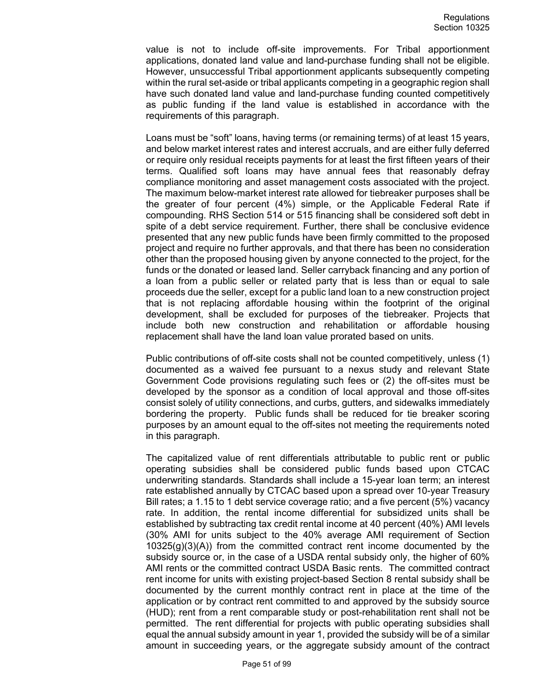value is not to include off-site improvements. For Tribal apportionment applications, donated land value and land-purchase funding shall not be eligible. However, unsuccessful Tribal apportionment applicants subsequently competing within the rural set-aside or tribal applicants competing in a geographic region shall have such donated land value and land-purchase funding counted competitively as public funding if the land value is established in accordance with the requirements of this paragraph.

Loans must be "soft" loans, having terms (or remaining terms) of at least 15 years, and below market interest rates and interest accruals, and are either fully deferred or require only residual receipts payments for at least the first fifteen years of their terms. Qualified soft loans may have annual fees that reasonably defray compliance monitoring and asset management costs associated with the project. The maximum below-market interest rate allowed for tiebreaker purposes shall be the greater of four percent (4%) simple, or the Applicable Federal Rate if compounding. RHS Section 514 or 515 financing shall be considered soft debt in spite of a debt service requirement. Further, there shall be conclusive evidence presented that any new public funds have been firmly committed to the proposed project and require no further approvals, and that there has been no consideration other than the proposed housing given by anyone connected to the project, for the funds or the donated or leased land. Seller carryback financing and any portion of a loan from a public seller or related party that is less than or equal to sale proceeds due the seller, except for a public land loan to a new construction project that is not replacing affordable housing within the footprint of the original development, shall be excluded for purposes of the tiebreaker. Projects that include both new construction and rehabilitation or affordable housing replacement shall have the land loan value prorated based on units.

Public contributions of off-site costs shall not be counted competitively, unless (1) documented as a waived fee pursuant to a nexus study and relevant State Government Code provisions regulating such fees or (2) the off-sites must be developed by the sponsor as a condition of local approval and those off-sites consist solely of utility connections, and curbs, gutters, and sidewalks immediately bordering the property. Public funds shall be reduced for tie breaker scoring purposes by an amount equal to the off-sites not meeting the requirements noted in this paragraph.

The capitalized value of rent differentials attributable to public rent or public operating subsidies shall be considered public funds based upon CTCAC underwriting standards. Standards shall include a 15-year loan term; an interest rate established annually by CTCAC based upon a spread over 10-year Treasury Bill rates; a 1.15 to 1 debt service coverage ratio; and a five percent (5%) vacancy rate. In addition, the rental income differential for subsidized units shall be established by subtracting tax credit rental income at 40 percent (40%) AMI levels (30% AMI for units subject to the 40% average AMI requirement of Section 10325(g)(3)(A)) from the committed contract rent income documented by the subsidy source or, in the case of a USDA rental subsidy only, the higher of 60% AMI rents or the committed contract USDA Basic rents. The committed contract rent income for units with existing project-based Section 8 rental subsidy shall be documented by the current monthly contract rent in place at the time of the application or by contract rent committed to and approved by the subsidy source (HUD); rent from a rent comparable study or post-rehabilitation rent shall not be permitted. The rent differential for projects with public operating subsidies shall equal the annual subsidy amount in year 1, provided the subsidy will be of a similar amount in succeeding years, or the aggregate subsidy amount of the contract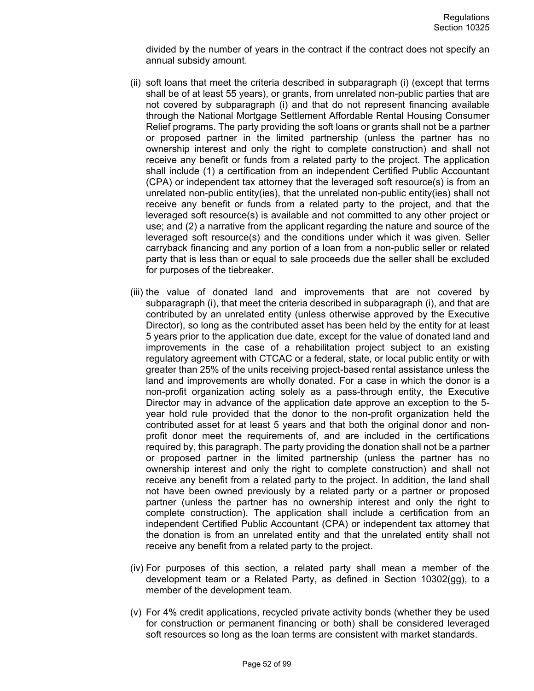divided by the number of years in the contract if the contract does not specify an annual subsidy amount.

- (ii) soft loans that meet the criteria described in subparagraph (i) (except that terms shall be of at least 55 years), or grants, from unrelated non-public parties that are not covered by subparagraph (i) and that do not represent financing available through the National Mortgage Settlement Affordable Rental Housing Consumer Relief programs. The party providing the soft loans or grants shall not be a partner or proposed partner in the limited partnership (unless the partner has no ownership interest and only the right to complete construction) and shall not receive any benefit or funds from a related party to the project. The application shall include (1) a certification from an independent Certified Public Accountant (CPA) or independent tax attorney that the leveraged soft resource(s) is from an unrelated non-public entity(ies), that the unrelated non-public entity(ies) shall not receive any benefit or funds from a related party to the project, and that the leveraged soft resource(s) is available and not committed to any other project or use; and (2) a narrative from the applicant regarding the nature and source of the leveraged soft resource(s) and the conditions under which it was given. Seller carryback financing and any portion of a loan from a non-public seller or related party that is less than or equal to sale proceeds due the seller shall be excluded for purposes of the tiebreaker.
- (iii) the value of donated land and improvements that are not covered by subparagraph (i), that meet the criteria described in subparagraph (i), and that are contributed by an unrelated entity (unless otherwise approved by the Executive Director), so long as the contributed asset has been held by the entity for at least 5 years prior to the application due date, except for the value of donated land and improvements in the case of a rehabilitation project subject to an existing regulatory agreement with CTCAC or a federal, state, or local public entity or with greater than 25% of the units receiving project-based rental assistance unless the land and improvements are wholly donated. For a case in which the donor is a non-profit organization acting solely as a pass-through entity, the Executive Director may in advance of the application date approve an exception to the 5 year hold rule provided that the donor to the non-profit organization held the contributed asset for at least 5 years and that both the original donor and nonprofit donor meet the requirements of, and are included in the certifications required by, this paragraph. The party providing the donation shall not be a partner or proposed partner in the limited partnership (unless the partner has no ownership interest and only the right to complete construction) and shall not receive any benefit from a related party to the project. In addition, the land shall not have been owned previously by a related party or a partner or proposed partner (unless the partner has no ownership interest and only the right to complete construction). The application shall include a certification from an independent Certified Public Accountant (CPA) or independent tax attorney that the donation is from an unrelated entity and that the unrelated entity shall not receive any benefit from a related party to the project.
- (iv) For purposes of this section, a related party shall mean a member of the development team or a Related Party, as defined in Section 10302(gg), to a member of the development team.
- (v) For 4% credit applications, recycled private activity bonds (whether they be used for construction or permanent financing or both) shall be considered leveraged soft resources so long as the loan terms are consistent with market standards.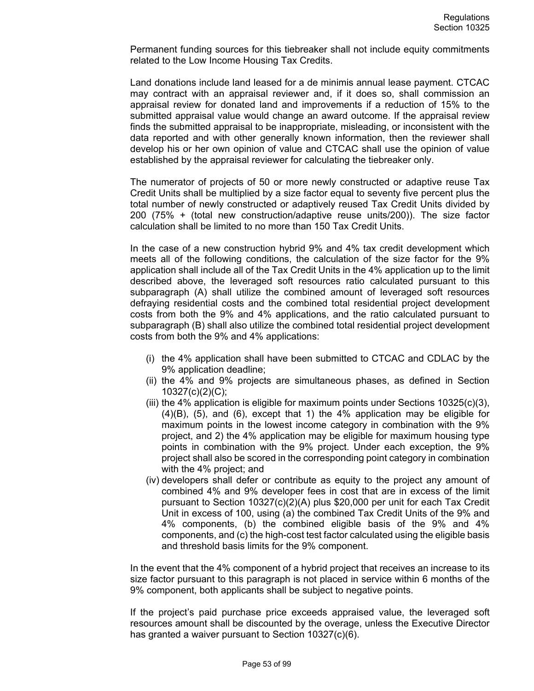Permanent funding sources for this tiebreaker shall not include equity commitments related to the Low Income Housing Tax Credits.

Land donations include land leased for a de minimis annual lease payment. CTCAC may contract with an appraisal reviewer and, if it does so, shall commission an appraisal review for donated land and improvements if a reduction of 15% to the submitted appraisal value would change an award outcome. If the appraisal review finds the submitted appraisal to be inappropriate, misleading, or inconsistent with the data reported and with other generally known information, then the reviewer shall develop his or her own opinion of value and CTCAC shall use the opinion of value established by the appraisal reviewer for calculating the tiebreaker only.

The numerator of projects of 50 or more newly constructed or adaptive reuse Tax Credit Units shall be multiplied by a size factor equal to seventy five percent plus the total number of newly constructed or adaptively reused Tax Credit Units divided by 200 (75% + (total new construction/adaptive reuse units/200)). The size factor calculation shall be limited to no more than 150 Tax Credit Units.

In the case of a new construction hybrid 9% and 4% tax credit development which meets all of the following conditions, the calculation of the size factor for the 9% application shall include all of the Tax Credit Units in the 4% application up to the limit described above, the leveraged soft resources ratio calculated pursuant to this subparagraph (A) shall utilize the combined amount of leveraged soft resources defraying residential costs and the combined total residential project development costs from both the 9% and 4% applications, and the ratio calculated pursuant to subparagraph (B) shall also utilize the combined total residential project development costs from both the 9% and 4% applications:

- (i) the 4% application shall have been submitted to CTCAC and CDLAC by the 9% application deadline;
- (ii) the 4% and 9% projects are simultaneous phases, as defined in Section 10327(c)(2)(C);
- (iii) the 4% application is eligible for maximum points under Sections  $10325(c)(3)$ , (4)(B), (5), and (6), except that 1) the 4% application may be eligible for maximum points in the lowest income category in combination with the 9% project, and 2) the 4% application may be eligible for maximum housing type points in combination with the 9% project. Under each exception, the 9% project shall also be scored in the corresponding point category in combination with the 4% project; and
- (iv) developers shall defer or contribute as equity to the project any amount of combined 4% and 9% developer fees in cost that are in excess of the limit pursuant to Section 10327(c)(2)(A) plus \$20,000 per unit for each Tax Credit Unit in excess of 100, using (a) the combined Tax Credit Units of the 9% and 4% components, (b) the combined eligible basis of the 9% and 4% components, and (c) the high-cost test factor calculated using the eligible basis and threshold basis limits for the 9% component.

In the event that the 4% component of a hybrid project that receives an increase to its size factor pursuant to this paragraph is not placed in service within 6 months of the 9% component, both applicants shall be subject to negative points.

If the project's paid purchase price exceeds appraised value, the leveraged soft resources amount shall be discounted by the overage, unless the Executive Director has granted a waiver pursuant to Section 10327(c)(6).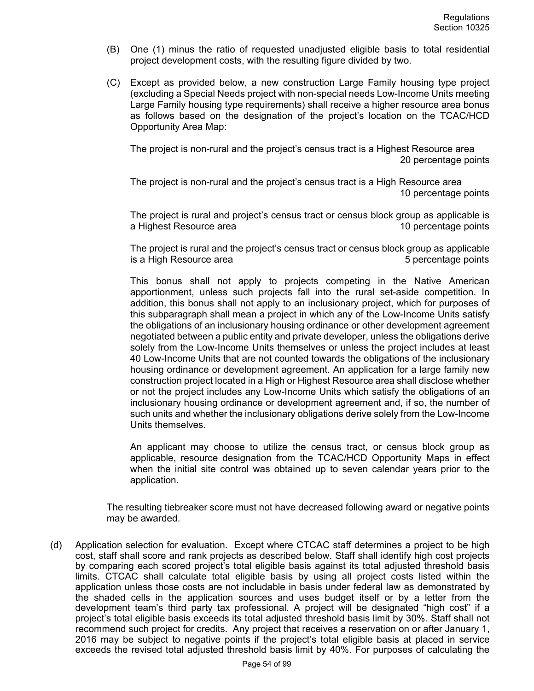- (B) One (1) minus the ratio of requested unadjusted eligible basis to total residential project development costs, with the resulting figure divided by two.
- (C) Except as provided below, a new construction Large Family housing type project (excluding a Special Needs project with non-special needs Low-Income Units meeting Large Family housing type requirements) shall receive a higher resource area bonus as follows based on the designation of the project's location on the TCAC/HCD Opportunity Area Map:

The project is non-rural and the project's census tract is a Highest Resource area 20 percentage points

The project is non-rural and the project's census tract is a High Resource area 10 percentage points

The project is rural and project's census tract or census block group as applicable is a Highest Resource area 10 percentage points

The project is rural and the project's census tract or census block group as applicable is a High Resource area **5** percentage points

This bonus shall not apply to projects competing in the Native American apportionment, unless such projects fall into the rural set-aside competition. In addition, this bonus shall not apply to an inclusionary project, which for purposes of this subparagraph shall mean a project in which any of the Low-Income Units satisfy the obligations of an inclusionary housing ordinance or other development agreement negotiated between a public entity and private developer, unless the obligations derive solely from the Low-Income Units themselves or unless the project includes at least 40 Low-Income Units that are not counted towards the obligations of the inclusionary housing ordinance or development agreement. An application for a large family new construction project located in a High or Highest Resource area shall disclose whether or not the project includes any Low-Income Units which satisfy the obligations of an inclusionary housing ordinance or development agreement and, if so, the number of such units and whether the inclusionary obligations derive solely from the Low-Income Units themselves.

An applicant may choose to utilize the census tract, or census block group as applicable, resource designation from the TCAC/HCD Opportunity Maps in effect when the initial site control was obtained up to seven calendar years prior to the application.

The resulting tiebreaker score must not have decreased following award or negative points may be awarded.

(d) Application selection for evaluation. Except where CTCAC staff determines a project to be high cost, staff shall score and rank projects as described below. Staff shall identify high cost projects by comparing each scored project's total eligible basis against its total adjusted threshold basis limits. CTCAC shall calculate total eligible basis by using all project costs listed within the application unless those costs are not includable in basis under federal law as demonstrated by the shaded cells in the application sources and uses budget itself or by a letter from the development team's third party tax professional. A project will be designated "high cost" if a project's total eligible basis exceeds its total adjusted threshold basis limit by 30%. Staff shall not recommend such project for credits. Any project that receives a reservation on or after January 1, 2016 may be subject to negative points if the project's total eligible basis at placed in service exceeds the revised total adjusted threshold basis limit by 40%. For purposes of calculating the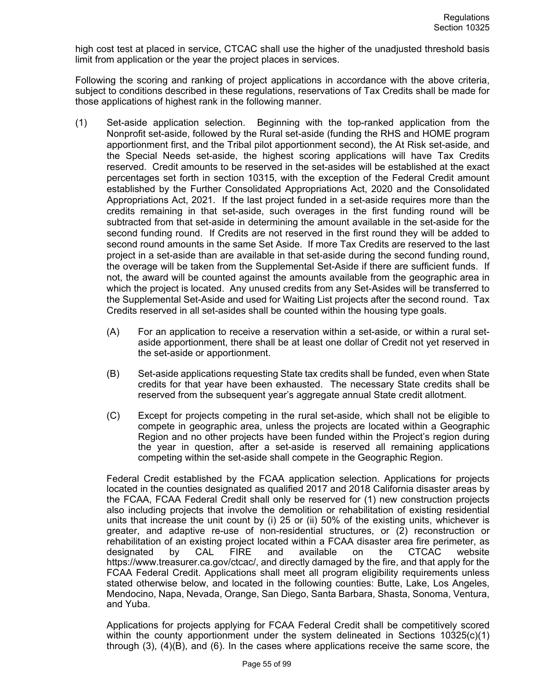high cost test at placed in service, CTCAC shall use the higher of the unadjusted threshold basis limit from application or the year the project places in services.

Following the scoring and ranking of project applications in accordance with the above criteria, subject to conditions described in these regulations, reservations of Tax Credits shall be made for those applications of highest rank in the following manner.

- (1) Set-aside application selection. Beginning with the top-ranked application from the Nonprofit set-aside, followed by the Rural set-aside (funding the RHS and HOME program apportionment first, and the Tribal pilot apportionment second), the At Risk set-aside, and the Special Needs set-aside, the highest scoring applications will have Tax Credits reserved. Credit amounts to be reserved in the set-asides will be established at the exact percentages set forth in section 10315, with the exception of the Federal Credit amount established by the Further Consolidated Appropriations Act, 2020 and the Consolidated Appropriations Act, 2021. If the last project funded in a set-aside requires more than the credits remaining in that set-aside, such overages in the first funding round will be subtracted from that set-aside in determining the amount available in the set-aside for the second funding round. If Credits are not reserved in the first round they will be added to second round amounts in the same Set Aside. If more Tax Credits are reserved to the last project in a set-aside than are available in that set-aside during the second funding round, the overage will be taken from the Supplemental Set-Aside if there are sufficient funds. If not, the award will be counted against the amounts available from the geographic area in which the project is located. Any unused credits from any Set-Asides will be transferred to the Supplemental Set-Aside and used for Waiting List projects after the second round. Tax Credits reserved in all set-asides shall be counted within the housing type goals.
	- (A) For an application to receive a reservation within a set-aside, or within a rural setaside apportionment, there shall be at least one dollar of Credit not yet reserved in the set-aside or apportionment.
	- (B) Set-aside applications requesting State tax credits shall be funded, even when State credits for that year have been exhausted. The necessary State credits shall be reserved from the subsequent year's aggregate annual State credit allotment.
	- (C) Except for projects competing in the rural set-aside, which shall not be eligible to compete in geographic area, unless the projects are located within a Geographic Region and no other projects have been funded within the Project's region during the year in question, after a set-aside is reserved all remaining applications competing within the set-aside shall compete in the Geographic Region.

Federal Credit established by the FCAA application selection. Applications for projects located in the counties designated as qualified 2017 and 2018 California disaster areas by the FCAA, FCAA Federal Credit shall only be reserved for (1) new construction projects also including projects that involve the demolition or rehabilitation of existing residential units that increase the unit count by (i) 25 or (ii) 50% of the existing units, whichever is greater, and adaptive re-use of non-residential structures, or (2) reconstruction or rehabilitation of an existing project located within a FCAA disaster area fire perimeter, as<br>designated by CAL FIRE and available on the CTCAC website designated by CAL FIRE and available on the CTCAC https://www.treasurer.ca.gov/ctcac/, and directly damaged by the fire, and that apply for the FCAA Federal Credit. Applications shall meet all program eligibility requirements unless stated otherwise below, and located in the following counties: Butte, Lake, Los Angeles, Mendocino, Napa, Nevada, Orange, San Diego, Santa Barbara, Shasta, Sonoma, Ventura, and Yuba.

Applications for projects applying for FCAA Federal Credit shall be competitively scored within the county apportionment under the system delineated in Sections 10325(c)(1) through (3), (4)(B), and (6). In the cases where applications receive the same score, the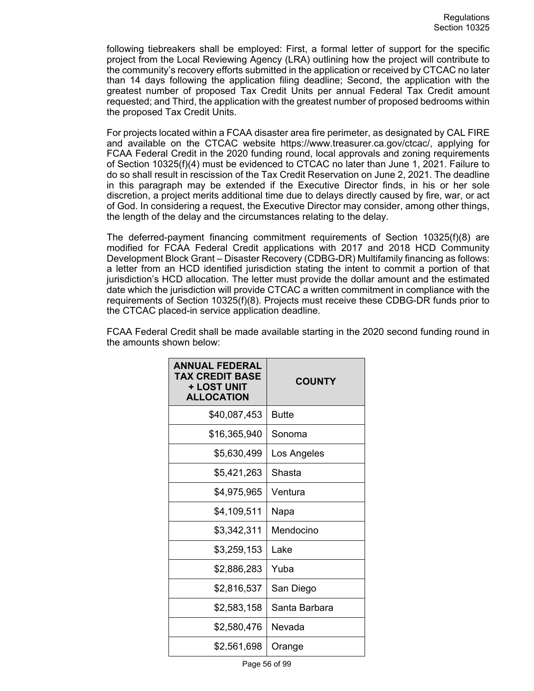following tiebreakers shall be employed: First, a formal letter of support for the specific project from the Local Reviewing Agency (LRA) outlining how the project will contribute to the community's recovery efforts submitted in the application or received by CTCAC no later than 14 days following the application filing deadline; Second, the application with the greatest number of proposed Tax Credit Units per annual Federal Tax Credit amount requested; and Third, the application with the greatest number of proposed bedrooms within the proposed Tax Credit Units.

For projects located within a FCAA disaster area fire perimeter, as designated by CAL FIRE and available on the CTCAC website https://www.treasurer.ca.gov/ctcac/, applying for FCAA Federal Credit in the 2020 funding round, local approvals and zoning requirements of Section 10325(f)(4) must be evidenced to CTCAC no later than June 1, 2021. Failure to do so shall result in rescission of the Tax Credit Reservation on June 2, 2021. The deadline in this paragraph may be extended if the Executive Director finds, in his or her sole discretion, a project merits additional time due to delays directly caused by fire, war, or act of God. In considering a request, the Executive Director may consider, among other things, the length of the delay and the circumstances relating to the delay.

The deferred-payment financing commitment requirements of Section 10325(f)(8) are modified for FCAA Federal Credit applications with 2017 and 2018 HCD Community Development Block Grant – Disaster Recovery (CDBG-DR) Multifamily financing as follows: a letter from an HCD identified jurisdiction stating the intent to commit a portion of that jurisdiction's HCD allocation. The letter must provide the dollar amount and the estimated date which the jurisdiction will provide CTCAC a written commitment in compliance with the requirements of Section 10325(f)(8). Projects must receive these CDBG-DR funds prior to the CTCAC placed-in service application deadline.

| <b>ANNUAL FEDERAL</b><br><b>TAX CREDIT BASE</b><br>+ LOST UNIT<br><b>ALLOCATION</b> | <b>COUNTY</b> |
|-------------------------------------------------------------------------------------|---------------|
| \$40,087,453                                                                        | Butte         |
| \$16,365,940                                                                        | Sonoma        |
| \$5,630,499                                                                         | Los Angeles   |
| \$5,421,263                                                                         | Shasta        |
| \$4,975,965                                                                         | Ventura       |
| \$4,109,511                                                                         | Napa          |
| \$3,342,311                                                                         | Mendocino     |
| \$3,259,153                                                                         | Lake          |
| \$2,886,283                                                                         | Yuba          |
| \$2,816,537                                                                         | San Diego     |
| \$2,583,158                                                                         | Santa Barbara |
| \$2,580,476                                                                         | Nevada        |
| \$2,561,698                                                                         | Orange        |

FCAA Federal Credit shall be made available starting in the 2020 second funding round in the amounts shown below: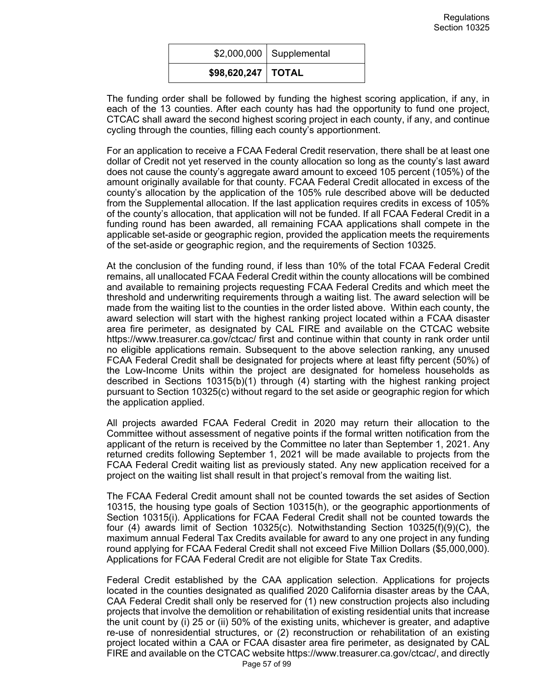|                       | $$2,000,000$ Supplemental |
|-----------------------|---------------------------|
| $$98,620,247$   TOTAL |                           |

The funding order shall be followed by funding the highest scoring application, if any, in each of the 13 counties. After each county has had the opportunity to fund one project, CTCAC shall award the second highest scoring project in each county, if any, and continue cycling through the counties, filling each county's apportionment.

For an application to receive a FCAA Federal Credit reservation, there shall be at least one dollar of Credit not yet reserved in the county allocation so long as the county's last award does not cause the county's aggregate award amount to exceed 105 percent (105%) of the amount originally available for that county. FCAA Federal Credit allocated in excess of the county's allocation by the application of the 105% rule described above will be deducted from the Supplemental allocation. If the last application requires credits in excess of 105% of the county's allocation, that application will not be funded. If all FCAA Federal Credit in a funding round has been awarded, all remaining FCAA applications shall compete in the applicable set-aside or geographic region, provided the application meets the requirements of the set-aside or geographic region, and the requirements of Section 10325.

At the conclusion of the funding round, if less than 10% of the total FCAA Federal Credit remains, all unallocated FCAA Federal Credit within the county allocations will be combined and available to remaining projects requesting FCAA Federal Credits and which meet the threshold and underwriting requirements through a waiting list. The award selection will be made from the waiting list to the counties in the order listed above. Within each county, the award selection will start with the highest ranking project located within a FCAA disaster area fire perimeter, as designated by CAL FIRE and available on the CTCAC website https://www.treasurer.ca.gov/ctcac/ first and continue within that county in rank order until no eligible applications remain. Subsequent to the above selection ranking, any unused FCAA Federal Credit shall be designated for projects where at least fifty percent (50%) of the Low-Income Units within the project are designated for homeless households as described in Sections 10315(b)(1) through (4) starting with the highest ranking project pursuant to Section 10325(c) without regard to the set aside or geographic region for which the application applied.

All projects awarded FCAA Federal Credit in 2020 may return their allocation to the Committee without assessment of negative points if the formal written notification from the applicant of the return is received by the Committee no later than September 1, 2021. Any returned credits following September 1, 2021 will be made available to projects from the FCAA Federal Credit waiting list as previously stated. Any new application received for a project on the waiting list shall result in that project's removal from the waiting list.

The FCAA Federal Credit amount shall not be counted towards the set asides of Section 10315, the housing type goals of Section 10315(h), or the geographic apportionments of Section 10315(i). Applications for FCAA Federal Credit shall not be counted towards the four (4) awards limit of Section 10325(c). Notwithstanding Section 10325(f)(9)(C), the maximum annual Federal Tax Credits available for award to any one project in any funding round applying for FCAA Federal Credit shall not exceed Five Million Dollars (\$5,000,000). Applications for FCAA Federal Credit are not eligible for State Tax Credits.

Federal Credit established by the CAA application selection. Applications for projects located in the counties designated as qualified 2020 California disaster areas by the CAA, CAA Federal Credit shall only be reserved for (1) new construction projects also including projects that involve the demolition or rehabilitation of existing residential units that increase the unit count by (i) 25 or (ii) 50% of the existing units, whichever is greater, and adaptive re-use of nonresidential structures, or (2) reconstruction or rehabilitation of an existing project located within a CAA or FCAA disaster area fire perimeter, as designated by CAL FIRE and available on the CTCAC website https://www.treasurer.ca.gov/ctcac/, and directly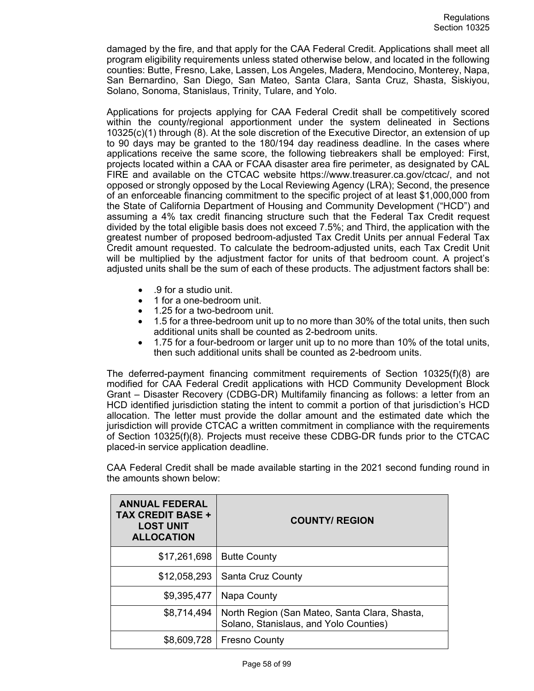damaged by the fire, and that apply for the CAA Federal Credit. Applications shall meet all program eligibility requirements unless stated otherwise below, and located in the following counties: Butte, Fresno, Lake, Lassen, Los Angeles, Madera, Mendocino, Monterey, Napa, San Bernardino, San Diego, San Mateo, Santa Clara, Santa Cruz, Shasta, Siskiyou, Solano, Sonoma, Stanislaus, Trinity, Tulare, and Yolo.

Applications for projects applying for CAA Federal Credit shall be competitively scored within the county/regional apportionment under the system delineated in Sections 10325(c)(1) through (8). At the sole discretion of the Executive Director, an extension of up to 90 days may be granted to the 180/194 day readiness deadline. In the cases where applications receive the same score, the following tiebreakers shall be employed: First, projects located within a CAA or FCAA disaster area fire perimeter, as designated by CAL FIRE and available on the CTCAC website https://www.treasurer.ca.gov/ctcac/, and not opposed or strongly opposed by the Local Reviewing Agency (LRA); Second, the presence of an enforceable financing commitment to the specific project of at least \$1,000,000 from the State of California Department of Housing and Community Development ("HCD") and assuming a 4% tax credit financing structure such that the Federal Tax Credit request divided by the total eligible basis does not exceed 7.5%; and Third, the application with the greatest number of proposed bedroom-adjusted Tax Credit Units per annual Federal Tax Credit amount requested. To calculate the bedroom-adjusted units, each Tax Credit Unit will be multiplied by the adjustment factor for units of that bedroom count. A project's adjusted units shall be the sum of each of these products. The adjustment factors shall be:

- .9 for a studio unit.
- 1 for a one-bedroom unit.
- 1.25 for a two-bedroom unit.
- 1.5 for a three-bedroom unit up to no more than 30% of the total units, then such additional units shall be counted as 2-bedroom units.
- 1.75 for a four-bedroom or larger unit up to no more than 10% of the total units, then such additional units shall be counted as 2-bedroom units.

The deferred-payment financing commitment requirements of Section 10325(f)(8) are modified for CAA Federal Credit applications with HCD Community Development Block Grant – Disaster Recovery (CDBG-DR) Multifamily financing as follows: a letter from an HCD identified jurisdiction stating the intent to commit a portion of that jurisdiction's HCD allocation. The letter must provide the dollar amount and the estimated date which the jurisdiction will provide CTCAC a written commitment in compliance with the requirements of Section 10325(f)(8). Projects must receive these CDBG-DR funds prior to the CTCAC placed-in service application deadline.

CAA Federal Credit shall be made available starting in the 2021 second funding round in the amounts shown below:

| <b>ANNUAL FEDERAL</b><br><b>TAX CREDIT BASE +</b><br><b>LOST UNIT</b><br><b>ALLOCATION</b> | <b>COUNTY/ REGION</b>                                                                   |  |
|--------------------------------------------------------------------------------------------|-----------------------------------------------------------------------------------------|--|
| \$17,261,698                                                                               | <b>Butte County</b>                                                                     |  |
| \$12,058,293                                                                               | Santa Cruz County                                                                       |  |
| \$9,395,477                                                                                | Napa County                                                                             |  |
| \$8,714,494                                                                                | North Region (San Mateo, Santa Clara, Shasta,<br>Solano, Stanislaus, and Yolo Counties) |  |
| \$8,609,728                                                                                | <b>Fresno County</b>                                                                    |  |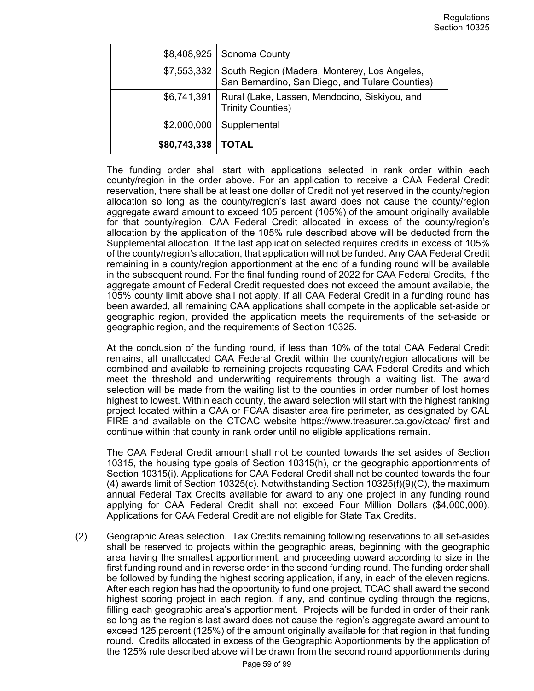|              | \$8,408,925   Sonoma County                                                                     |
|--------------|-------------------------------------------------------------------------------------------------|
| \$7,553,332  | South Region (Madera, Monterey, Los Angeles,<br>San Bernardino, San Diego, and Tulare Counties) |
| \$6,741,391  | Rural (Lake, Lassen, Mendocino, Siskiyou, and<br><b>Trinity Counties)</b>                       |
| \$2,000,000  | Supplemental                                                                                    |
| \$80,743,338 | <b>TOTAL</b>                                                                                    |

The funding order shall start with applications selected in rank order within each county/region in the order above. For an application to receive a CAA Federal Credit reservation, there shall be at least one dollar of Credit not yet reserved in the county/region allocation so long as the county/region's last award does not cause the county/region aggregate award amount to exceed 105 percent (105%) of the amount originally available for that county/region. CAA Federal Credit allocated in excess of the county/region's allocation by the application of the 105% rule described above will be deducted from the Supplemental allocation. If the last application selected requires credits in excess of 105% of the county/region's allocation, that application will not be funded. Any CAA Federal Credit remaining in a county/region apportionment at the end of a funding round will be available in the subsequent round. For the final funding round of 2022 for CAA Federal Credits, if the aggregate amount of Federal Credit requested does not exceed the amount available, the 105% county limit above shall not apply. If all CAA Federal Credit in a funding round has been awarded, all remaining CAA applications shall compete in the applicable set-aside or geographic region, provided the application meets the requirements of the set-aside or geographic region, and the requirements of Section 10325.

At the conclusion of the funding round, if less than 10% of the total CAA Federal Credit remains, all unallocated CAA Federal Credit within the county/region allocations will be combined and available to remaining projects requesting CAA Federal Credits and which meet the threshold and underwriting requirements through a waiting list. The award selection will be made from the waiting list to the counties in order number of lost homes highest to lowest. Within each county, the award selection will start with the highest ranking project located within a CAA or FCAA disaster area fire perimeter, as designated by CAL FIRE and available on the CTCAC website https://www.treasurer.ca.gov/ctcac/ first and continue within that county in rank order until no eligible applications remain.

The CAA Federal Credit amount shall not be counted towards the set asides of Section 10315, the housing type goals of Section 10315(h), or the geographic apportionments of Section 10315(i). Applications for CAA Federal Credit shall not be counted towards the four (4) awards limit of Section 10325(c). Notwithstanding Section 10325(f)(9)(C), the maximum annual Federal Tax Credits available for award to any one project in any funding round applying for CAA Federal Credit shall not exceed Four Million Dollars (\$4,000,000). Applications for CAA Federal Credit are not eligible for State Tax Credits.

(2) Geographic Areas selection. Tax Credits remaining following reservations to all set-asides shall be reserved to projects within the geographic areas, beginning with the geographic area having the smallest apportionment, and proceeding upward according to size in the first funding round and in reverse order in the second funding round. The funding order shall be followed by funding the highest scoring application, if any, in each of the eleven regions. After each region has had the opportunity to fund one project, TCAC shall award the second highest scoring project in each region, if any, and continue cycling through the regions, filling each geographic area's apportionment. Projects will be funded in order of their rank so long as the region's last award does not cause the region's aggregate award amount to exceed 125 percent (125%) of the amount originally available for that region in that funding round. Credits allocated in excess of the Geographic Apportionments by the application of the 125% rule described above will be drawn from the second round apportionments during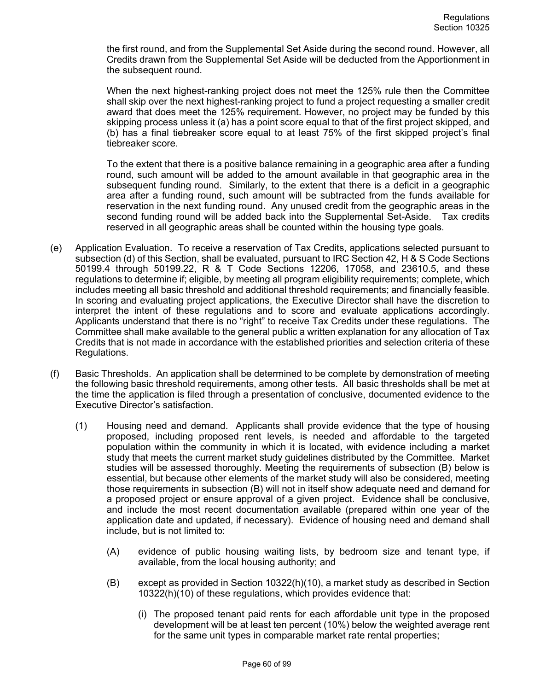the first round, and from the Supplemental Set Aside during the second round. However, all Credits drawn from the Supplemental Set Aside will be deducted from the Apportionment in the subsequent round.

When the next highest-ranking project does not meet the 125% rule then the Committee shall skip over the next highest-ranking project to fund a project requesting a smaller credit award that does meet the 125% requirement. However, no project may be funded by this skipping process unless it (a) has a point score equal to that of the first project skipped, and (b) has a final tiebreaker score equal to at least 75% of the first skipped project's final tiebreaker score.

To the extent that there is a positive balance remaining in a geographic area after a funding round, such amount will be added to the amount available in that geographic area in the subsequent funding round. Similarly, to the extent that there is a deficit in a geographic area after a funding round, such amount will be subtracted from the funds available for reservation in the next funding round. Any unused credit from the geographic areas in the second funding round will be added back into the Supplemental Set-Aside. Tax credits reserved in all geographic areas shall be counted within the housing type goals.

- (e) Application Evaluation. To receive a reservation of Tax Credits, applications selected pursuant to subsection (d) of this Section, shall be evaluated, pursuant to IRC Section 42, H & S Code Sections 50199.4 through 50199.22, R & T Code Sections 12206, 17058, and 23610.5, and these regulations to determine if; eligible, by meeting all program eligibility requirements; complete, which includes meeting all basic threshold and additional threshold requirements; and financially feasible. In scoring and evaluating project applications, the Executive Director shall have the discretion to interpret the intent of these regulations and to score and evaluate applications accordingly. Applicants understand that there is no "right" to receive Tax Credits under these regulations. The Committee shall make available to the general public a written explanation for any allocation of Tax Credits that is not made in accordance with the established priorities and selection criteria of these Regulations.
- (f) Basic Thresholds. An application shall be determined to be complete by demonstration of meeting the following basic threshold requirements, among other tests. All basic thresholds shall be met at the time the application is filed through a presentation of conclusive, documented evidence to the Executive Director's satisfaction.
	- (1) Housing need and demand. Applicants shall provide evidence that the type of housing proposed, including proposed rent levels, is needed and affordable to the targeted population within the community in which it is located, with evidence including a market study that meets the current market study guidelines distributed by the Committee. Market studies will be assessed thoroughly. Meeting the requirements of subsection (B) below is essential, but because other elements of the market study will also be considered, meeting those requirements in subsection (B) will not in itself show adequate need and demand for a proposed project or ensure approval of a given project. Evidence shall be conclusive, and include the most recent documentation available (prepared within one year of the application date and updated, if necessary). Evidence of housing need and demand shall include, but is not limited to:
		- (A) evidence of public housing waiting lists, by bedroom size and tenant type, if available, from the local housing authority; and
		- (B) except as provided in Section 10322(h)(10), a market study as described in Section 10322(h)(10) of these regulations, which provides evidence that:
			- (i) The proposed tenant paid rents for each affordable unit type in the proposed development will be at least ten percent (10%) below the weighted average rent for the same unit types in comparable market rate rental properties;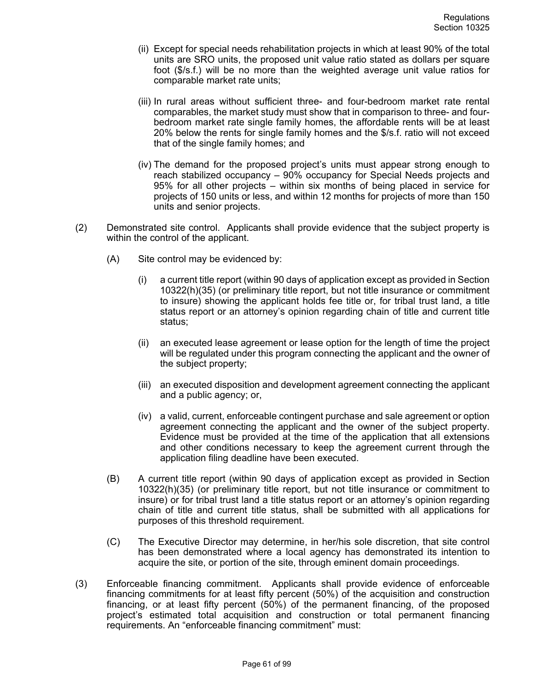- (ii) Except for special needs rehabilitation projects in which at least 90% of the total units are SRO units, the proposed unit value ratio stated as dollars per square foot (\$/s.f.) will be no more than the weighted average unit value ratios for comparable market rate units;
- (iii) In rural areas without sufficient three- and four-bedroom market rate rental comparables, the market study must show that in comparison to three- and fourbedroom market rate single family homes, the affordable rents will be at least 20% below the rents for single family homes and the \$/s.f. ratio will not exceed that of the single family homes; and
- (iv) The demand for the proposed project's units must appear strong enough to reach stabilized occupancy – 90% occupancy for Special Needs projects and 95% for all other projects – within six months of being placed in service for projects of 150 units or less, and within 12 months for projects of more than 150 units and senior projects.
- (2) Demonstrated site control. Applicants shall provide evidence that the subject property is within the control of the applicant.
	- (A) Site control may be evidenced by:
		- (i) a current title report (within 90 days of application except as provided in Section 10322(h)(35) (or preliminary title report, but not title insurance or commitment to insure) showing the applicant holds fee title or, for tribal trust land, a title status report or an attorney's opinion regarding chain of title and current title status;
		- (ii) an executed lease agreement or lease option for the length of time the project will be regulated under this program connecting the applicant and the owner of the subject property;
		- (iii) an executed disposition and development agreement connecting the applicant and a public agency; or,
		- (iv) a valid, current, enforceable contingent purchase and sale agreement or option agreement connecting the applicant and the owner of the subject property. Evidence must be provided at the time of the application that all extensions and other conditions necessary to keep the agreement current through the application filing deadline have been executed.
	- (B) A current title report (within 90 days of application except as provided in Section 10322(h)(35) (or preliminary title report, but not title insurance or commitment to insure) or for tribal trust land a title status report or an attorney's opinion regarding chain of title and current title status, shall be submitted with all applications for purposes of this threshold requirement.
	- (C) The Executive Director may determine, in her/his sole discretion, that site control has been demonstrated where a local agency has demonstrated its intention to acquire the site, or portion of the site, through eminent domain proceedings.
- (3) Enforceable financing commitment. Applicants shall provide evidence of enforceable financing commitments for at least fifty percent (50%) of the acquisition and construction financing, or at least fifty percent (50%) of the permanent financing, of the proposed project's estimated total acquisition and construction or total permanent financing requirements. An "enforceable financing commitment" must: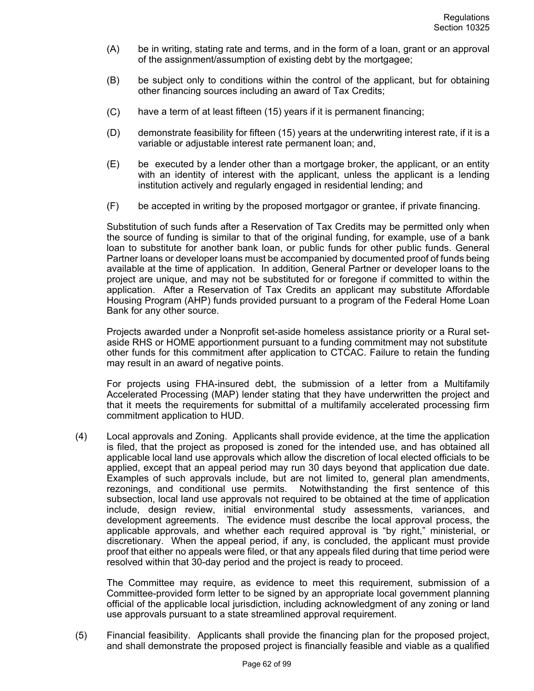- (A) be in writing, stating rate and terms, and in the form of a loan, grant or an approval of the assignment/assumption of existing debt by the mortgagee;
- (B) be subject only to conditions within the control of the applicant, but for obtaining other financing sources including an award of Tax Credits;
- (C) have a term of at least fifteen (15) years if it is permanent financing;
- (D) demonstrate feasibility for fifteen (15) years at the underwriting interest rate, if it is a variable or adjustable interest rate permanent loan; and,
- (E) be executed by a lender other than a mortgage broker, the applicant, or an entity with an identity of interest with the applicant, unless the applicant is a lending institution actively and regularly engaged in residential lending; and
- (F) be accepted in writing by the proposed mortgagor or grantee, if private financing.

Substitution of such funds after a Reservation of Tax Credits may be permitted only when the source of funding is similar to that of the original funding, for example, use of a bank loan to substitute for another bank loan, or public funds for other public funds. General Partner loans or developer loans must be accompanied by documented proof of funds being available at the time of application. In addition, General Partner or developer loans to the project are unique, and may not be substituted for or foregone if committed to within the application. After a Reservation of Tax Credits an applicant may substitute Affordable Housing Program (AHP) funds provided pursuant to a program of the Federal Home Loan Bank for any other source.

Projects awarded under a Nonprofit set-aside homeless assistance priority or a Rural setaside RHS or HOME apportionment pursuant to a funding commitment may not substitute other funds for this commitment after application to CTCAC. Failure to retain the funding may result in an award of negative points.

For projects using FHA-insured debt, the submission of a letter from a Multifamily Accelerated Processing (MAP) lender stating that they have underwritten the project and that it meets the requirements for submittal of a multifamily accelerated processing firm commitment application to HUD.

(4) Local approvals and Zoning. Applicants shall provide evidence, at the time the application is filed, that the project as proposed is zoned for the intended use, and has obtained all applicable local land use approvals which allow the discretion of local elected officials to be applied, except that an appeal period may run 30 days beyond that application due date. Examples of such approvals include, but are not limited to, general plan amendments, rezonings, and conditional use permits. Notwithstanding the first sentence of this subsection, local land use approvals not required to be obtained at the time of application include, design review, initial environmental study assessments, variances, and development agreements. The evidence must describe the local approval process, the applicable approvals, and whether each required approval is "by right," ministerial, or discretionary. When the appeal period, if any, is concluded, the applicant must provide proof that either no appeals were filed, or that any appeals filed during that time period were resolved within that 30-day period and the project is ready to proceed.

The Committee may require, as evidence to meet this requirement, submission of a Committee-provided form letter to be signed by an appropriate local government planning official of the applicable local jurisdiction, including acknowledgment of any zoning or land use approvals pursuant to a state streamlined approval requirement.

(5) Financial feasibility. Applicants shall provide the financing plan for the proposed project, and shall demonstrate the proposed project is financially feasible and viable as a qualified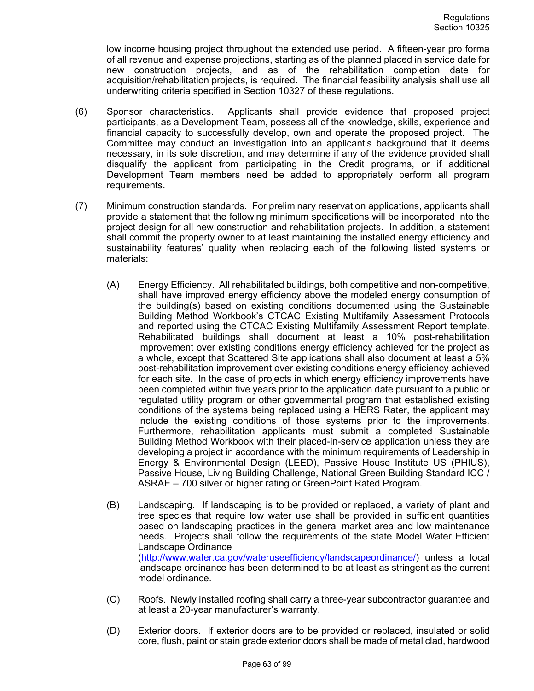low income housing project throughout the extended use period. A fifteen-year pro forma of all revenue and expense projections, starting as of the planned placed in service date for new construction projects, and as of the rehabilitation completion date for acquisition/rehabilitation projects, is required. The financial feasibility analysis shall use all underwriting criteria specified in Section 10327 of these regulations.

- (6) Sponsor characteristics. Applicants shall provide evidence that proposed project participants, as a Development Team, possess all of the knowledge, skills, experience and financial capacity to successfully develop, own and operate the proposed project. The Committee may conduct an investigation into an applicant's background that it deems necessary, in its sole discretion, and may determine if any of the evidence provided shall disqualify the applicant from participating in the Credit programs, or if additional Development Team members need be added to appropriately perform all program requirements.
- (7) Minimum construction standards. For preliminary reservation applications, applicants shall provide a statement that the following minimum specifications will be incorporated into the project design for all new construction and rehabilitation projects. In addition, a statement shall commit the property owner to at least maintaining the installed energy efficiency and sustainability features' quality when replacing each of the following listed systems or materials:
	- (A) Energy Efficiency. All rehabilitated buildings, both competitive and non-competitive, shall have improved energy efficiency above the modeled energy consumption of the building(s) based on existing conditions documented using the Sustainable Building Method Workbook's CTCAC Existing Multifamily Assessment Protocols and reported using the CTCAC Existing Multifamily Assessment Report template. Rehabilitated buildings shall document at least a 10% post-rehabilitation improvement over existing conditions energy efficiency achieved for the project as a whole, except that Scattered Site applications shall also document at least a 5% post-rehabilitation improvement over existing conditions energy efficiency achieved for each site. In the case of projects in which energy efficiency improvements have been completed within five years prior to the application date pursuant to a public or regulated utility program or other governmental program that established existing conditions of the systems being replaced using a HERS Rater, the applicant may include the existing conditions of those systems prior to the improvements. Furthermore, rehabilitation applicants must submit a completed Sustainable Building Method Workbook with their placed-in-service application unless they are developing a project in accordance with the minimum requirements of Leadership in Energy & Environmental Design (LEED), Passive House Institute US (PHIUS), Passive House, Living Building Challenge, National Green Building Standard ICC / ASRAE – 700 silver or higher rating or GreenPoint Rated Program.
	- (B) Landscaping. If landscaping is to be provided or replaced, a variety of plant and tree species that require low water use shall be provided in sufficient quantities based on landscaping practices in the general market area and low maintenance needs. Projects shall follow the requirements of the state Model Water Efficient Landscape Ordinance (http://www.water.ca.gov/wateruseefficiency/landscapeordinance/) unless a local landscape ordinance has been determined to be at least as stringent as the current model ordinance.
	- (C) Roofs. Newly installed roofing shall carry a three-year subcontractor guarantee and at least a 20-year manufacturer's warranty.
	- (D) Exterior doors. If exterior doors are to be provided or replaced, insulated or solid core, flush, paint or stain grade exterior doors shall be made of metal clad, hardwood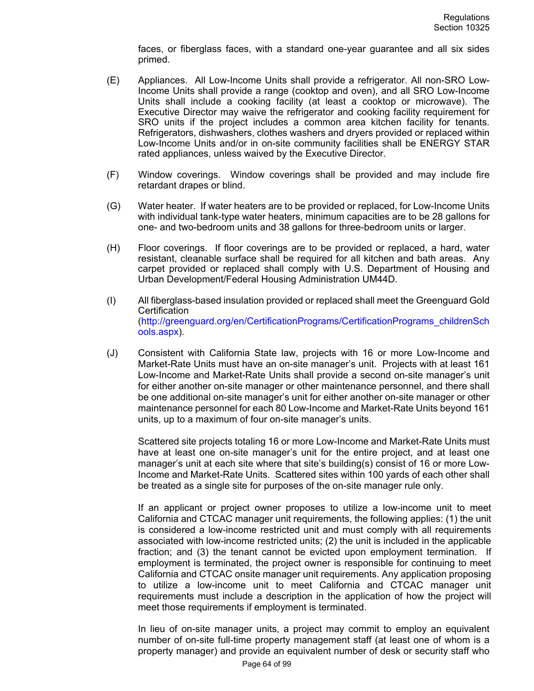faces, or fiberglass faces, with a standard one-year guarantee and all six sides primed.

- (E) Appliances. All Low-Income Units shall provide a refrigerator. All non-SRO Low-Income Units shall provide a range (cooktop and oven), and all SRO Low-Income Units shall include a cooking facility (at least a cooktop or microwave). The Executive Director may waive the refrigerator and cooking facility requirement for SRO units if the project includes a common area kitchen facility for tenants. Refrigerators, dishwashers, clothes washers and dryers provided or replaced within Low-Income Units and/or in on-site community facilities shall be ENERGY STAR rated appliances, unless waived by the Executive Director.
- (F) Window coverings. Window coverings shall be provided and may include fire retardant drapes or blind.
- (G) Water heater. If water heaters are to be provided or replaced, for Low-Income Units with individual tank-type water heaters, minimum capacities are to be 28 gallons for one- and two-bedroom units and 38 gallons for three-bedroom units or larger.
- (H) Floor coverings. If floor coverings are to be provided or replaced, a hard, water resistant, cleanable surface shall be required for all kitchen and bath areas. Any carpet provided or replaced shall comply with U.S. Department of Housing and Urban Development/Federal Housing Administration UM44D.
- (I) All fiberglass-based insulation provided or replaced shall meet the Greenguard Gold **Certification** (http://greenguard.org/en/CertificationPrograms/CertificationPrograms\_childrenSch ools.aspx).
- (J) Consistent with California State law, projects with 16 or more Low-Income and Market-Rate Units must have an on-site manager's unit. Projects with at least 161 Low-Income and Market-Rate Units shall provide a second on-site manager's unit for either another on-site manager or other maintenance personnel, and there shall be one additional on-site manager's unit for either another on-site manager or other maintenance personnel for each 80 Low-Income and Market-Rate Units beyond 161 units, up to a maximum of four on-site manager's units.

Scattered site projects totaling 16 or more Low-Income and Market-Rate Units must have at least one on-site manager's unit for the entire project, and at least one manager's unit at each site where that site's building(s) consist of 16 or more Low-Income and Market-Rate Units. Scattered sites within 100 yards of each other shall be treated as a single site for purposes of the on-site manager rule only.

If an applicant or project owner proposes to utilize a low-income unit to meet California and CTCAC manager unit requirements, the following applies: (1) the unit is considered a low-income restricted unit and must comply with all requirements associated with low-income restricted units; (2) the unit is included in the applicable fraction; and (3) the tenant cannot be evicted upon employment termination.If employment is terminated, the project owner is responsible for continuing to meet California and CTCAC onsite manager unit requirements. Any application proposing to utilize a low-income unit to meet California and CTCAC manager unit requirements must include a description in the application of how the project will meet those requirements if employment is terminated.

In lieu of on-site manager units, a project may commit to employ an equivalent number of on-site full-time property management staff (at least one of whom is a property manager) and provide an equivalent number of desk or security staff who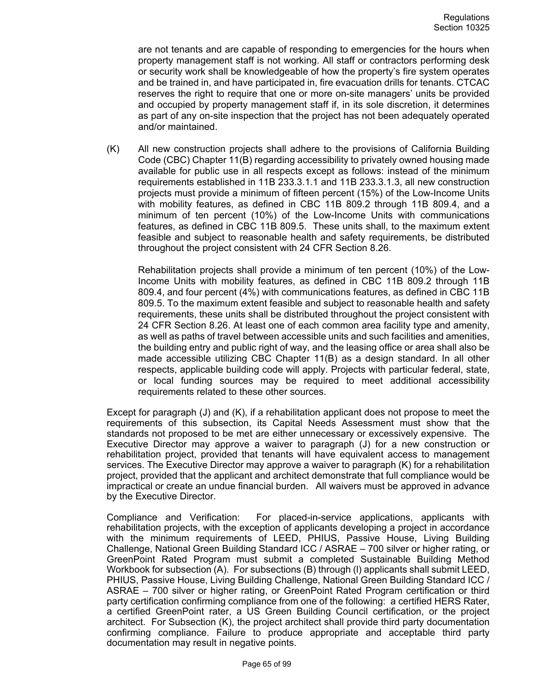are not tenants and are capable of responding to emergencies for the hours when property management staff is not working. All staff or contractors performing desk or security work shall be knowledgeable of how the property's fire system operates and be trained in, and have participated in, fire evacuation drills for tenants. CTCAC reserves the right to require that one or more on-site managers' units be provided and occupied by property management staff if, in its sole discretion, it determines as part of any on-site inspection that the project has not been adequately operated and/or maintained.

(K) All new construction projects shall adhere to the provisions of California Building Code (CBC) Chapter 11(B) regarding accessibility to privately owned housing made available for public use in all respects except as follows: instead of the minimum requirements established in 11B 233.3.1.1 and 11B 233.3.1.3, all new construction projects must provide a minimum of fifteen percent (15%) of the Low-Income Units with mobility features, as defined in CBC 11B 809.2 through 11B 809.4, and a minimum of ten percent (10%) of the Low-Income Units with communications features, as defined in CBC 11B 809.5. These units shall, to the maximum extent feasible and subject to reasonable health and safety requirements, be distributed throughout the project consistent with 24 CFR Section 8.26.

Rehabilitation projects shall provide a minimum of ten percent (10%) of the Low-Income Units with mobility features, as defined in CBC 11B 809.2 through 11B 809.4, and four percent (4%) with communications features, as defined in CBC 11B 809.5. To the maximum extent feasible and subject to reasonable health and safety requirements, these units shall be distributed throughout the project consistent with 24 CFR Section 8.26. At least one of each common area facility type and amenity, as well as paths of travel between accessible units and such facilities and amenities, the building entry and public right of way, and the leasing office or area shall also be made accessible utilizing CBC Chapter 11(B) as a design standard. In all other respects, applicable building code will apply. Projects with particular federal, state, or local funding sources may be required to meet additional accessibility requirements related to these other sources.

Except for paragraph (J) and (K), if a rehabilitation applicant does not propose to meet the requirements of this subsection, its Capital Needs Assessment must show that the standards not proposed to be met are either unnecessary or excessively expensive. The Executive Director may approve a waiver to paragraph (J) for a new construction or rehabilitation project, provided that tenants will have equivalent access to management services. The Executive Director may approve a waiver to paragraph (K) for a rehabilitation project, provided that the applicant and architect demonstrate that full compliance would be impractical or create an undue financial burden. All waivers must be approved in advance by the Executive Director.

Compliance and Verification: For placed-in-service applications, applicants with rehabilitation projects, with the exception of applicants developing a project in accordance with the minimum requirements of LEED, PHIUS, Passive House, Living Building Challenge, National Green Building Standard ICC / ASRAE – 700 silver or higher rating, or GreenPoint Rated Program must submit a completed Sustainable Building Method Workbook for subsection (A). For subsections (B) through (l) applicants shall submit LEED, PHIUS, Passive House, Living Building Challenge, National Green Building Standard ICC / ASRAE – 700 silver or higher rating, or GreenPoint Rated Program certification or third party certification confirming compliance from one of the following: a certified HERS Rater, a certified GreenPoint rater, a US Green Building Council certification, or the project architect. For Subsection (K), the project architect shall provide third party documentation confirming compliance. Failure to produce appropriate and acceptable third party documentation may result in negative points.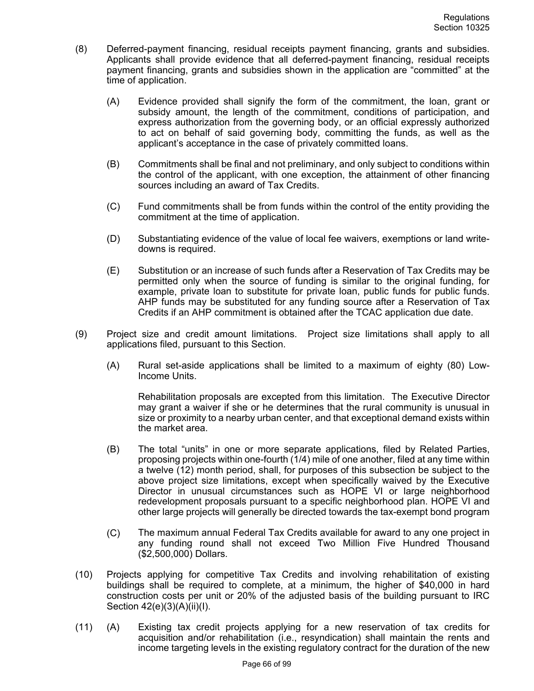- (8) Deferred-payment financing, residual receipts payment financing, grants and subsidies. Applicants shall provide evidence that all deferred-payment financing, residual receipts payment financing, grants and subsidies shown in the application are "committed" at the time of application.
	- (A) Evidence provided shall signify the form of the commitment, the loan, grant or subsidy amount, the length of the commitment, conditions of participation, and express authorization from the governing body, or an official expressly authorized to act on behalf of said governing body, committing the funds, as well as the applicant's acceptance in the case of privately committed loans.
	- (B) Commitments shall be final and not preliminary, and only subject to conditions within the control of the applicant, with one exception, the attainment of other financing sources including an award of Tax Credits.
	- (C) Fund commitments shall be from funds within the control of the entity providing the commitment at the time of application.
	- (D) Substantiating evidence of the value of local fee waivers, exemptions or land writedowns is required.
	- (E) Substitution or an increase of such funds after a Reservation of Tax Credits may be permitted only when the source of funding is similar to the original funding, for example, private loan to substitute for private loan, public funds for public funds. AHP funds may be substituted for any funding source after a Reservation of Tax Credits if an AHP commitment is obtained after the TCAC application due date.
- (9) Project size and credit amount limitations. Project size limitations shall apply to all applications filed, pursuant to this Section.
	- (A) Rural set-aside applications shall be limited to a maximum of eighty (80) Low-Income Units.

Rehabilitation proposals are excepted from this limitation. The Executive Director may grant a waiver if she or he determines that the rural community is unusual in size or proximity to a nearby urban center, and that exceptional demand exists within the market area.

- (B) The total "units" in one or more separate applications, filed by Related Parties, proposing projects within one-fourth (1/4) mile of one another, filed at any time within a twelve (12) month period, shall, for purposes of this subsection be subject to the above project size limitations, except when specifically waived by the Executive Director in unusual circumstances such as HOPE VI or large neighborhood redevelopment proposals pursuant to a specific neighborhood plan. HOPE VI and other large projects will generally be directed towards the tax-exempt bond program
- (C) The maximum annual Federal Tax Credits available for award to any one project in any funding round shall not exceed Two Million Five Hundred Thousand (\$2,500,000) Dollars.
- (10) Projects applying for competitive Tax Credits and involving rehabilitation of existing buildings shall be required to complete, at a minimum, the higher of \$40,000 in hard construction costs per unit or 20% of the adjusted basis of the building pursuant to IRC Section 42(e)(3)(A)(ii)(I).
- (11) (A) Existing tax credit projects applying for a new reservation of tax credits for acquisition and/or rehabilitation (i.e., resyndication) shall maintain the rents and income targeting levels in the existing regulatory contract for the duration of the new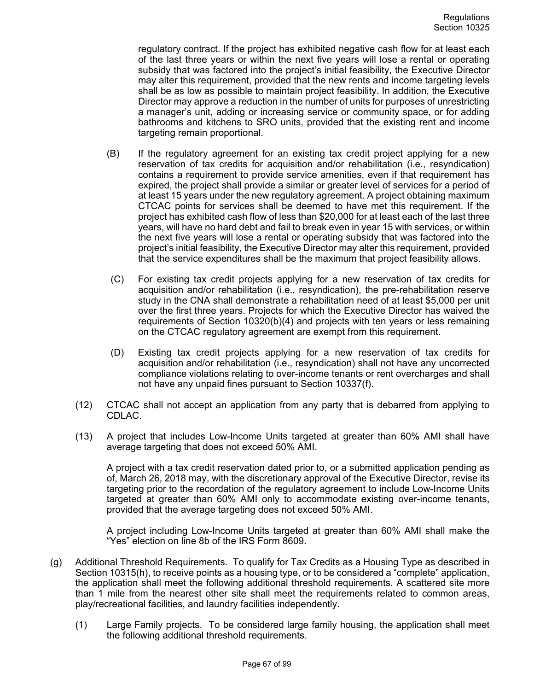regulatory contract. If the project has exhibited negative cash flow for at least each of the last three years or within the next five years will lose a rental or operating subsidy that was factored into the project's initial feasibility, the Executive Director may alter this requirement, provided that the new rents and income targeting levels shall be as low as possible to maintain project feasibility. In addition, the Executive Director may approve a reduction in the number of units for purposes of unrestricting a manager's unit, adding or increasing service or community space, or for adding bathrooms and kitchens to SRO units, provided that the existing rent and income targeting remain proportional.

- (B) If the regulatory agreement for an existing tax credit project applying for a new reservation of tax credits for acquisition and/or rehabilitation (i.e., resyndication) contains a requirement to provide service amenities, even if that requirement has expired, the project shall provide a similar or greater level of services for a period of at least 15 years under the new regulatory agreement. A project obtaining maximum CTCAC points for services shall be deemed to have met this requirement. If the project has exhibited cash flow of less than \$20,000 for at least each of the last three years, will have no hard debt and fail to break even in year 15 with services, or within the next five years will lose a rental or operating subsidy that was factored into the project's initial feasibility, the Executive Director may alter this requirement, provided that the service expenditures shall be the maximum that project feasibility allows.
- (C) For existing tax credit projects applying for a new reservation of tax credits for acquisition and/or rehabilitation (i.e., resyndication), the pre-rehabilitation reserve study in the CNA shall demonstrate a rehabilitation need of at least \$5,000 per unit over the first three years. Projects for which the Executive Director has waived the requirements of Section 10320(b)(4) and projects with ten years or less remaining on the CTCAC regulatory agreement are exempt from this requirement.
- (D) Existing tax credit projects applying for a new reservation of tax credits for acquisition and/or rehabilitation (i.e., resyndication) shall not have any uncorrected compliance violations relating to over-income tenants or rent overcharges and shall not have any unpaid fines pursuant to Section 10337(f).
- (12) CTCAC shall not accept an application from any party that is debarred from applying to CDLAC.
- (13) A project that includes Low-Income Units targeted at greater than 60% AMI shall have average targeting that does not exceed 50% AMI.

A project with a tax credit reservation dated prior to, or a submitted application pending as of, March 26, 2018 may, with the discretionary approval of the Executive Director, revise its targeting prior to the recordation of the regulatory agreement to include Low-Income Units targeted at greater than 60% AMI only to accommodate existing over-income tenants, provided that the average targeting does not exceed 50% AMI.

A project including Low-Income Units targeted at greater than 60% AMI shall make the "Yes" election on line 8b of the IRS Form 8609.

- (g) Additional Threshold Requirements. To qualify for Tax Credits as a Housing Type as described in Section 10315(h), to receive points as a housing type, or to be considered a "complete" application, the application shall meet the following additional threshold requirements. A scattered site more than 1 mile from the nearest other site shall meet the requirements related to common areas, play/recreational facilities, and laundry facilities independently.
	- (1) Large Family projects. To be considered large family housing, the application shall meet the following additional threshold requirements.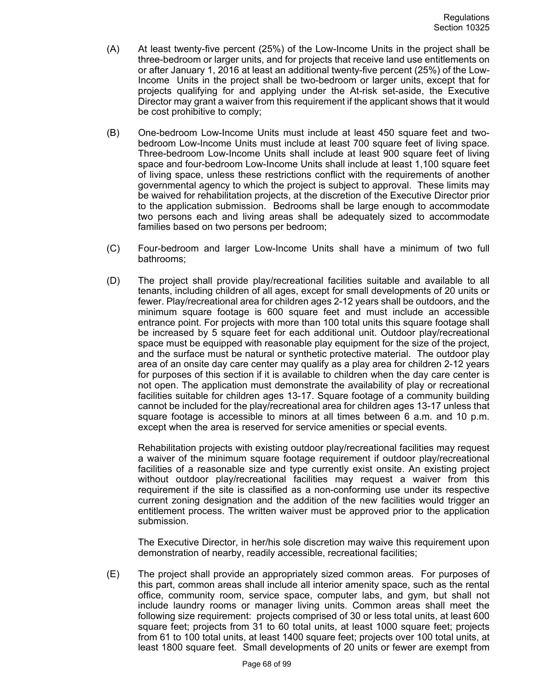- (A) At least twenty-five percent (25%) of the Low-Income Units in the project shall be three-bedroom or larger units, and for projects that receive land use entitlements on or after January 1, 2016 at least an additional twenty-five percent (25%) of the Low-Income Units in the project shall be two-bedroom or larger units, except that for projects qualifying for and applying under the At-risk set-aside, the Executive Director may grant a waiver from this requirement if the applicant shows that it would be cost prohibitive to comply;
- (B) One-bedroom Low-Income Units must include at least 450 square feet and twobedroom Low-Income Units must include at least 700 square feet of living space. Three-bedroom Low-Income Units shall include at least 900 square feet of living space and four-bedroom Low-Income Units shall include at least 1,100 square feet of living space, unless these restrictions conflict with the requirements of another governmental agency to which the project is subject to approval. These limits may be waived for rehabilitation projects, at the discretion of the Executive Director prior to the application submission. Bedrooms shall be large enough to accommodate two persons each and living areas shall be adequately sized to accommodate families based on two persons per bedroom;
- (C) Four-bedroom and larger Low-Income Units shall have a minimum of two full bathrooms;
- (D) The project shall provide play/recreational facilities suitable and available to all tenants, including children of all ages, except for small developments of 20 units or fewer. Play/recreational area for children ages 2-12 years shall be outdoors, and the minimum square footage is 600 square feet and must include an accessible entrance point. For projects with more than 100 total units this square footage shall be increased by 5 square feet for each additional unit. Outdoor play/recreational space must be equipped with reasonable play equipment for the size of the project, and the surface must be natural or synthetic protective material. The outdoor play area of an onsite day care center may qualify as a play area for children 2-12 years for purposes of this section if it is available to children when the day care center is not open. The application must demonstrate the availability of play or recreational facilities suitable for children ages 13-17. Square footage of a community building cannot be included for the play/recreational area for children ages 13-17 unless that square footage is accessible to minors at all times between 6 a.m. and 10 p.m. except when the area is reserved for service amenities or special events.

Rehabilitation projects with existing outdoor play/recreational facilities may request a waiver of the minimum square footage requirement if outdoor play/recreational facilities of a reasonable size and type currently exist onsite. An existing project without outdoor play/recreational facilities may request a waiver from this requirement if the site is classified as a non-conforming use under its respective current zoning designation and the addition of the new facilities would trigger an entitlement process. The written waiver must be approved prior to the application submission.

The Executive Director, in her/his sole discretion may waive this requirement upon demonstration of nearby, readily accessible, recreational facilities;

(E) The project shall provide an appropriately sized common areas. For purposes of this part, common areas shall include all interior amenity space, such as the rental office, community room, service space, computer labs, and gym, but shall not include laundry rooms or manager living units. Common areas shall meet the following size requirement: projects comprised of 30 or less total units, at least 600 square feet; projects from 31 to 60 total units, at least 1000 square feet; projects from 61 to 100 total units, at least 1400 square feet; projects over 100 total units, at least 1800 square feet. Small developments of 20 units or fewer are exempt from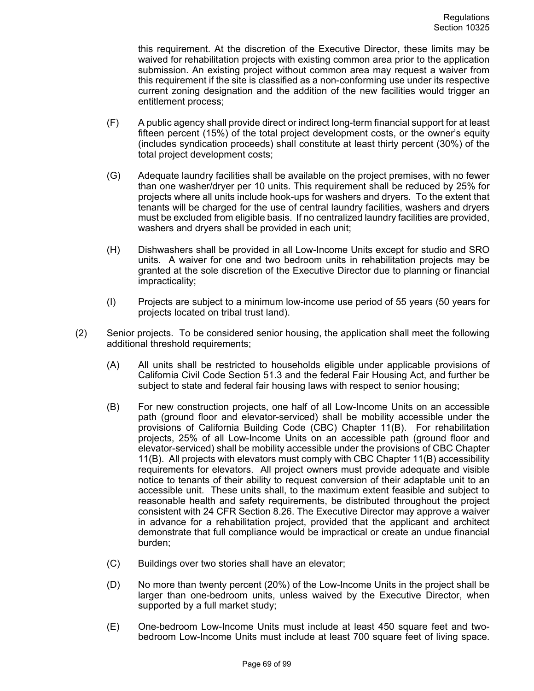this requirement. At the discretion of the Executive Director, these limits may be waived for rehabilitation projects with existing common area prior to the application submission. An existing project without common area may request a waiver from this requirement if the site is classified as a non-conforming use under its respective current zoning designation and the addition of the new facilities would trigger an entitlement process;

- (F) A public agency shall provide direct or indirect long-term financial support for at least fifteen percent (15%) of the total project development costs, or the owner's equity (includes syndication proceeds) shall constitute at least thirty percent (30%) of the total project development costs;
- (G) Adequate laundry facilities shall be available on the project premises, with no fewer than one washer/dryer per 10 units. This requirement shall be reduced by 25% for projects where all units include hook-ups for washers and dryers. To the extent that tenants will be charged for the use of central laundry facilities, washers and dryers must be excluded from eligible basis. If no centralized laundry facilities are provided, washers and dryers shall be provided in each unit;
- (H) Dishwashers shall be provided in all Low-Income Units except for studio and SRO units. A waiver for one and two bedroom units in rehabilitation projects may be granted at the sole discretion of the Executive Director due to planning or financial impracticality;
- (I) Projects are subject to a minimum low-income use period of 55 years (50 years for projects located on tribal trust land).
- (2) Senior projects. To be considered senior housing, the application shall meet the following additional threshold requirements;
	- (A) All units shall be restricted to households eligible under applicable provisions of California Civil Code Section 51.3 and the federal Fair Housing Act, and further be subject to state and federal fair housing laws with respect to senior housing;
	- (B) For new construction projects, one half of all Low-Income Units on an accessible path (ground floor and elevator-serviced) shall be mobility accessible under the provisions of California Building Code (CBC) Chapter 11(B). For rehabilitation projects, 25% of all Low-Income Units on an accessible path (ground floor and elevator-serviced) shall be mobility accessible under the provisions of CBC Chapter 11(B). All projects with elevators must comply with CBC Chapter 11(B) accessibility requirements for elevators. All project owners must provide adequate and visible notice to tenants of their ability to request conversion of their adaptable unit to an accessible unit. These units shall, to the maximum extent feasible and subject to reasonable health and safety requirements, be distributed throughout the project consistent with 24 CFR Section 8.26. The Executive Director may approve a waiver in advance for a rehabilitation project, provided that the applicant and architect demonstrate that full compliance would be impractical or create an undue financial burden;
	- (C) Buildings over two stories shall have an elevator;
	- (D) No more than twenty percent (20%) of the Low-Income Units in the project shall be larger than one-bedroom units, unless waived by the Executive Director, when supported by a full market study;
	- (E) One-bedroom Low-Income Units must include at least 450 square feet and twobedroom Low-Income Units must include at least 700 square feet of living space.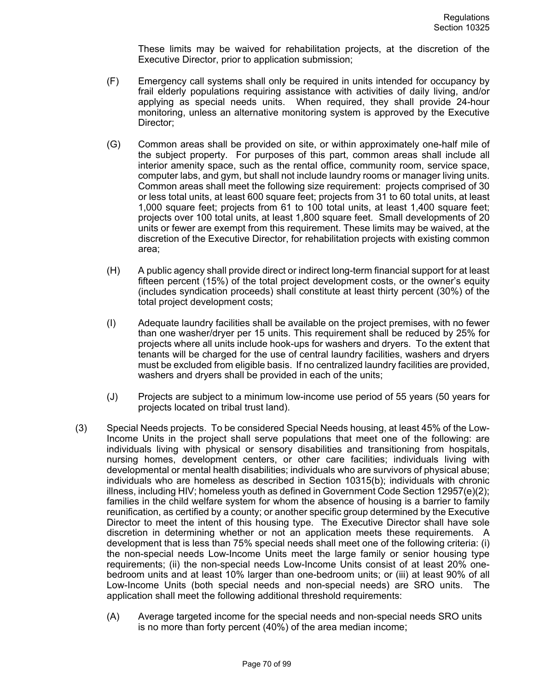These limits may be waived for rehabilitation projects, at the discretion of the Executive Director, prior to application submission;

- (F) Emergency call systems shall only be required in units intended for occupancy by frail elderly populations requiring assistance with activities of daily living, and/or applying as special needs units. When required, they shall provide 24-hour monitoring, unless an alternative monitoring system is approved by the Executive Director;
- (G) Common areas shall be provided on site, or within approximately one-half mile of the subject property. For purposes of this part, common areas shall include all interior amenity space, such as the rental office, community room, service space, computer labs, and gym, but shall not include laundry rooms or manager living units. Common areas shall meet the following size requirement: projects comprised of 30 or less total units, at least 600 square feet; projects from 31 to 60 total units, at least 1,000 square feet; projects from 61 to 100 total units, at least 1,400 square feet; projects over 100 total units, at least 1,800 square feet. Small developments of 20 units or fewer are exempt from this requirement. These limits may be waived, at the discretion of the Executive Director, for rehabilitation projects with existing common area;
- (H) A public agency shall provide direct or indirect long-term financial support for at least fifteen percent (15%) of the total project development costs, or the owner's equity (includes syndication proceeds) shall constitute at least thirty percent (30%) of the total project development costs;
- (I) Adequate laundry facilities shall be available on the project premises, with no fewer than one washer/dryer per 15 units. This requirement shall be reduced by 25% for projects where all units include hook-ups for washers and dryers. To the extent that tenants will be charged for the use of central laundry facilities, washers and dryers must be excluded from eligible basis. If no centralized laundry facilities are provided, washers and dryers shall be provided in each of the units;
- (J) Projects are subject to a minimum low-income use period of 55 years (50 years for projects located on tribal trust land).
- (3) Special Needs projects. To be considered Special Needs housing, at least 45% of the Low-Income Units in the project shall serve populations that meet one of the following: are individuals living with physical or sensory disabilities and transitioning from hospitals, nursing homes, development centers, or other care facilities; individuals living with developmental or mental health disabilities; individuals who are survivors of physical abuse; individuals who are homeless as described in Section 10315(b); individuals with chronic illness, including HIV; homeless youth as defined in Government Code Section 12957(e)(2); families in the child welfare system for whom the absence of housing is a barrier to family reunification, as certified by a county; or another specific group determined by the Executive Director to meet the intent of this housing type. The Executive Director shall have sole discretion in determining whether or not an application meets these requirements. A development that is less than 75% special needs shall meet one of the following criteria: (i) the non-special needs Low-Income Units meet the large family or senior housing type requirements; (ii) the non-special needs Low-Income Units consist of at least 20% onebedroom units and at least 10% larger than one-bedroom units; or (iii) at least 90% of all Low-Income Units (both special needs and non-special needs) are SRO units. The application shall meet the following additional threshold requirements:
	- (A) Average targeted income for the special needs and non-special needs SRO units is no more than forty percent (40%) of the area median income;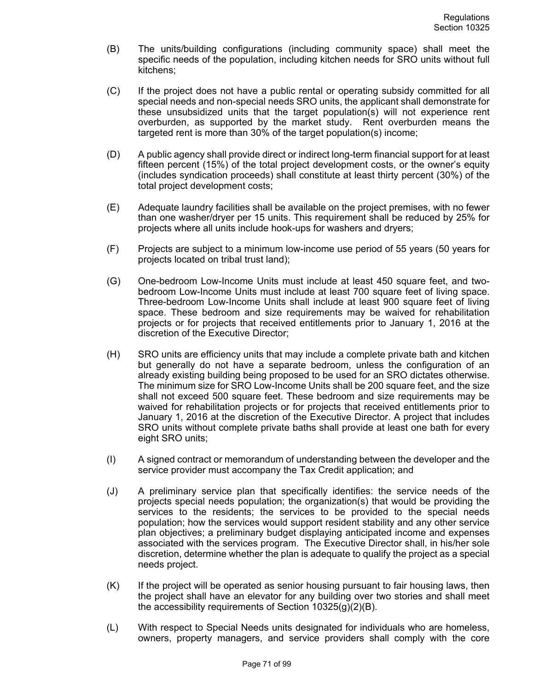- (B) The units/building configurations (including community space) shall meet the specific needs of the population, including kitchen needs for SRO units without full kitchens;
- (C) If the project does not have a public rental or operating subsidy committed for all special needs and non-special needs SRO units, the applicant shall demonstrate for these unsubsidized units that the target population(s) will not experience rent overburden, as supported by the market study. Rent overburden means the targeted rent is more than 30% of the target population(s) income;
- (D) A public agency shall provide direct or indirect long-term financial support for at least fifteen percent (15%) of the total project development costs, or the owner's equity (includes syndication proceeds) shall constitute at least thirty percent (30%) of the total project development costs;
- (E) Adequate laundry facilities shall be available on the project premises, with no fewer than one washer/dryer per 15 units. This requirement shall be reduced by 25% for projects where all units include hook-ups for washers and dryers;
- (F) Projects are subject to a minimum low-income use period of 55 years (50 years for projects located on tribal trust land);
- (G) One-bedroom Low-Income Units must include at least 450 square feet, and twobedroom Low-Income Units must include at least 700 square feet of living space. Three-bedroom Low-Income Units shall include at least 900 square feet of living space. These bedroom and size requirements may be waived for rehabilitation projects or for projects that received entitlements prior to January 1, 2016 at the discretion of the Executive Director;
- (H) SRO units are efficiency units that may include a complete private bath and kitchen but generally do not have a separate bedroom, unless the configuration of an already existing building being proposed to be used for an SRO dictates otherwise. The minimum size for SRO Low-Income Units shall be 200 square feet, and the size shall not exceed 500 square feet. These bedroom and size requirements may be waived for rehabilitation projects or for projects that received entitlements prior to January 1, 2016 at the discretion of the Executive Director. A project that includes SRO units without complete private baths shall provide at least one bath for every eight SRO units;
- (I) A signed contract or memorandum of understanding between the developer and the service provider must accompany the Tax Credit application; and
- (J) A preliminary service plan that specifically identifies: the service needs of the projects special needs population; the organization(s) that would be providing the services to the residents; the services to be provided to the special needs population; how the services would support resident stability and any other service plan objectives; a preliminary budget displaying anticipated income and expenses associated with the services program. The Executive Director shall, in his/her sole discretion, determine whether the plan is adequate to qualify the project as a special needs project.
- $(K)$  If the project will be operated as senior housing pursuant to fair housing laws, then the project shall have an elevator for any building over two stories and shall meet the accessibility requirements of Section 10325(g)(2)(B).
- (L) With respect to Special Needs units designated for individuals who are homeless, owners, property managers, and service providers shall comply with the core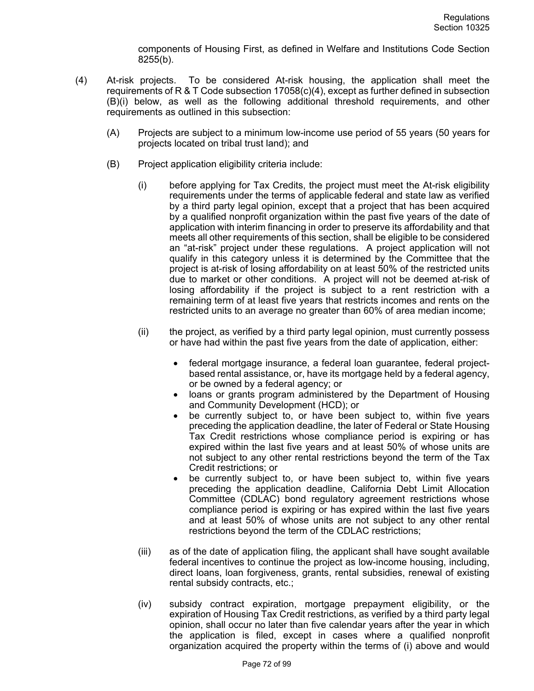components of Housing First, as defined in Welfare and Institutions Code Section 8255(b).

- (4) At-risk projects. To be considered At-risk housing, the application shall meet the requirements of R & T Code subsection 17058(c)(4), except as further defined in subsection (B)(i) below, as well as the following additional threshold requirements, and other requirements as outlined in this subsection:
	- (A) Projects are subject to a minimum low-income use period of 55 years (50 years for projects located on tribal trust land); and
	- (B) Project application eligibility criteria include:
		- (i) before applying for Tax Credits, the project must meet the At-risk eligibility requirements under the terms of applicable federal and state law as verified by a third party legal opinion, except that a project that has been acquired by a qualified nonprofit organization within the past five years of the date of application with interim financing in order to preserve its affordability and that meets all other requirements of this section, shall be eligible to be considered an "at-risk" project under these regulations. A project application will not qualify in this category unless it is determined by the Committee that the project is at-risk of losing affordability on at least 50% of the restricted units due to market or other conditions. A project will not be deemed at-risk of losing affordability if the project is subject to a rent restriction with a remaining term of at least five years that restricts incomes and rents on the restricted units to an average no greater than 60% of area median income;
		- (ii) the project, as verified by a third party legal opinion, must currently possess or have had within the past five years from the date of application, either:
			- federal mortgage insurance, a federal loan guarantee, federal projectbased rental assistance, or, have its mortgage held by a federal agency, or be owned by a federal agency; or
			- loans or grants program administered by the Department of Housing and Community Development (HCD); or
			- be currently subject to, or have been subject to, within five years preceding the application deadline, the later of Federal or State Housing Tax Credit restrictions whose compliance period is expiring or has expired within the last five years and at least 50% of whose units are not subject to any other rental restrictions beyond the term of the Tax Credit restrictions; or
			- be currently subject to, or have been subject to, within five years preceding the application deadline, California Debt Limit Allocation Committee (CDLAC) bond regulatory agreement restrictions whose compliance period is expiring or has expired within the last five years and at least 50% of whose units are not subject to any other rental restrictions beyond the term of the CDLAC restrictions;
		- (iii) as of the date of application filing, the applicant shall have sought available federal incentives to continue the project as low-income housing, including, direct loans, loan forgiveness, grants, rental subsidies, renewal of existing rental subsidy contracts, etc.;
		- (iv) subsidy contract expiration, mortgage prepayment eligibility, or the expiration of Housing Tax Credit restrictions, as verified by a third party legal opinion, shall occur no later than five calendar years after the year in which the application is filed, except in cases where a qualified nonprofit organization acquired the property within the terms of (i) above and would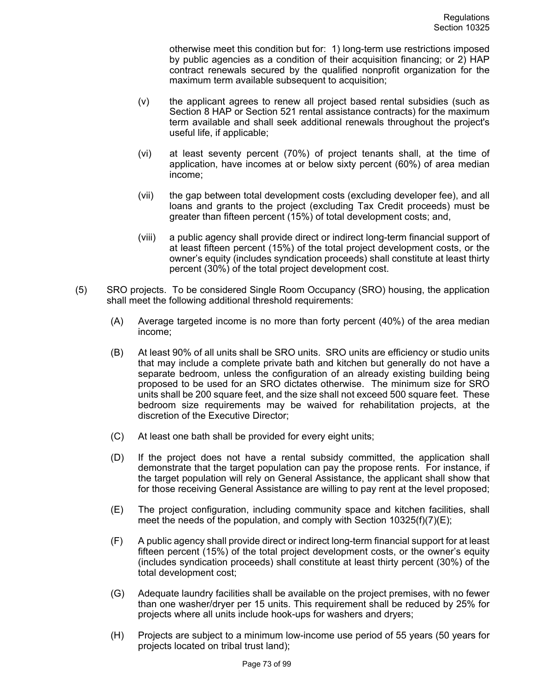otherwise meet this condition but for: 1) long-term use restrictions imposed by public agencies as a condition of their acquisition financing; or 2) HAP contract renewals secured by the qualified nonprofit organization for the maximum term available subsequent to acquisition;

- (v) the applicant agrees to renew all project based rental subsidies (such as Section 8 HAP or Section 521 rental assistance contracts) for the maximum term available and shall seek additional renewals throughout the project's useful life, if applicable;
- (vi) at least seventy percent (70%) of project tenants shall, at the time of application, have incomes at or below sixty percent (60%) of area median income;
- (vii) the gap between total development costs (excluding developer fee), and all loans and grants to the project (excluding Tax Credit proceeds) must be greater than fifteen percent (15%) of total development costs; and,
- (viii) a public agency shall provide direct or indirect long-term financial support of at least fifteen percent (15%) of the total project development costs, or the owner's equity (includes syndication proceeds) shall constitute at least thirty percent (30%) of the total project development cost.
- (5) SRO projects. To be considered Single Room Occupancy (SRO) housing, the application shall meet the following additional threshold requirements:
	- (A) Average targeted income is no more than forty percent (40%) of the area median income;
	- (B) At least 90% of all units shall be SRO units. SRO units are efficiency or studio units that may include a complete private bath and kitchen but generally do not have a separate bedroom, unless the configuration of an already existing building being proposed to be used for an SRO dictates otherwise. The minimum size for SRO units shall be 200 square feet, and the size shall not exceed 500 square feet. These bedroom size requirements may be waived for rehabilitation projects, at the discretion of the Executive Director;
	- (C) At least one bath shall be provided for every eight units;
	- (D) If the project does not have a rental subsidy committed, the application shall demonstrate that the target population can pay the propose rents. For instance, if the target population will rely on General Assistance, the applicant shall show that for those receiving General Assistance are willing to pay rent at the level proposed;
	- (E) The project configuration, including community space and kitchen facilities, shall meet the needs of the population, and comply with Section  $10325(f)(7)(E)$ ;
	- (F) A public agency shall provide direct or indirect long-term financial support for at least fifteen percent (15%) of the total project development costs, or the owner's equity (includes syndication proceeds) shall constitute at least thirty percent (30%) of the total development cost;
	- (G) Adequate laundry facilities shall be available on the project premises, with no fewer than one washer/dryer per 15 units. This requirement shall be reduced by 25% for projects where all units include hook-ups for washers and dryers;
	- (H) Projects are subject to a minimum low-income use period of 55 years (50 years for projects located on tribal trust land);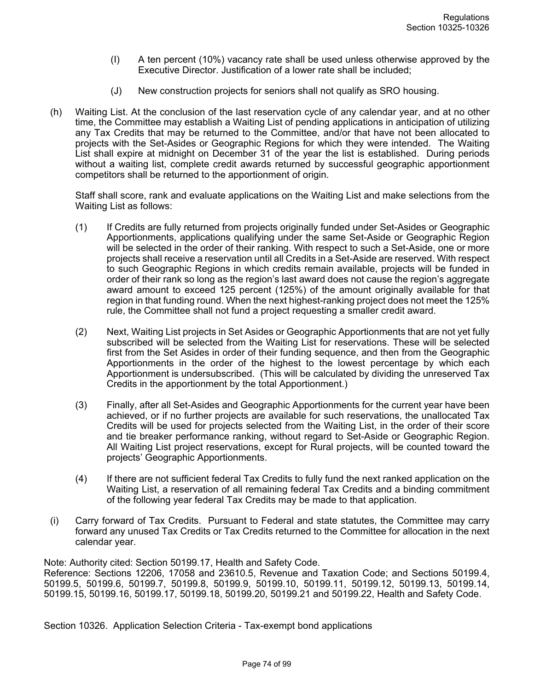- (I) A ten percent (10%) vacancy rate shall be used unless otherwise approved by the Executive Director. Justification of a lower rate shall be included;
- (J) New construction projects for seniors shall not qualify as SRO housing.
- (h) Waiting List. At the conclusion of the last reservation cycle of any calendar year, and at no other time, the Committee may establish a Waiting List of pending applications in anticipation of utilizing any Tax Credits that may be returned to the Committee, and/or that have not been allocated to projects with the Set-Asides or Geographic Regions for which they were intended. The Waiting List shall expire at midnight on December 31 of the year the list is established. During periods without a waiting list, complete credit awards returned by successful geographic apportionment competitors shall be returned to the apportionment of origin.

Staff shall score, rank and evaluate applications on the Waiting List and make selections from the Waiting List as follows:

- (1) If Credits are fully returned from projects originally funded under Set-Asides or Geographic Apportionments, applications qualifying under the same Set-Aside or Geographic Region will be selected in the order of their ranking. With respect to such a Set-Aside, one or more projects shall receive a reservation until all Credits in a Set-Aside are reserved. With respect to such Geographic Regions in which credits remain available, projects will be funded in order of their rank so long as the region's last award does not cause the region's aggregate award amount to exceed 125 percent (125%) of the amount originally available for that region in that funding round. When the next highest-ranking project does not meet the 125% rule, the Committee shall not fund a project requesting a smaller credit award.
- (2) Next, Waiting List projects in Set Asides or Geographic Apportionments that are not yet fully subscribed will be selected from the Waiting List for reservations. These will be selected first from the Set Asides in order of their funding sequence, and then from the Geographic Apportionments in the order of the highest to the lowest percentage by which each Apportionment is undersubscribed. (This will be calculated by dividing the unreserved Tax Credits in the apportionment by the total Apportionment.)
- (3) Finally, after all Set-Asides and Geographic Apportionments for the current year have been achieved, or if no further projects are available for such reservations, the unallocated Tax Credits will be used for projects selected from the Waiting List, in the order of their score and tie breaker performance ranking, without regard to Set-Aside or Geographic Region. All Waiting List project reservations, except for Rural projects, will be counted toward the projects' Geographic Apportionments.
- (4) If there are not sufficient federal Tax Credits to fully fund the next ranked application on the Waiting List, a reservation of all remaining federal Tax Credits and a binding commitment of the following year federal Tax Credits may be made to that application.
- (i) Carry forward of Tax Credits. Pursuant to Federal and state statutes, the Committee may carry forward any unused Tax Credits or Tax Credits returned to the Committee for allocation in the next calendar year.

Note: Authority cited: Section 50199.17, Health and Safety Code.

Reference: Sections 12206, 17058 and 23610.5, Revenue and Taxation Code; and Sections 50199.4, 50199.5, 50199.6, 50199.7, 50199.8, 50199.9, 50199.10, 50199.11, 50199.12, 50199.13, 50199.14, 50199.15, 50199.16, 50199.17, 50199.18, 50199.20, 50199.21 and 50199.22, Health and Safety Code.

Section 10326. Application Selection Criteria - Tax-exempt bond applications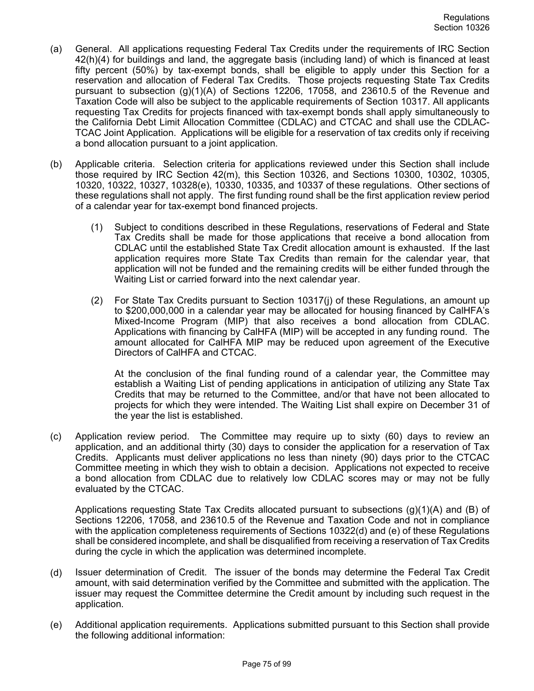- (a) General. All applications requesting Federal Tax Credits under the requirements of IRC Section 42(h)(4) for buildings and land, the aggregate basis (including land) of which is financed at least fifty percent (50%) by tax-exempt bonds, shall be eligible to apply under this Section for a reservation and allocation of Federal Tax Credits. Those projects requesting State Tax Credits pursuant to subsection (g)(1)(A) of Sections 12206, 17058, and 23610.5 of the Revenue and Taxation Code will also be subject to the applicable requirements of Section 10317. All applicants requesting Tax Credits for projects financed with tax-exempt bonds shall apply simultaneously to the California Debt Limit Allocation Committee (CDLAC) and CTCAC and shall use the CDLAC-TCAC Joint Application. Applications will be eligible for a reservation of tax credits only if receiving a bond allocation pursuant to a joint application.
- (b) Applicable criteria. Selection criteria for applications reviewed under this Section shall include those required by IRC Section 42(m), this Section 10326, and Sections 10300, 10302, 10305, 10320, 10322, 10327, 10328(e), 10330, 10335, and 10337 of these regulations. Other sections of these regulations shall not apply. The first funding round shall be the first application review period of a calendar year for tax-exempt bond financed projects.
	- (1) Subject to conditions described in these Regulations, reservations of Federal and State Tax Credits shall be made for those applications that receive a bond allocation from CDLAC until the established State Tax Credit allocation amount is exhausted. If the last application requires more State Tax Credits than remain for the calendar year, that application will not be funded and the remaining credits will be either funded through the Waiting List or carried forward into the next calendar year.
	- (2) For State Tax Credits pursuant to Section 10317(j) of these Regulations, an amount up to \$200,000,000 in a calendar year may be allocated for housing financed by CalHFA's Mixed-Income Program (MIP) that also receives a bond allocation from CDLAC. Applications with financing by CalHFA (MIP) will be accepted in any funding round. The amount allocated for CalHFA MIP may be reduced upon agreement of the Executive Directors of CalHFA and CTCAC.

At the conclusion of the final funding round of a calendar year, the Committee may establish a Waiting List of pending applications in anticipation of utilizing any State Tax Credits that may be returned to the Committee, and/or that have not been allocated to projects for which they were intended. The Waiting List shall expire on December 31 of the year the list is established.

(c) Application review period. The Committee may require up to sixty (60) days to review an application, and an additional thirty (30) days to consider the application for a reservation of Tax Credits. Applicants must deliver applications no less than ninety (90) days prior to the CTCAC Committee meeting in which they wish to obtain a decision. Applications not expected to receive a bond allocation from CDLAC due to relatively low CDLAC scores may or may not be fully evaluated by the CTCAC.

Applications requesting State Tax Credits allocated pursuant to subsections (g)(1)(A) and (B) of Sections 12206, 17058, and 23610.5 of the Revenue and Taxation Code and not in compliance with the application completeness requirements of Sections 10322(d) and (e) of these Regulations shall be considered incomplete, and shall be disqualified from receiving a reservation of Tax Credits during the cycle in which the application was determined incomplete.

- (d) Issuer determination of Credit. The issuer of the bonds may determine the Federal Tax Credit amount, with said determination verified by the Committee and submitted with the application. The issuer may request the Committee determine the Credit amount by including such request in the application.
- (e) Additional application requirements. Applications submitted pursuant to this Section shall provide the following additional information: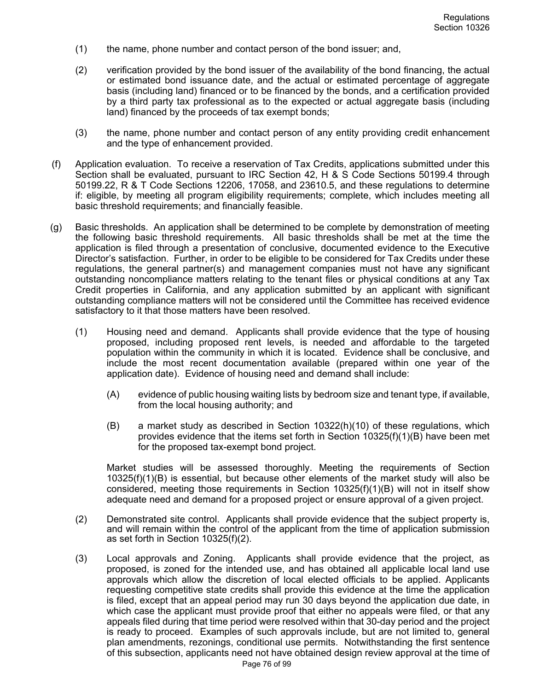- (1) the name, phone number and contact person of the bond issuer; and,
- (2) verification provided by the bond issuer of the availability of the bond financing, the actual or estimated bond issuance date, and the actual or estimated percentage of aggregate basis (including land) financed or to be financed by the bonds, and a certification provided by a third party tax professional as to the expected or actual aggregate basis (including land) financed by the proceeds of tax exempt bonds;
- (3) the name, phone number and contact person of any entity providing credit enhancement and the type of enhancement provided.
- (f) Application evaluation. To receive a reservation of Tax Credits, applications submitted under this Section shall be evaluated, pursuant to IRC Section 42, H & S Code Sections 50199.4 through 50199.22, R & T Code Sections 12206, 17058, and 23610.5, and these regulations to determine if: eligible, by meeting all program eligibility requirements; complete, which includes meeting all basic threshold requirements; and financially feasible.
- (g) Basic thresholds. An application shall be determined to be complete by demonstration of meeting the following basic threshold requirements. All basic thresholds shall be met at the time the application is filed through a presentation of conclusive, documented evidence to the Executive Director's satisfaction. Further, in order to be eligible to be considered for Tax Credits under these regulations, the general partner(s) and management companies must not have any significant outstanding noncompliance matters relating to the tenant files or physical conditions at any Tax Credit properties in California, and any application submitted by an applicant with significant outstanding compliance matters will not be considered until the Committee has received evidence satisfactory to it that those matters have been resolved.
	- (1) Housing need and demand. Applicants shall provide evidence that the type of housing proposed, including proposed rent levels, is needed and affordable to the targeted population within the community in which it is located. Evidence shall be conclusive, and include the most recent documentation available (prepared within one year of the application date). Evidence of housing need and demand shall include:
		- (A) evidence of public housing waiting lists by bedroom size and tenant type, if available, from the local housing authority; and
		- (B) a market study as described in Section 10322(h)(10) of these regulations, which provides evidence that the items set forth in Section 10325(f)(1)(B) have been met for the proposed tax-exempt bond project.

Market studies will be assessed thoroughly. Meeting the requirements of Section 10325(f)(1)(B) is essential, but because other elements of the market study will also be considered, meeting those requirements in Section 10325(f)(1)(B) will not in itself show adequate need and demand for a proposed project or ensure approval of a given project.

- (2) Demonstrated site control. Applicants shall provide evidence that the subject property is, and will remain within the control of the applicant from the time of application submission as set forth in Section 10325(f)(2).
- (3) Local approvals and Zoning. Applicants shall provide evidence that the project, as proposed, is zoned for the intended use, and has obtained all applicable local land use approvals which allow the discretion of local elected officials to be applied. Applicants requesting competitive state credits shall provide this evidence at the time the application is filed, except that an appeal period may run 30 days beyond the application due date, in which case the applicant must provide proof that either no appeals were filed, or that any appeals filed during that time period were resolved within that 30-day period and the project is ready to proceed. Examples of such approvals include, but are not limited to, general plan amendments, rezonings, conditional use permits. Notwithstanding the first sentence of this subsection, applicants need not have obtained design review approval at the time of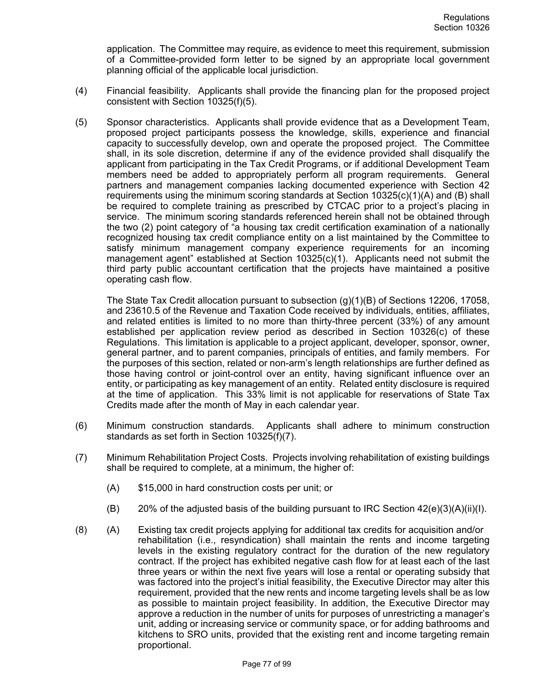application. The Committee may require, as evidence to meet this requirement, submission of a Committee-provided form letter to be signed by an appropriate local government planning official of the applicable local jurisdiction.

- (4) Financial feasibility. Applicants shall provide the financing plan for the proposed project consistent with Section 10325(f)(5).
- (5) Sponsor characteristics. Applicants shall provide evidence that as a Development Team, proposed project participants possess the knowledge, skills, experience and financial capacity to successfully develop, own and operate the proposed project. The Committee shall, in its sole discretion, determine if any of the evidence provided shall disqualify the applicant from participating in the Tax Credit Programs, or if additional Development Team members need be added to appropriately perform all program requirements. General partners and management companies lacking documented experience with Section 42 requirements using the minimum scoring standards at Section 10325(c)(1)(A) and (B) shall be required to complete training as prescribed by CTCAC prior to a project's placing in service. The minimum scoring standards referenced herein shall not be obtained through the two (2) point category of "a housing tax credit certification examination of a nationally recognized housing tax credit compliance entity on a list maintained by the Committee to satisfy minimum management company experience requirements for an incoming management agent" established at Section 10325(c)(1). Applicants need not submit the third party public accountant certification that the projects have maintained a positive operating cash flow.

The State Tax Credit allocation pursuant to subsection (g)(1)(B) of Sections 12206, 17058, and 23610.5 of the Revenue and Taxation Code received by individuals, entities, affiliates, and related entities is limited to no more than thirty-three percent (33%) of any amount established per application review period as described in Section 10326(c) of these Regulations. This limitation is applicable to a project applicant, developer, sponsor, owner, general partner, and to parent companies, principals of entities, and family members. For the purposes of this section, related or non-arm's length relationships are further defined as those having control or joint-control over an entity, having significant influence over an entity, or participating as key management of an entity. Related entity disclosure is required at the time of application. This 33% limit is not applicable for reservations of State Tax Credits made after the month of May in each calendar year.

- (6) Minimum construction standards. Applicants shall adhere to minimum construction standards as set forth in Section 10325(f)(7).
- (7) Minimum Rehabilitation Project Costs. Projects involving rehabilitation of existing buildings shall be required to complete, at a minimum, the higher of:
	- (A) \$15,000 in hard construction costs per unit; or
	- $(B)$  20% of the adjusted basis of the building pursuant to IRC Section 42(e)(3)(A)(ii)(I).
- (8) (A) Existing tax credit projects applying for additional tax credits for acquisition and/or rehabilitation (i.e., resyndication) shall maintain the rents and income targeting levels in the existing regulatory contract for the duration of the new regulatory contract. If the project has exhibited negative cash flow for at least each of the last three years or within the next five years will lose a rental or operating subsidy that was factored into the project's initial feasibility, the Executive Director may alter this requirement, provided that the new rents and income targeting levels shall be as low as possible to maintain project feasibility. In addition, the Executive Director may approve a reduction in the number of units for purposes of unrestricting a manager's unit, adding or increasing service or community space, or for adding bathrooms and kitchens to SRO units, provided that the existing rent and income targeting remain proportional.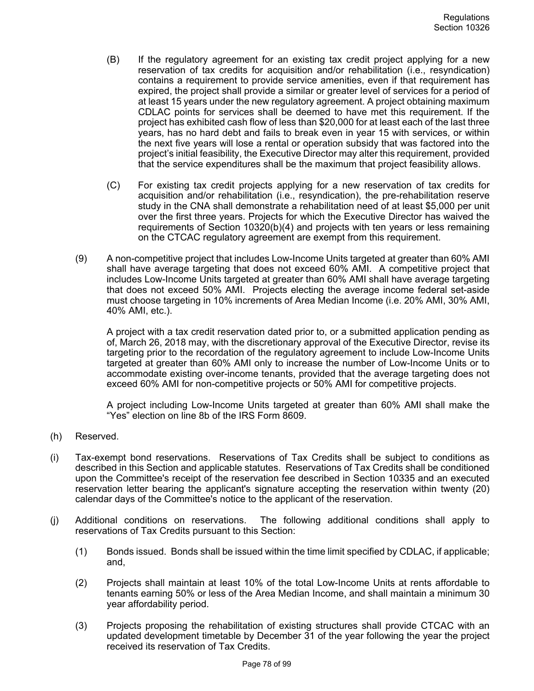- (B) If the regulatory agreement for an existing tax credit project applying for a new reservation of tax credits for acquisition and/or rehabilitation (i.e., resyndication) contains a requirement to provide service amenities, even if that requirement has expired, the project shall provide a similar or greater level of services for a period of at least 15 years under the new regulatory agreement. A project obtaining maximum CDLAC points for services shall be deemed to have met this requirement. If the project has exhibited cash flow of less than \$20,000 for at least each of the last three years, has no hard debt and fails to break even in year 15 with services, or within the next five years will lose a rental or operation subsidy that was factored into the project's initial feasibility, the Executive Director may alter this requirement, provided that the service expenditures shall be the maximum that project feasibility allows.
- (C) For existing tax credit projects applying for a new reservation of tax credits for acquisition and/or rehabilitation (i.e., resyndication), the pre-rehabilitation reserve study in the CNA shall demonstrate a rehabilitation need of at least \$5,000 per unit over the first three years. Projects for which the Executive Director has waived the requirements of Section 10320(b)(4) and projects with ten years or less remaining on the CTCAC regulatory agreement are exempt from this requirement.
- (9) A non-competitive project that includes Low-Income Units targeted at greater than 60% AMI shall have average targeting that does not exceed 60% AMI. A competitive project that includes Low-Income Units targeted at greater than 60% AMI shall have average targeting that does not exceed 50% AMI. Projects electing the average income federal set-aside must choose targeting in 10% increments of Area Median Income (i.e. 20% AMI, 30% AMI, 40% AMI, etc.).

A project with a tax credit reservation dated prior to, or a submitted application pending as of, March 26, 2018 may, with the discretionary approval of the Executive Director, revise its targeting prior to the recordation of the regulatory agreement to include Low-Income Units targeted at greater than 60% AMI only to increase the number of Low-Income Units or to accommodate existing over-income tenants, provided that the average targeting does not exceed 60% AMI for non-competitive projects or 50% AMI for competitive projects.

A project including Low-Income Units targeted at greater than 60% AMI shall make the "Yes" election on line 8b of the IRS Form 8609.

- (h) Reserved.
- (i) Tax-exempt bond reservations. Reservations of Tax Credits shall be subject to conditions as described in this Section and applicable statutes. Reservations of Tax Credits shall be conditioned upon the Committee's receipt of the reservation fee described in Section 10335 and an executed reservation letter bearing the applicant's signature accepting the reservation within twenty (20) calendar days of the Committee's notice to the applicant of the reservation.
- (j) Additional conditions on reservations. The following additional conditions shall apply to reservations of Tax Credits pursuant to this Section:
	- (1) Bonds issued. Bonds shall be issued within the time limit specified by CDLAC, if applicable; and,
	- (2) Projects shall maintain at least 10% of the total Low-Income Units at rents affordable to tenants earning 50% or less of the Area Median Income, and shall maintain a minimum 30 year affordability period.
	- (3) Projects proposing the rehabilitation of existing structures shall provide CTCAC with an updated development timetable by December 31 of the year following the year the project received its reservation of Tax Credits.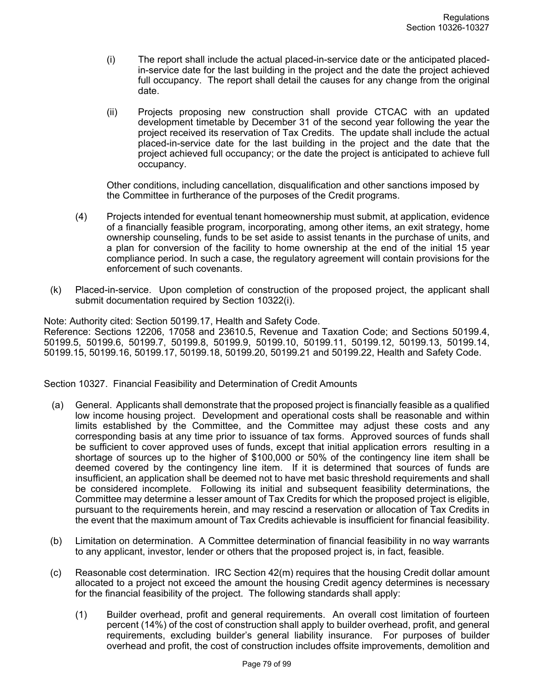- (i) The report shall include the actual placed-in-service date or the anticipated placedin-service date for the last building in the project and the date the project achieved full occupancy. The report shall detail the causes for any change from the original date.
- (ii) Projects proposing new construction shall provide CTCAC with an updated development timetable by December 31 of the second year following the year the project received its reservation of Tax Credits. The update shall include the actual placed-in-service date for the last building in the project and the date that the project achieved full occupancy; or the date the project is anticipated to achieve full occupancy.

Other conditions, including cancellation, disqualification and other sanctions imposed by the Committee in furtherance of the purposes of the Credit programs.

- (4) Projects intended for eventual tenant homeownership must submit, at application, evidence of a financially feasible program, incorporating, among other items, an exit strategy, home ownership counseling, funds to be set aside to assist tenants in the purchase of units, and a plan for conversion of the facility to home ownership at the end of the initial 15 year compliance period. In such a case, the regulatory agreement will contain provisions for the enforcement of such covenants.
- (k) Placed-in-service. Upon completion of construction of the proposed project, the applicant shall submit documentation required by Section 10322(i).

Note: Authority cited: Section 50199.17, Health and Safety Code.

Reference: Sections 12206, 17058 and 23610.5, Revenue and Taxation Code; and Sections 50199.4, 50199.5, 50199.6, 50199.7, 50199.8, 50199.9, 50199.10, 50199.11, 50199.12, 50199.13, 50199.14, 50199.15, 50199.16, 50199.17, 50199.18, 50199.20, 50199.21 and 50199.22, Health and Safety Code.

Section 10327. Financial Feasibility and Determination of Credit Amounts

- (a) General. Applicants shall demonstrate that the proposed project is financially feasible as a qualified low income housing project. Development and operational costs shall be reasonable and within limits established by the Committee, and the Committee may adjust these costs and any corresponding basis at any time prior to issuance of tax forms. Approved sources of funds shall be sufficient to cover approved uses of funds, except that initial application errors resulting in a shortage of sources up to the higher of \$100,000 or 50% of the contingency line item shall be deemed covered by the contingency line item. If it is determined that sources of funds are insufficient, an application shall be deemed not to have met basic threshold requirements and shall be considered incomplete. Following its initial and subsequent feasibility determinations, the Committee may determine a lesser amount of Tax Credits for which the proposed project is eligible, pursuant to the requirements herein, and may rescind a reservation or allocation of Tax Credits in the event that the maximum amount of Tax Credits achievable is insufficient for financial feasibility.
- (b) Limitation on determination. A Committee determination of financial feasibility in no way warrants to any applicant, investor, lender or others that the proposed project is, in fact, feasible.
- (c) Reasonable cost determination. IRC Section 42(m) requires that the housing Credit dollar amount allocated to a project not exceed the amount the housing Credit agency determines is necessary for the financial feasibility of the project. The following standards shall apply:
	- (1) Builder overhead, profit and general requirements. An overall cost limitation of fourteen percent (14%) of the cost of construction shall apply to builder overhead, profit, and general requirements, excluding builder's general liability insurance. For purposes of builder overhead and profit, the cost of construction includes offsite improvements, demolition and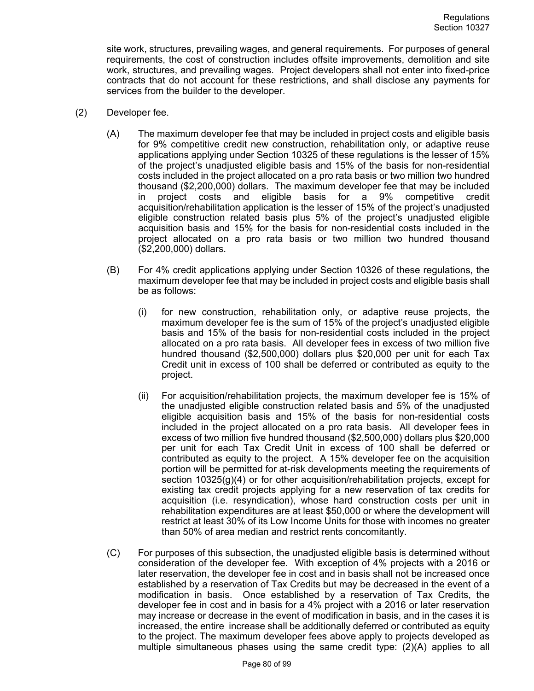site work, structures, prevailing wages, and general requirements. For purposes of general requirements, the cost of construction includes offsite improvements, demolition and site work, structures, and prevailing wages. Project developers shall not enter into fixed-price contracts that do not account for these restrictions, and shall disclose any payments for services from the builder to the developer.

- (2) Developer fee.
	- (A) The maximum developer fee that may be included in project costs and eligible basis for 9% competitive credit new construction, rehabilitation only, or adaptive reuse applications applying under Section 10325 of these regulations is the lesser of 15% of the project's unadjusted eligible basis and 15% of the basis for non-residential costs included in the project allocated on a pro rata basis or two million two hundred thousand (\$2,200,000) dollars. The maximum developer fee that may be included in project costs and eligible basis for a 9% competitive credit acquisition/rehabilitation application is the lesser of 15% of the project's unadjusted eligible construction related basis plus 5% of the project's unadjusted eligible acquisition basis and 15% for the basis for non-residential costs included in the project allocated on a pro rata basis or two million two hundred thousand (\$2,200,000) dollars.
	- (B) For 4% credit applications applying under Section 10326 of these regulations, the maximum developer fee that may be included in project costs and eligible basis shall be as follows:
		- (i) for new construction, rehabilitation only, or adaptive reuse projects, the maximum developer fee is the sum of 15% of the project's unadjusted eligible basis and 15% of the basis for non-residential costs included in the project allocated on a pro rata basis. All developer fees in excess of two million five hundred thousand (\$2,500,000) dollars plus \$20,000 per unit for each Tax Credit unit in excess of 100 shall be deferred or contributed as equity to the project.
		- (ii) For acquisition/rehabilitation projects, the maximum developer fee is 15% of the unadjusted eligible construction related basis and 5% of the unadjusted eligible acquisition basis and 15% of the basis for non-residential costs included in the project allocated on a pro rata basis. All developer fees in excess of two million five hundred thousand (\$2,500,000) dollars plus \$20,000 per unit for each Tax Credit Unit in excess of 100 shall be deferred or contributed as equity to the project. A 15% developer fee on the acquisition portion will be permitted for at-risk developments meeting the requirements of section 10325(g)(4) or for other acquisition/rehabilitation projects, except for existing tax credit projects applying for a new reservation of tax credits for acquisition (i.e. resyndication), whose hard construction costs per unit in rehabilitation expenditures are at least \$50,000 or where the development will restrict at least 30% of its Low Income Units for those with incomes no greater than 50% of area median and restrict rents concomitantly.
	- (C) For purposes of this subsection, the unadjusted eligible basis is determined without consideration of the developer fee. With exception of 4% projects with a 2016 or later reservation, the developer fee in cost and in basis shall not be increased once established by a reservation of Tax Credits but may be decreased in the event of a modification in basis. Once established by a reservation of Tax Credits, the developer fee in cost and in basis for a 4% project with a 2016 or later reservation may increase or decrease in the event of modification in basis, and in the cases it is increased, the entire increase shall be additionally deferred or contributed as equity to the project. The maximum developer fees above apply to projects developed as multiple simultaneous phases using the same credit type: (2)(A) applies to all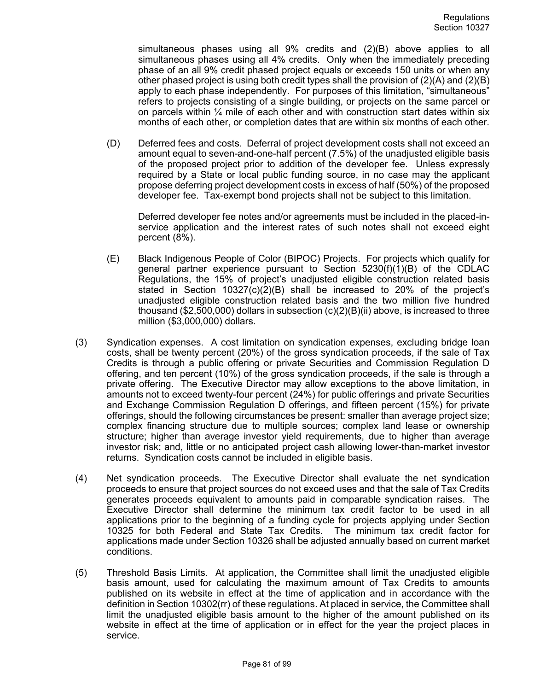simultaneous phases using all 9% credits and (2)(B) above applies to all simultaneous phases using all 4% credits. Only when the immediately preceding phase of an all 9% credit phased project equals or exceeds 150 units or when any other phased project is using both credit types shall the provision of  $(2)(A)$  and  $(2)(B)$ apply to each phase independently. For purposes of this limitation, "simultaneous" refers to projects consisting of a single building, or projects on the same parcel or on parcels within  $\frac{1}{4}$  mile of each other and with construction start dates within six months of each other, or completion dates that are within six months of each other.

(D) Deferred fees and costs. Deferral of project development costs shall not exceed an amount equal to seven-and-one-half percent (7.5%) of the unadjusted eligible basis of the proposed project prior to addition of the developer fee. Unless expressly required by a State or local public funding source, in no case may the applicant propose deferring project development costs in excess of half (50%) of the proposed developer fee. Tax-exempt bond projects shall not be subject to this limitation.

Deferred developer fee notes and/or agreements must be included in the placed-inservice application and the interest rates of such notes shall not exceed eight percent (8%).

- (E) Black Indigenous People of Color (BIPOC) Projects. For projects which qualify for general partner experience pursuant to Section  $5230(f)(1)(B)$  of the CDLAC Regulations, the 15% of project's unadjusted eligible construction related basis stated in Section 10327(c)(2)(B) shall be increased to 20% of the project's unadjusted eligible construction related basis and the two million five hundred thousand (\$2,500,000) dollars in subsection  $(c)(2)(B)(ii)$  above, is increased to three million (\$3,000,000) dollars.
- (3) Syndication expenses. A cost limitation on syndication expenses, excluding bridge loan costs, shall be twenty percent (20%) of the gross syndication proceeds, if the sale of Tax Credits is through a public offering or private Securities and Commission Regulation D offering, and ten percent (10%) of the gross syndication proceeds, if the sale is through a private offering. The Executive Director may allow exceptions to the above limitation, in amounts not to exceed twenty-four percent (24%) for public offerings and private Securities and Exchange Commission Regulation D offerings, and fifteen percent (15%) for private offerings, should the following circumstances be present: smaller than average project size; complex financing structure due to multiple sources; complex land lease or ownership structure; higher than average investor yield requirements, due to higher than average investor risk; and, little or no anticipated project cash allowing lower-than-market investor returns. Syndication costs cannot be included in eligible basis.
- (4) Net syndication proceeds. The Executive Director shall evaluate the net syndication proceeds to ensure that project sources do not exceed uses and that the sale of Tax Credits generates proceeds equivalent to amounts paid in comparable syndication raises. The Executive Director shall determine the minimum tax credit factor to be used in all applications prior to the beginning of a funding cycle for projects applying under Section 10325 for both Federal and State Tax Credits. The minimum tax credit factor for applications made under Section 10326 shall be adjusted annually based on current market conditions.
- (5) Threshold Basis Limits. At application, the Committee shall limit the unadjusted eligible basis amount, used for calculating the maximum amount of Tax Credits to amounts published on its website in effect at the time of application and in accordance with the definition in Section 10302(rr) of these regulations. At placed in service, the Committee shall limit the unadjusted eligible basis amount to the higher of the amount published on its website in effect at the time of application or in effect for the year the project places in service.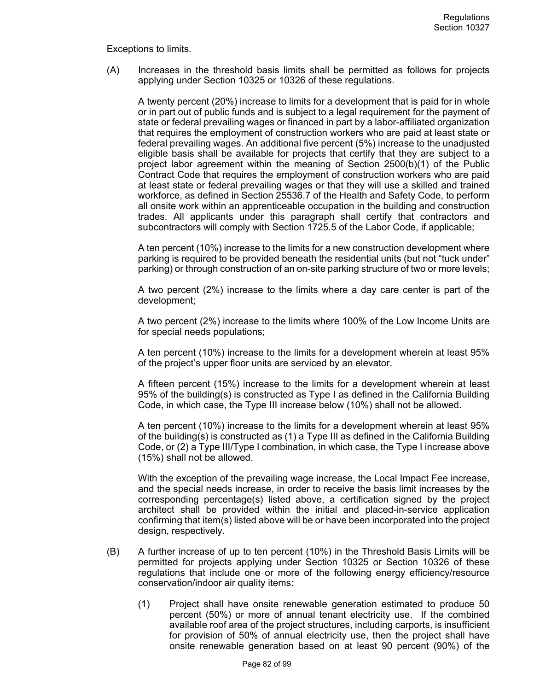Exceptions to limits.

(A) Increases in the threshold basis limits shall be permitted as follows for projects applying under Section 10325 or 10326 of these regulations.

A twenty percent (20%) increase to limits for a development that is paid for in whole or in part out of public funds and is subject to a legal requirement for the payment of state or federal prevailing wages or financed in part by a labor-affiliated organization that requires the employment of construction workers who are paid at least state or federal prevailing wages. An additional five percent (5%) increase to the unadjusted eligible basis shall be available for projects that certify that they are subject to a project labor agreement within the meaning of Section 2500(b)(1) of the Public Contract Code that requires the employment of construction workers who are paid at least state or federal prevailing wages or that they will use a skilled and trained workforce, as defined in Section 25536.7 of the Health and Safety Code, to perform all onsite work within an apprenticeable occupation in the building and construction trades. All applicants under this paragraph shall certify that contractors and subcontractors will comply with Section 1725.5 of the Labor Code, if applicable;

A ten percent (10%) increase to the limits for a new construction development where parking is required to be provided beneath the residential units (but not "tuck under" parking) or through construction of an on-site parking structure of two or more levels;

A two percent (2%) increase to the limits where a day care center is part of the development;

A two percent (2%) increase to the limits where 100% of the Low Income Units are for special needs populations;

A ten percent (10%) increase to the limits for a development wherein at least 95% of the project's upper floor units are serviced by an elevator.

A fifteen percent (15%) increase to the limits for a development wherein at least 95% of the building(s) is constructed as Type I as defined in the California Building Code, in which case, the Type III increase below (10%) shall not be allowed.

A ten percent (10%) increase to the limits for a development wherein at least 95% of the building(s) is constructed as (1) a Type III as defined in the California Building Code, or (2) a Type III/Type I combination, in which case, the Type I increase above (15%) shall not be allowed.

With the exception of the prevailing wage increase, the Local Impact Fee increase, and the special needs increase, in order to receive the basis limit increases by the corresponding percentage(s) listed above, a certification signed by the project architect shall be provided within the initial and placed-in-service application confirming that item(s) listed above will be or have been incorporated into the project design, respectively.

- (B) A further increase of up to ten percent (10%) in the Threshold Basis Limits will be permitted for projects applying under Section 10325 or Section 10326 of these regulations that include one or more of the following energy efficiency/resource conservation/indoor air quality items:
	- (1) Project shall have onsite renewable generation estimated to produce 50 percent (50%) or more of annual tenant electricity use. If the combined available roof area of the project structures, including carports, is insufficient for provision of 50% of annual electricity use, then the project shall have onsite renewable generation based on at least 90 percent (90%) of the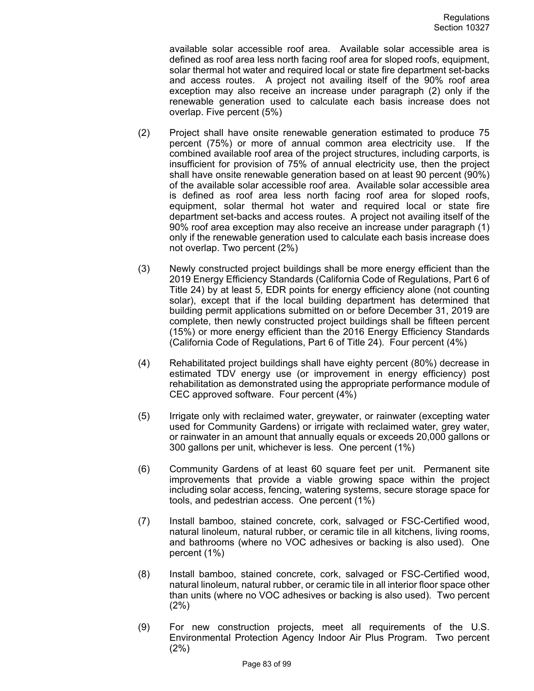available solar accessible roof area. Available solar accessible area is defined as roof area less north facing roof area for sloped roofs, equipment, solar thermal hot water and required local or state fire department set-backs and access routes. A project not availing itself of the 90% roof area exception may also receive an increase under paragraph (2) only if the renewable generation used to calculate each basis increase does not overlap. Five percent (5%)

- (2) Project shall have onsite renewable generation estimated to produce 75 percent (75%) or more of annual common area electricity use. If the combined available roof area of the project structures, including carports, is insufficient for provision of 75% of annual electricity use, then the project shall have onsite renewable generation based on at least 90 percent (90%) of the available solar accessible roof area. Available solar accessible area is defined as roof area less north facing roof area for sloped roofs, equipment, solar thermal hot water and required local or state fire department set-backs and access routes. A project not availing itself of the 90% roof area exception may also receive an increase under paragraph (1) only if the renewable generation used to calculate each basis increase does not overlap. Two percent (2%)
- (3) Newly constructed project buildings shall be more energy efficient than the 2019 Energy Efficiency Standards (California Code of Regulations, Part 6 of Title 24) by at least 5, EDR points for energy efficiency alone (not counting solar), except that if the local building department has determined that building permit applications submitted on or before December 31, 2019 are complete, then newly constructed project buildings shall be fifteen percent (15%) or more energy efficient than the 2016 Energy Efficiency Standards (California Code of Regulations, Part 6 of Title 24). Four percent (4%)
- (4) Rehabilitated project buildings shall have eighty percent (80%) decrease in estimated TDV energy use (or improvement in energy efficiency) post rehabilitation as demonstrated using the appropriate performance module of CEC approved software. Four percent (4%)
- (5) Irrigate only with reclaimed water, greywater, or rainwater (excepting water used for Community Gardens) or irrigate with reclaimed water, grey water, or rainwater in an amount that annually equals or exceeds 20,000 gallons or 300 gallons per unit, whichever is less. One percent (1%)
- (6) Community Gardens of at least 60 square feet per unit. Permanent site improvements that provide a viable growing space within the project including solar access, fencing, watering systems, secure storage space for tools, and pedestrian access. One percent (1%)
- (7) Install bamboo, stained concrete, cork, salvaged or FSC-Certified wood, natural linoleum, natural rubber, or ceramic tile in all kitchens, living rooms, and bathrooms (where no VOC adhesives or backing is also used). One percent (1%)
- (8) Install bamboo, stained concrete, cork, salvaged or FSC-Certified wood, natural linoleum, natural rubber, or ceramic tile in all interior floor space other than units (where no VOC adhesives or backing is also used). Two percent (2%)
- (9) For new construction projects, meet all requirements of the U.S. Environmental Protection Agency Indoor Air Plus Program. Two percent (2%)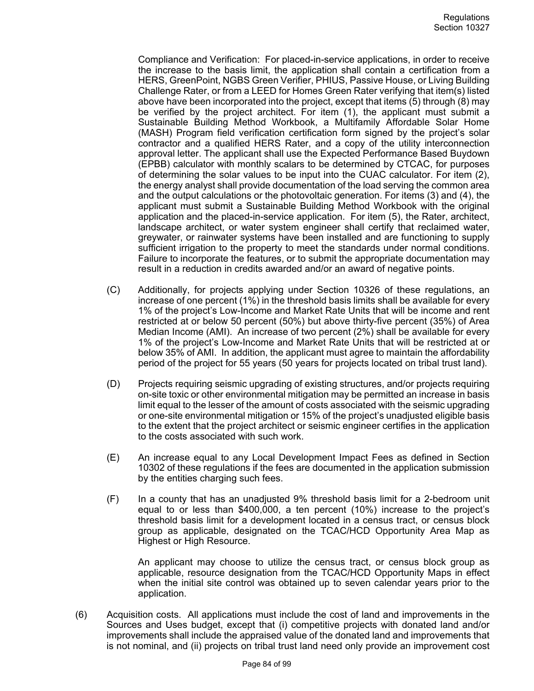Compliance and Verification: For placed-in-service applications, in order to receive the increase to the basis limit, the application shall contain a certification from a HERS, GreenPoint, NGBS Green Verifier, PHIUS, Passive House, or Living Building Challenge Rater, or from a LEED for Homes Green Rater verifying that item(s) listed above have been incorporated into the project, except that items (5) through (8) may be verified by the project architect. For item (1), the applicant must submit a Sustainable Building Method Workbook, a Multifamily Affordable Solar Home (MASH) Program field verification certification form signed by the project's solar contractor and a qualified HERS Rater, and a copy of the utility interconnection approval letter. The applicant shall use the Expected Performance Based Buydown (EPBB) calculator with monthly scalars to be determined by CTCAC, for purposes of determining the solar values to be input into the CUAC calculator. For item (2), the energy analyst shall provide documentation of the load serving the common area and the output calculations or the photovoltaic generation. For items (3) and (4), the applicant must submit a Sustainable Building Method Workbook with the original application and the placed-in-service application. For item (5), the Rater, architect, landscape architect, or water system engineer shall certify that reclaimed water, greywater, or rainwater systems have been installed and are functioning to supply sufficient irrigation to the property to meet the standards under normal conditions. Failure to incorporate the features, or to submit the appropriate documentation may result in a reduction in credits awarded and/or an award of negative points.

- (C) Additionally, for projects applying under Section 10326 of these regulations, an increase of one percent (1%) in the threshold basis limits shall be available for every 1% of the project's Low-Income and Market Rate Units that will be income and rent restricted at or below 50 percent (50%) but above thirty-five percent (35%) of Area Median Income (AMI). An increase of two percent (2%) shall be available for every 1% of the project's Low-Income and Market Rate Units that will be restricted at or below 35% of AMI. In addition, the applicant must agree to maintain the affordability period of the project for 55 years (50 years for projects located on tribal trust land).
- (D) Projects requiring seismic upgrading of existing structures, and/or projects requiring on-site toxic or other environmental mitigation may be permitted an increase in basis limit equal to the lesser of the amount of costs associated with the seismic upgrading or one-site environmental mitigation or 15% of the project's unadjusted eligible basis to the extent that the project architect or seismic engineer certifies in the application to the costs associated with such work.
- (E) An increase equal to any Local Development Impact Fees as defined in Section 10302 of these regulations if the fees are documented in the application submission by the entities charging such fees.
- (F) In a county that has an unadjusted 9% threshold basis limit for a 2-bedroom unit equal to or less than \$400,000, a ten percent (10%) increase to the project's threshold basis limit for a development located in a census tract, or census block group as applicable, designated on the TCAC/HCD Opportunity Area Map as Highest or High Resource.

An applicant may choose to utilize the census tract, or census block group as applicable, resource designation from the TCAC/HCD Opportunity Maps in effect when the initial site control was obtained up to seven calendar years prior to the application.

(6) Acquisition costs. All applications must include the cost of land and improvements in the Sources and Uses budget, except that (i) competitive projects with donated land and/or improvements shall include the appraised value of the donated land and improvements that is not nominal, and (ii) projects on tribal trust land need only provide an improvement cost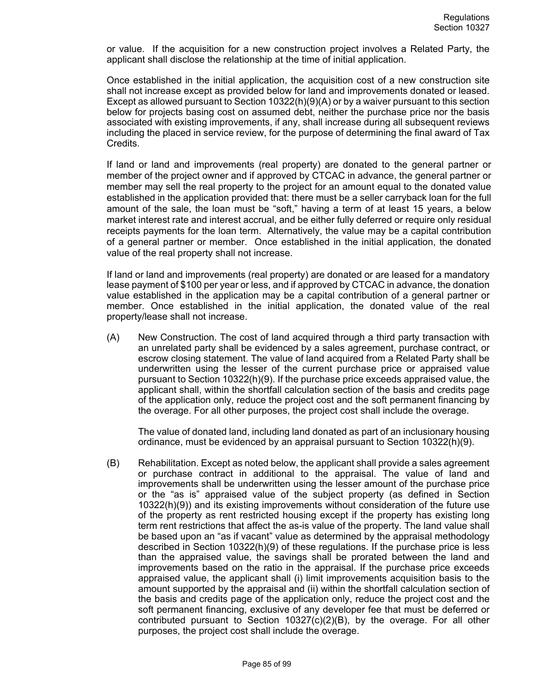or value. If the acquisition for a new construction project involves a Related Party, the applicant shall disclose the relationship at the time of initial application.

Once established in the initial application, the acquisition cost of a new construction site shall not increase except as provided below for land and improvements donated or leased. Except as allowed pursuant to Section 10322(h)(9)(A) or by a waiver pursuant to this section below for projects basing cost on assumed debt, neither the purchase price nor the basis associated with existing improvements, if any, shall increase during all subsequent reviews including the placed in service review, for the purpose of determining the final award of Tax Credits.

If land or land and improvements (real property) are donated to the general partner or member of the project owner and if approved by CTCAC in advance, the general partner or member may sell the real property to the project for an amount equal to the donated value established in the application provided that: there must be a seller carryback loan for the full amount of the sale, the loan must be "soft," having a term of at least 15 years, a below market interest rate and interest accrual, and be either fully deferred or require only residual receipts payments for the loan term. Alternatively, the value may be a capital contribution of a general partner or member. Once established in the initial application, the donated value of the real property shall not increase.

If land or land and improvements (real property) are donated or are leased for a mandatory lease payment of \$100 per year or less, and if approved by CTCAC in advance, the donation value established in the application may be a capital contribution of a general partner or member. Once established in the initial application, the donated value of the real property/lease shall not increase.

(A) New Construction. The cost of land acquired through a third party transaction with an unrelated party shall be evidenced by a sales agreement, purchase contract, or escrow closing statement. The value of land acquired from a Related Party shall be underwritten using the lesser of the current purchase price or appraised value pursuant to Section 10322(h)(9). If the purchase price exceeds appraised value, the applicant shall, within the shortfall calculation section of the basis and credits page of the application only, reduce the project cost and the soft permanent financing by the overage. For all other purposes, the project cost shall include the overage.

The value of donated land, including land donated as part of an inclusionary housing ordinance, must be evidenced by an appraisal pursuant to Section 10322(h)(9).

(B) Rehabilitation. Except as noted below, the applicant shall provide a sales agreement or purchase contract in additional to the appraisal. The value of land and improvements shall be underwritten using the lesser amount of the purchase price or the "as is" appraised value of the subject property (as defined in Section 10322(h)(9)) and its existing improvements without consideration of the future use of the property as rent restricted housing except if the property has existing long term rent restrictions that affect the as-is value of the property. The land value shall be based upon an "as if vacant" value as determined by the appraisal methodology described in Section 10322(h)(9) of these regulations. If the purchase price is less than the appraised value, the savings shall be prorated between the land and improvements based on the ratio in the appraisal. If the purchase price exceeds appraised value, the applicant shall (i) limit improvements acquisition basis to the amount supported by the appraisal and (ii) within the shortfall calculation section of the basis and credits page of the application only, reduce the project cost and the soft permanent financing, exclusive of any developer fee that must be deferred or contributed pursuant to Section  $10327(c)(2)(B)$ , by the overage. For all other purposes, the project cost shall include the overage.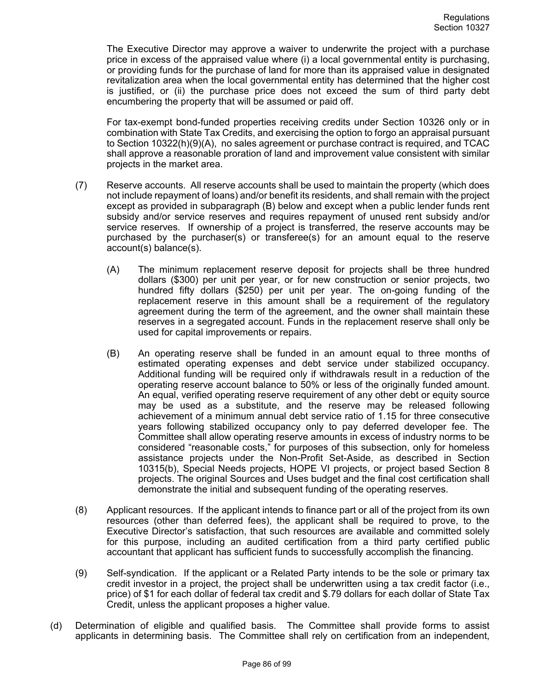The Executive Director may approve a waiver to underwrite the project with a purchase price in excess of the appraised value where (i) a local governmental entity is purchasing, or providing funds for the purchase of land for more than its appraised value in designated revitalization area when the local governmental entity has determined that the higher cost is justified, or (ii) the purchase price does not exceed the sum of third party debt encumbering the property that will be assumed or paid off.

For tax-exempt bond-funded properties receiving credits under Section 10326 only or in combination with State Tax Credits, and exercising the option to forgo an appraisal pursuant to Section 10322(h)(9)(A), no sales agreement or purchase contract is required, and TCAC shall approve a reasonable proration of land and improvement value consistent with similar projects in the market area.

- (7) Reserve accounts. All reserve accounts shall be used to maintain the property (which does not include repayment of loans) and/or benefit its residents, and shall remain with the project except as provided in subparagraph (B) below and except when a public lender funds rent subsidy and/or service reserves and requires repayment of unused rent subsidy and/or service reserves. If ownership of a project is transferred, the reserve accounts may be purchased by the purchaser(s) or transferee(s) for an amount equal to the reserve account(s) balance(s).
	- (A) The minimum replacement reserve deposit for projects shall be three hundred dollars (\$300) per unit per year, or for new construction or senior projects, two hundred fifty dollars (\$250) per unit per year. The on-going funding of the replacement reserve in this amount shall be a requirement of the regulatory agreement during the term of the agreement, and the owner shall maintain these reserves in a segregated account. Funds in the replacement reserve shall only be used for capital improvements or repairs.
	- (B) An operating reserve shall be funded in an amount equal to three months of estimated operating expenses and debt service under stabilized occupancy. Additional funding will be required only if withdrawals result in a reduction of the operating reserve account balance to 50% or less of the originally funded amount. An equal, verified operating reserve requirement of any other debt or equity source may be used as a substitute, and the reserve may be released following achievement of a minimum annual debt service ratio of 1.15 for three consecutive years following stabilized occupancy only to pay deferred developer fee. The Committee shall allow operating reserve amounts in excess of industry norms to be considered "reasonable costs," for purposes of this subsection, only for homeless assistance projects under the Non-Profit Set-Aside, as described in Section 10315(b), Special Needs projects, HOPE VI projects, or project based Section 8 projects. The original Sources and Uses budget and the final cost certification shall demonstrate the initial and subsequent funding of the operating reserves.
- (8) Applicant resources. If the applicant intends to finance part or all of the project from its own resources (other than deferred fees), the applicant shall be required to prove, to the Executive Director's satisfaction, that such resources are available and committed solely for this purpose, including an audited certification from a third party certified public accountant that applicant has sufficient funds to successfully accomplish the financing.
- (9) Self-syndication. If the applicant or a Related Party intends to be the sole or primary tax credit investor in a project, the project shall be underwritten using a tax credit factor (i.e., price) of \$1 for each dollar of federal tax credit and \$.79 dollars for each dollar of State Tax Credit, unless the applicant proposes a higher value.
- (d) Determination of eligible and qualified basis. The Committee shall provide forms to assist applicants in determining basis. The Committee shall rely on certification from an independent,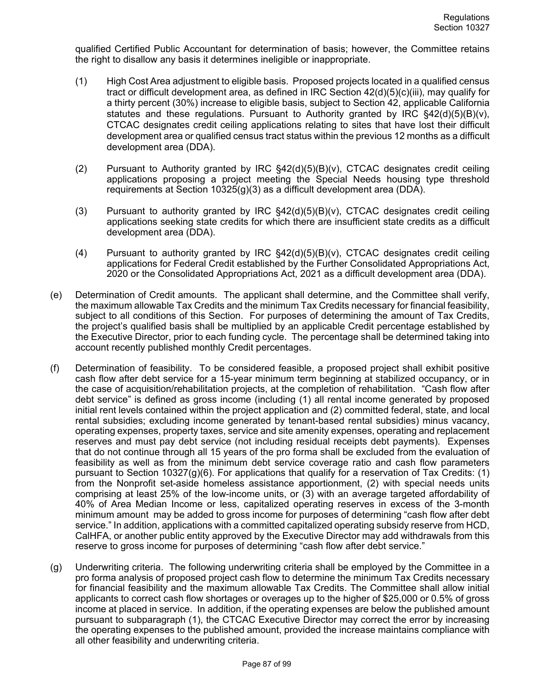qualified Certified Public Accountant for determination of basis; however, the Committee retains the right to disallow any basis it determines ineligible or inappropriate.

- (1) High Cost Area adjustment to eligible basis. Proposed projects located in a qualified census tract or difficult development area, as defined in IRC Section 42(d)(5)(c)(iii), may qualify for a thirty percent (30%) increase to eligible basis, subject to Section 42, applicable California statutes and these regulations. Pursuant to Authority granted by IRC  $\S42(d)(5)(B)(v)$ , CTCAC designates credit ceiling applications relating to sites that have lost their difficult development area or qualified census tract status within the previous 12 months as a difficult development area (DDA).
- (2) Pursuant to Authority granted by IRC  $\S$ 42(d)(5)(B)(v), CTCAC designates credit ceiling applications proposing a project meeting the Special Needs housing type threshold requirements at Section 10325(g)(3) as a difficult development area (DDA).
- (3) Pursuant to authority granted by IRC §42(d)(5)(B)(v), CTCAC designates credit ceiling applications seeking state credits for which there are insufficient state credits as a difficult development area (DDA).
- (4) Pursuant to authority granted by IRC  $\S$ 42(d)(5)(B)(v), CTCAC designates credit ceiling applications for Federal Credit established by the Further Consolidated Appropriations Act, 2020 or the Consolidated Appropriations Act, 2021 as a difficult development area (DDA).
- (e) Determination of Credit amounts. The applicant shall determine, and the Committee shall verify, the maximum allowable Tax Credits and the minimum Tax Credits necessary for financial feasibility, subject to all conditions of this Section. For purposes of determining the amount of Tax Credits, the project's qualified basis shall be multiplied by an applicable Credit percentage established by the Executive Director, prior to each funding cycle. The percentage shall be determined taking into account recently published monthly Credit percentages.
- (f) Determination of feasibility. To be considered feasible, a proposed project shall exhibit positive cash flow after debt service for a 15-year minimum term beginning at stabilized occupancy, or in the case of acquisition/rehabilitation projects, at the completion of rehabilitation. "Cash flow after debt service" is defined as gross income (including (1) all rental income generated by proposed initial rent levels contained within the project application and (2) committed federal, state, and local rental subsidies; excluding income generated by tenant-based rental subsidies) minus vacancy, operating expenses, property taxes, service and site amenity expenses, operating and replacement reserves and must pay debt service (not including residual receipts debt payments). Expenses that do not continue through all 15 years of the pro forma shall be excluded from the evaluation of feasibility as well as from the minimum debt service coverage ratio and cash flow parameters pursuant to Section 10327(g)(6). For applications that qualify for a reservation of Tax Credits: (1) from the Nonprofit set-aside homeless assistance apportionment, (2) with special needs units comprising at least 25% of the low-income units, or (3) with an average targeted affordability of 40% of Area Median Income or less, capitalized operating reserves in excess of the 3-month minimum amount may be added to gross income for purposes of determining "cash flow after debt service." In addition, applications with a committed capitalized operating subsidy reserve from HCD, CalHFA, or another public entity approved by the Executive Director may add withdrawals from this reserve to gross income for purposes of determining "cash flow after debt service."
- (g) Underwriting criteria. The following underwriting criteria shall be employed by the Committee in a pro forma analysis of proposed project cash flow to determine the minimum Tax Credits necessary for financial feasibility and the maximum allowable Tax Credits. The Committee shall allow initial applicants to correct cash flow shortages or overages up to the higher of \$25,000 or 0.5% of gross income at placed in service. In addition, if the operating expenses are below the published amount pursuant to subparagraph (1), the CTCAC Executive Director may correct the error by increasing the operating expenses to the published amount, provided the increase maintains compliance with all other feasibility and underwriting criteria.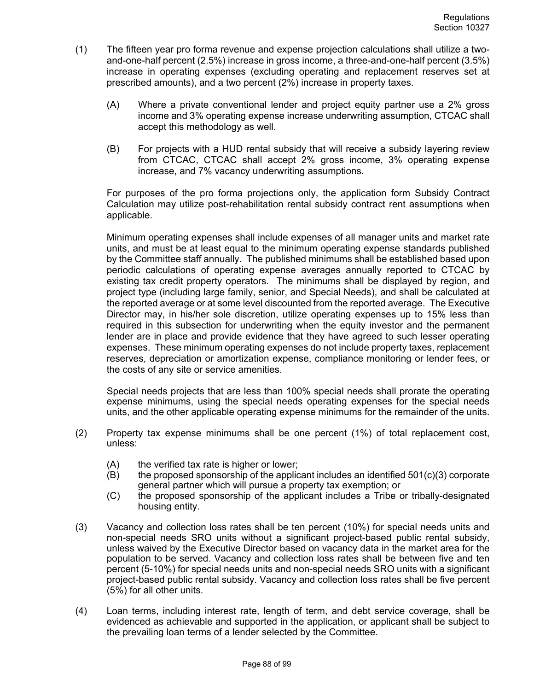- (1) The fifteen year pro forma revenue and expense projection calculations shall utilize a twoand-one-half percent (2.5%) increase in gross income, a three-and-one-half percent (3.5%) increase in operating expenses (excluding operating and replacement reserves set at prescribed amounts), and a two percent (2%) increase in property taxes.
	- (A) Where a private conventional lender and project equity partner use a 2% gross income and 3% operating expense increase underwriting assumption, CTCAC shall accept this methodology as well.
	- (B) For projects with a HUD rental subsidy that will receive a subsidy layering review from CTCAC, CTCAC shall accept 2% gross income, 3% operating expense increase, and 7% vacancy underwriting assumptions.

For purposes of the pro forma projections only, the application form Subsidy Contract Calculation may utilize post-rehabilitation rental subsidy contract rent assumptions when applicable.

Minimum operating expenses shall include expenses of all manager units and market rate units, and must be at least equal to the minimum operating expense standards published by the Committee staff annually. The published minimums shall be established based upon periodic calculations of operating expense averages annually reported to CTCAC by existing tax credit property operators. The minimums shall be displayed by region, and project type (including large family, senior, and Special Needs), and shall be calculated at the reported average or at some level discounted from the reported average. The Executive Director may, in his/her sole discretion, utilize operating expenses up to 15% less than required in this subsection for underwriting when the equity investor and the permanent lender are in place and provide evidence that they have agreed to such lesser operating expenses. These minimum operating expenses do not include property taxes, replacement reserves, depreciation or amortization expense, compliance monitoring or lender fees, or the costs of any site or service amenities.

Special needs projects that are less than 100% special needs shall prorate the operating expense minimums, using the special needs operating expenses for the special needs units, and the other applicable operating expense minimums for the remainder of the units.

- (2) Property tax expense minimums shall be one percent (1%) of total replacement cost, unless:
	- $(A)$  the verified tax rate is higher or lower;
	- $(B)$  the proposed sponsorship of the applicant includes an identified 501(c)(3) corporate general partner which will pursue a property tax exemption; or
	- (C) the proposed sponsorship of the applicant includes a Tribe or tribally-designated housing entity.
- (3) Vacancy and collection loss rates shall be ten percent (10%) for special needs units and non-special needs SRO units without a significant project-based public rental subsidy, unless waived by the Executive Director based on vacancy data in the market area for the population to be served. Vacancy and collection loss rates shall be between five and ten percent (5-10%) for special needs units and non-special needs SRO units with a significant project-based public rental subsidy. Vacancy and collection loss rates shall be five percent (5%) for all other units.
- (4) Loan terms, including interest rate, length of term, and debt service coverage, shall be evidenced as achievable and supported in the application, or applicant shall be subject to the prevailing loan terms of a lender selected by the Committee.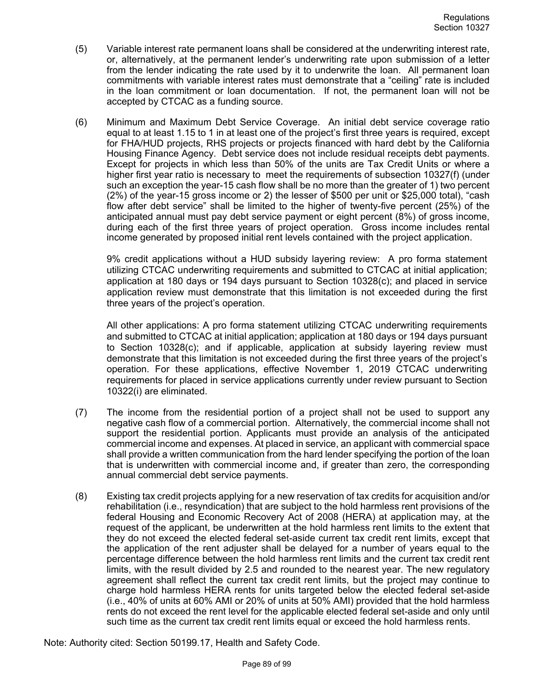- (5) Variable interest rate permanent loans shall be considered at the underwriting interest rate, or, alternatively, at the permanent lender's underwriting rate upon submission of a letter from the lender indicating the rate used by it to underwrite the loan. All permanent loan commitments with variable interest rates must demonstrate that a "ceiling" rate is included in the loan commitment or loan documentation. If not, the permanent loan will not be accepted by CTCAC as a funding source.
- (6) Minimum and Maximum Debt Service Coverage. An initial debt service coverage ratio equal to at least 1.15 to 1 in at least one of the project's first three years is required, except for FHA/HUD projects, RHS projects or projects financed with hard debt by the California Housing Finance Agency. Debt service does not include residual receipts debt payments. Except for projects in which less than 50% of the units are Tax Credit Units or where a higher first year ratio is necessary to meet the requirements of subsection 10327(f) (under such an exception the year-15 cash flow shall be no more than the greater of 1) two percent (2%) of the year-15 gross income or 2) the lesser of \$500 per unit or \$25,000 total), "cash flow after debt service" shall be limited to the higher of twenty-five percent (25%) of the anticipated annual must pay debt service payment or eight percent (8%) of gross income, during each of the first three years of project operation. Gross income includes rental income generated by proposed initial rent levels contained with the project application.

9% credit applications without a HUD subsidy layering review: A pro forma statement utilizing CTCAC underwriting requirements and submitted to CTCAC at initial application; application at 180 days or 194 days pursuant to Section 10328(c); and placed in service application review must demonstrate that this limitation is not exceeded during the first three years of the project's operation.

All other applications: A pro forma statement utilizing CTCAC underwriting requirements and submitted to CTCAC at initial application; application at 180 days or 194 days pursuant to Section 10328(c); and if applicable, application at subsidy layering review must demonstrate that this limitation is not exceeded during the first three years of the project's operation. For these applications, effective November 1, 2019 CTCAC underwriting requirements for placed in service applications currently under review pursuant to Section 10322(i) are eliminated.

- (7) The income from the residential portion of a project shall not be used to support any negative cash flow of a commercial portion. Alternatively, the commercial income shall not support the residential portion. Applicants must provide an analysis of the anticipated commercial income and expenses. At placed in service, an applicant with commercial space shall provide a written communication from the hard lender specifying the portion of the loan that is underwritten with commercial income and, if greater than zero, the corresponding annual commercial debt service payments.
- (8) Existing tax credit projects applying for a new reservation of tax credits for acquisition and/or rehabilitation (i.e., resyndication) that are subject to the hold harmless rent provisions of the federal Housing and Economic Recovery Act of 2008 (HERA) at application may, at the request of the applicant, be underwritten at the hold harmless rent limits to the extent that they do not exceed the elected federal set-aside current tax credit rent limits, except that the application of the rent adjuster shall be delayed for a number of years equal to the percentage difference between the hold harmless rent limits and the current tax credit rent limits, with the result divided by 2.5 and rounded to the nearest year. The new regulatory agreement shall reflect the current tax credit rent limits, but the project may continue to charge hold harmless HERA rents for units targeted below the elected federal set-aside (i.e., 40% of units at 60% AMI or 20% of units at 50% AMI) provided that the hold harmless rents do not exceed the rent level for the applicable elected federal set-aside and only until such time as the current tax credit rent limits equal or exceed the hold harmless rents.

Note: Authority cited: Section 50199.17, Health and Safety Code.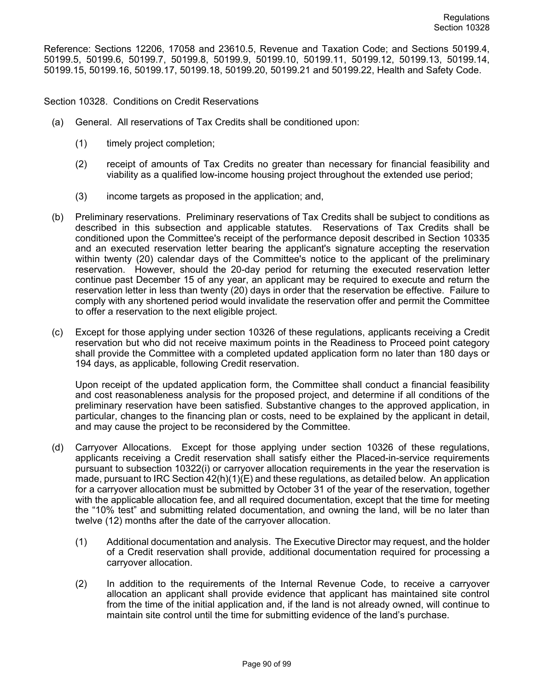Reference: Sections 12206, 17058 and 23610.5, Revenue and Taxation Code; and Sections 50199.4, 50199.5, 50199.6, 50199.7, 50199.8, 50199.9, 50199.10, 50199.11, 50199.12, 50199.13, 50199.14, 50199.15, 50199.16, 50199.17, 50199.18, 50199.20, 50199.21 and 50199.22, Health and Safety Code.

Section 10328. Conditions on Credit Reservations

- (a) General. All reservations of Tax Credits shall be conditioned upon:
	- (1) timely project completion;
	- (2) receipt of amounts of Tax Credits no greater than necessary for financial feasibility and viability as a qualified low-income housing project throughout the extended use period;
	- (3) income targets as proposed in the application; and,
- (b) Preliminary reservations. Preliminary reservations of Tax Credits shall be subject to conditions as described in this subsection and applicable statutes. Reservations of Tax Credits shall be conditioned upon the Committee's receipt of the performance deposit described in Section 10335 and an executed reservation letter bearing the applicant's signature accepting the reservation within twenty (20) calendar days of the Committee's notice to the applicant of the preliminary reservation. However, should the 20-day period for returning the executed reservation letter continue past December 15 of any year, an applicant may be required to execute and return the reservation letter in less than twenty (20) days in order that the reservation be effective. Failure to comply with any shortened period would invalidate the reservation offer and permit the Committee to offer a reservation to the next eligible project.
- (c) Except for those applying under section 10326 of these regulations, applicants receiving a Credit reservation but who did not receive maximum points in the Readiness to Proceed point category shall provide the Committee with a completed updated application form no later than 180 days or 194 days, as applicable, following Credit reservation.

Upon receipt of the updated application form, the Committee shall conduct a financial feasibility and cost reasonableness analysis for the proposed project, and determine if all conditions of the preliminary reservation have been satisfied. Substantive changes to the approved application, in particular, changes to the financing plan or costs, need to be explained by the applicant in detail, and may cause the project to be reconsidered by the Committee.

- (d) Carryover Allocations. Except for those applying under section 10326 of these regulations, applicants receiving a Credit reservation shall satisfy either the Placed-in-service requirements pursuant to subsection 10322(i) or carryover allocation requirements in the year the reservation is made, pursuant to IRC Section  $42(h)(1)(E)$  and these regulations, as detailed below. An application for a carryover allocation must be submitted by October 31 of the year of the reservation, together with the applicable allocation fee, and all required documentation, except that the time for meeting the "10% test" and submitting related documentation, and owning the land, will be no later than twelve (12) months after the date of the carryover allocation.
	- (1) Additional documentation and analysis. The Executive Director may request, and the holder of a Credit reservation shall provide, additional documentation required for processing a carryover allocation.
	- (2) In addition to the requirements of the Internal Revenue Code, to receive a carryover allocation an applicant shall provide evidence that applicant has maintained site control from the time of the initial application and, if the land is not already owned, will continue to maintain site control until the time for submitting evidence of the land's purchase.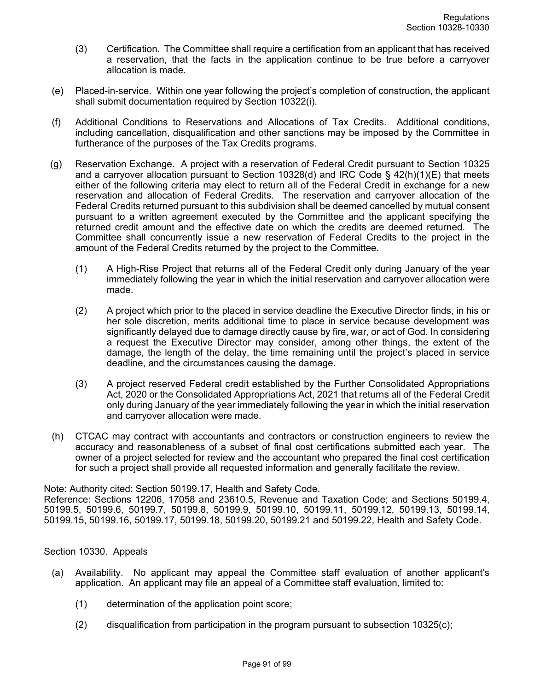- (3) Certification. The Committee shall require a certification from an applicant that has received a reservation, that the facts in the application continue to be true before a carryover allocation is made.
- (e) Placed-in-service. Within one year following the project's completion of construction, the applicant shall submit documentation required by Section 10322(i).
- (f) Additional Conditions to Reservations and Allocations of Tax Credits. Additional conditions, including cancellation, disqualification and other sanctions may be imposed by the Committee in furtherance of the purposes of the Tax Credits programs.
- (g) Reservation Exchange. A project with a reservation of Federal Credit pursuant to Section 10325 and a carryover allocation pursuant to Section 10328(d) and IRC Code §  $42(h)(1)(E)$  that meets either of the following criteria may elect to return all of the Federal Credit in exchange for a new reservation and allocation of Federal Credits. The reservation and carryover allocation of the Federal Credits returned pursuant to this subdivision shall be deemed cancelled by mutual consent pursuant to a written agreement executed by the Committee and the applicant specifying the returned credit amount and the effective date on which the credits are deemed returned. The Committee shall concurrently issue a new reservation of Federal Credits to the project in the amount of the Federal Credits returned by the project to the Committee.
	- (1) A High-Rise Project that returns all of the Federal Credit only during January of the year immediately following the year in which the initial reservation and carryover allocation were made.
	- (2) A project which prior to the placed in service deadline the Executive Director finds, in his or her sole discretion, merits additional time to place in service because development was significantly delayed due to damage directly cause by fire, war, or act of God. In considering a request the Executive Director may consider, among other things, the extent of the damage, the length of the delay, the time remaining until the project's placed in service deadline, and the circumstances causing the damage.
	- (3) A project reserved Federal credit established by the Further Consolidated Appropriations Act, 2020 or the Consolidated Appropriations Act, 2021 that returns all of the Federal Credit only during January of the year immediately following the year in which the initial reservation and carryover allocation were made.
- (h) CTCAC may contract with accountants and contractors or construction engineers to review the accuracy and reasonableness of a subset of final cost certifications submitted each year. The owner of a project selected for review and the accountant who prepared the final cost certification for such a project shall provide all requested information and generally facilitate the review.

## Note: Authority cited: Section 50199.17, Health and Safety Code. Reference: Sections 12206, 17058 and 23610.5, Revenue and Taxation Code; and Sections 50199.4, 50199.5, 50199.6, 50199.7, 50199.8, 50199.9, 50199.10, 50199.11, 50199.12, 50199.13, 50199.14, 50199.15, 50199.16, 50199.17, 50199.18, 50199.20, 50199.21 and 50199.22, Health and Safety Code.

## Section 10330. Appeals

- (a) Availability. No applicant may appeal the Committee staff evaluation of another applicant's application. An applicant may file an appeal of a Committee staff evaluation, limited to:
	- (1) determination of the application point score;
	- (2) disqualification from participation in the program pursuant to subsection 10325(c);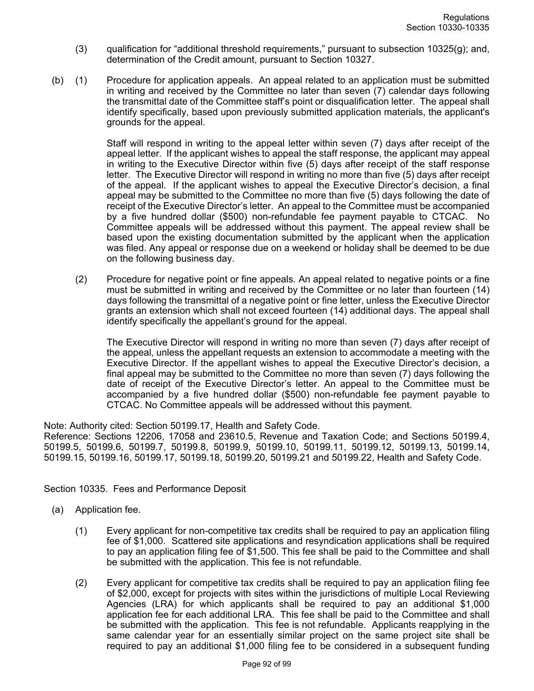- (3) qualification for "additional threshold requirements," pursuant to subsection 10325(g); and, determination of the Credit amount, pursuant to Section 10327.
- (b) (1) Procedure for application appeals. An appeal related to an application must be submitted in writing and received by the Committee no later than seven (7) calendar days following the transmittal date of the Committee staff's point or disqualification letter. The appeal shall identify specifically, based upon previously submitted application materials, the applicant's grounds for the appeal.

Staff will respond in writing to the appeal letter within seven (7) days after receipt of the appeal letter. If the applicant wishes to appeal the staff response, the applicant may appeal in writing to the Executive Director within five (5) days after receipt of the staff response letter. The Executive Director will respond in writing no more than five (5) days after receipt of the appeal. If the applicant wishes to appeal the Executive Director's decision, a final appeal may be submitted to the Committee no more than five (5) days following the date of receipt of the Executive Director's letter. An appeal to the Committee must be accompanied by a five hundred dollar (\$500) non-refundable fee payment payable to CTCAC. No Committee appeals will be addressed without this payment. The appeal review shall be based upon the existing documentation submitted by the applicant when the application was filed. Any appeal or response due on a weekend or holiday shall be deemed to be due on the following business day.

(2) Procedure for negative point or fine appeals. An appeal related to negative points or a fine must be submitted in writing and received by the Committee or no later than fourteen (14) days following the transmittal of a negative point or fine letter, unless the Executive Director grants an extension which shall not exceed fourteen (14) additional days. The appeal shall identify specifically the appellant's ground for the appeal.

The Executive Director will respond in writing no more than seven (7) days after receipt of the appeal, unless the appellant requests an extension to accommodate a meeting with the Executive Director. If the appellant wishes to appeal the Executive Director's decision, a final appeal may be submitted to the Committee no more than seven (7) days following the date of receipt of the Executive Director's letter. An appeal to the Committee must be accompanied by a five hundred dollar (\$500) non-refundable fee payment payable to CTCAC. No Committee appeals will be addressed without this payment.

Note: Authority cited: Section 50199.17, Health and Safety Code.

Reference: Sections 12206, 17058 and 23610.5, Revenue and Taxation Code; and Sections 50199.4, 50199.5, 50199.6, 50199.7, 50199.8, 50199.9, 50199.10, 50199.11, 50199.12, 50199.13, 50199.14, 50199.15, 50199.16, 50199.17, 50199.18, 50199.20, 50199.21 and 50199.22, Health and Safety Code.

## Section 10335. Fees and Performance Deposit

- (a) Application fee.
	- (1) Every applicant for non-competitive tax credits shall be required to pay an application filing fee of \$1,000. Scattered site applications and resyndication applications shall be required to pay an application filing fee of \$1,500. This fee shall be paid to the Committee and shall be submitted with the application. This fee is not refundable.
	- (2) Every applicant for competitive tax credits shall be required to pay an application filing fee of \$2,000, except for projects with sites within the jurisdictions of multiple Local Reviewing Agencies (LRA) for which applicants shall be required to pay an additional \$1,000 application fee for each additional LRA. This fee shall be paid to the Committee and shall be submitted with the application. This fee is not refundable. Applicants reapplying in the same calendar year for an essentially similar project on the same project site shall be required to pay an additional \$1,000 filing fee to be considered in a subsequent funding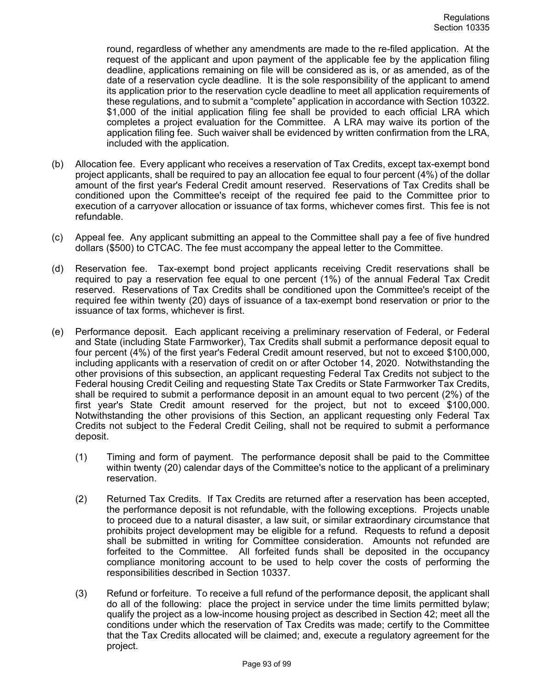round, regardless of whether any amendments are made to the re-filed application. At the request of the applicant and upon payment of the applicable fee by the application filing deadline, applications remaining on file will be considered as is, or as amended, as of the date of a reservation cycle deadline. It is the sole responsibility of the applicant to amend its application prior to the reservation cycle deadline to meet all application requirements of these regulations, and to submit a "complete" application in accordance with Section 10322. \$1,000 of the initial application filing fee shall be provided to each official LRA which completes a project evaluation for the Committee. A LRA may waive its portion of the application filing fee. Such waiver shall be evidenced by written confirmation from the LRA, included with the application.

- (b) Allocation fee. Every applicant who receives a reservation of Tax Credits, except tax-exempt bond project applicants, shall be required to pay an allocation fee equal to four percent (4%) of the dollar amount of the first year's Federal Credit amount reserved. Reservations of Tax Credits shall be conditioned upon the Committee's receipt of the required fee paid to the Committee prior to execution of a carryover allocation or issuance of tax forms, whichever comes first. This fee is not refundable.
- (c) Appeal fee. Any applicant submitting an appeal to the Committee shall pay a fee of five hundred dollars (\$500) to CTCAC. The fee must accompany the appeal letter to the Committee.
- (d) Reservation fee. Tax-exempt bond project applicants receiving Credit reservations shall be required to pay a reservation fee equal to one percent (1%) of the annual Federal Tax Credit reserved. Reservations of Tax Credits shall be conditioned upon the Committee's receipt of the required fee within twenty (20) days of issuance of a tax-exempt bond reservation or prior to the issuance of tax forms, whichever is first.
- (e) Performance deposit. Each applicant receiving a preliminary reservation of Federal, or Federal and State (including State Farmworker), Tax Credits shall submit a performance deposit equal to four percent (4%) of the first year's Federal Credit amount reserved, but not to exceed \$100,000, including applicants with a reservation of credit on or after October 14, 2020. Notwithstanding the other provisions of this subsection, an applicant requesting Federal Tax Credits not subject to the Federal housing Credit Ceiling and requesting State Tax Credits or State Farmworker Tax Credits, shall be required to submit a performance deposit in an amount equal to two percent (2%) of the first year's State Credit amount reserved for the project, but not to exceed \$100,000. Notwithstanding the other provisions of this Section, an applicant requesting only Federal Tax Credits not subject to the Federal Credit Ceiling, shall not be required to submit a performance deposit.
	- (1) Timing and form of payment. The performance deposit shall be paid to the Committee within twenty (20) calendar days of the Committee's notice to the applicant of a preliminary reservation.
	- (2) Returned Tax Credits. If Tax Credits are returned after a reservation has been accepted, the performance deposit is not refundable, with the following exceptions. Projects unable to proceed due to a natural disaster, a law suit, or similar extraordinary circumstance that prohibits project development may be eligible for a refund. Requests to refund a deposit shall be submitted in writing for Committee consideration. Amounts not refunded are forfeited to the Committee. All forfeited funds shall be deposited in the occupancy compliance monitoring account to be used to help cover the costs of performing the responsibilities described in Section 10337.
	- (3) Refund or forfeiture. To receive a full refund of the performance deposit, the applicant shall do all of the following: place the project in service under the time limits permitted bylaw; qualify the project as a low-income housing project as described in Section 42; meet all the conditions under which the reservation of Tax Credits was made; certify to the Committee that the Tax Credits allocated will be claimed; and, execute a regulatory agreement for the project.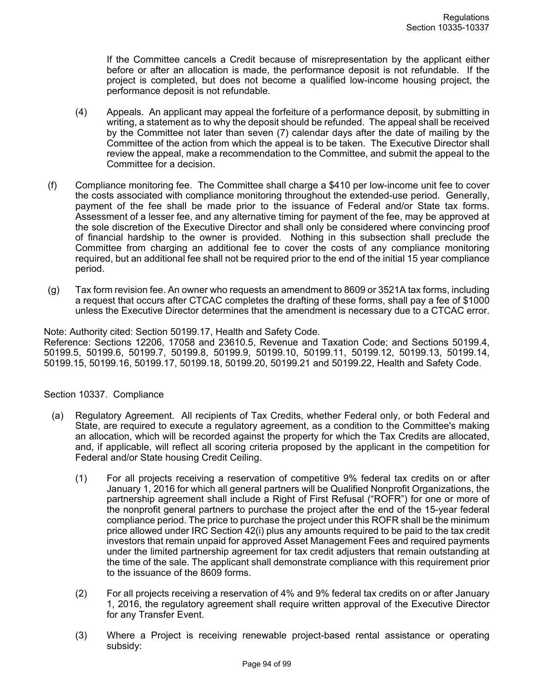If the Committee cancels a Credit because of misrepresentation by the applicant either before or after an allocation is made, the performance deposit is not refundable. If the project is completed, but does not become a qualified low-income housing project, the performance deposit is not refundable.

- (4) Appeals. An applicant may appeal the forfeiture of a performance deposit, by submitting in writing, a statement as to why the deposit should be refunded. The appeal shall be received by the Committee not later than seven (7) calendar days after the date of mailing by the Committee of the action from which the appeal is to be taken. The Executive Director shall review the appeal, make a recommendation to the Committee, and submit the appeal to the Committee for a decision.
- (f) Compliance monitoring fee. The Committee shall charge a \$410 per low-income unit fee to cover the costs associated with compliance monitoring throughout the extended-use period. Generally, payment of the fee shall be made prior to the issuance of Federal and/or State tax forms. Assessment of a lesser fee, and any alternative timing for payment of the fee, may be approved at the sole discretion of the Executive Director and shall only be considered where convincing proof of financial hardship to the owner is provided. Nothing in this subsection shall preclude the Committee from charging an additional fee to cover the costs of any compliance monitoring required, but an additional fee shall not be required prior to the end of the initial 15 year compliance period.
- (g) Tax form revision fee. An owner who requests an amendment to 8609 or 3521A tax forms, including a request that occurs after CTCAC completes the drafting of these forms, shall pay a fee of \$1000 unless the Executive Director determines that the amendment is necessary due to a CTCAC error.

Note: Authority cited: Section 50199.17, Health and Safety Code.

Reference: Sections 12206, 17058 and 23610.5, Revenue and Taxation Code; and Sections 50199.4, 50199.5, 50199.6, 50199.7, 50199.8, 50199.9, 50199.10, 50199.11, 50199.12, 50199.13, 50199.14, 50199.15, 50199.16, 50199.17, 50199.18, 50199.20, 50199.21 and 50199.22, Health and Safety Code.

## Section 10337. Compliance

- (a) Regulatory Agreement. All recipients of Tax Credits, whether Federal only, or both Federal and State, are required to execute a regulatory agreement, as a condition to the Committee's making an allocation, which will be recorded against the property for which the Tax Credits are allocated, and, if applicable, will reflect all scoring criteria proposed by the applicant in the competition for Federal and/or State housing Credit Ceiling.
	- (1) For all projects receiving a reservation of competitive 9% federal tax credits on or after January 1, 2016 for which all general partners will be Qualified Nonprofit Organizations, the partnership agreement shall include a Right of First Refusal ("ROFR") for one or more of the nonprofit general partners to purchase the project after the end of the 15-year federal compliance period. The price to purchase the project under this ROFR shall be the minimum price allowed under IRC Section 42(i) plus any amounts required to be paid to the tax credit investors that remain unpaid for approved Asset Management Fees and required payments under the limited partnership agreement for tax credit adjusters that remain outstanding at the time of the sale. The applicant shall demonstrate compliance with this requirement prior to the issuance of the 8609 forms.
	- (2) For all projects receiving a reservation of 4% and 9% federal tax credits on or after January 1, 2016, the regulatory agreement shall require written approval of the Executive Director for any Transfer Event.
	- (3) Where a Project is receiving renewable project-based rental assistance or operating subsidy: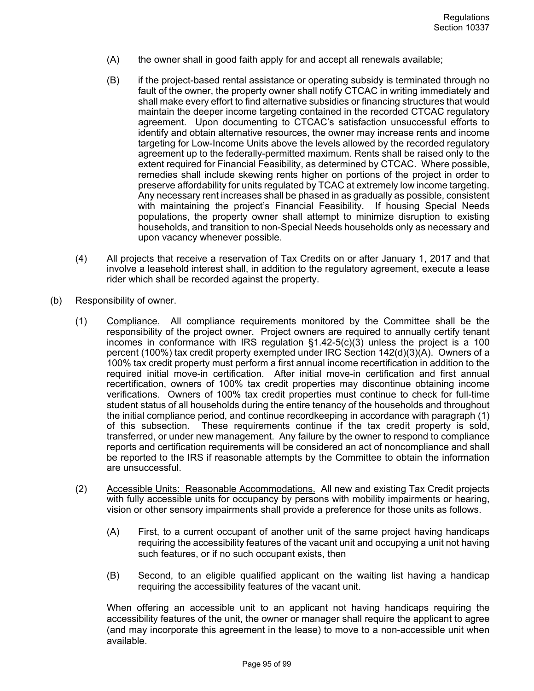- (A) the owner shall in good faith apply for and accept all renewals available;
- (B) if the project-based rental assistance or operating subsidy is terminated through no fault of the owner, the property owner shall notify CTCAC in writing immediately and shall make every effort to find alternative subsidies or financing structures that would maintain the deeper income targeting contained in the recorded CTCAC regulatory agreement. Upon documenting to CTCAC's satisfaction unsuccessful efforts to identify and obtain alternative resources, the owner may increase rents and income targeting for Low-Income Units above the levels allowed by the recorded regulatory agreement up to the federally-permitted maximum. Rents shall be raised only to the extent required for Financial Feasibility, as determined by CTCAC. Where possible, remedies shall include skewing rents higher on portions of the project in order to preserve affordability for units regulated by TCAC at extremely low income targeting. Any necessary rent increases shall be phased in as gradually as possible, consistent with maintaining the project's Financial Feasibility. If housing Special Needs populations, the property owner shall attempt to minimize disruption to existing households, and transition to non-Special Needs households only as necessary and upon vacancy whenever possible.
- (4) All projects that receive a reservation of Tax Credits on or after January 1, 2017 and that involve a leasehold interest shall, in addition to the regulatory agreement, execute a lease rider which shall be recorded against the property.
- (b) Responsibility of owner.
	- (1) Compliance. All compliance requirements monitored by the Committee shall be the responsibility of the project owner. Project owners are required to annually certify tenant incomes in conformance with IRS regulation  $\S1.42-5(c)(3)$  unless the project is a 100 percent (100%) tax credit property exempted under IRC Section 142(d)(3)(A). Owners of a 100% tax credit property must perform a first annual income recertification in addition to the required initial move-in certification. After initial move-in certification and first annual recertification, owners of 100% tax credit properties may discontinue obtaining income verifications. Owners of 100% tax credit properties must continue to check for full-time student status of all households during the entire tenancy of the households and throughout the initial compliance period, and continue recordkeeping in accordance with paragraph (1) of this subsection. These requirements continue if the tax credit property is sold, transferred, or under new management. Any failure by the owner to respond to compliance reports and certification requirements will be considered an act of noncompliance and shall be reported to the IRS if reasonable attempts by the Committee to obtain the information are unsuccessful.
	- (2) Accessible Units: Reasonable Accommodations. All new and existing Tax Credit projects with fully accessible units for occupancy by persons with mobility impairments or hearing, vision or other sensory impairments shall provide a preference for those units as follows.
		- (A) First, to a current occupant of another unit of the same project having handicaps requiring the accessibility features of the vacant unit and occupying a unit not having such features, or if no such occupant exists, then
		- (B) Second, to an eligible qualified applicant on the waiting list having a handicap requiring the accessibility features of the vacant unit.

When offering an accessible unit to an applicant not having handicaps requiring the accessibility features of the unit, the owner or manager shall require the applicant to agree (and may incorporate this agreement in the lease) to move to a non-accessible unit when available.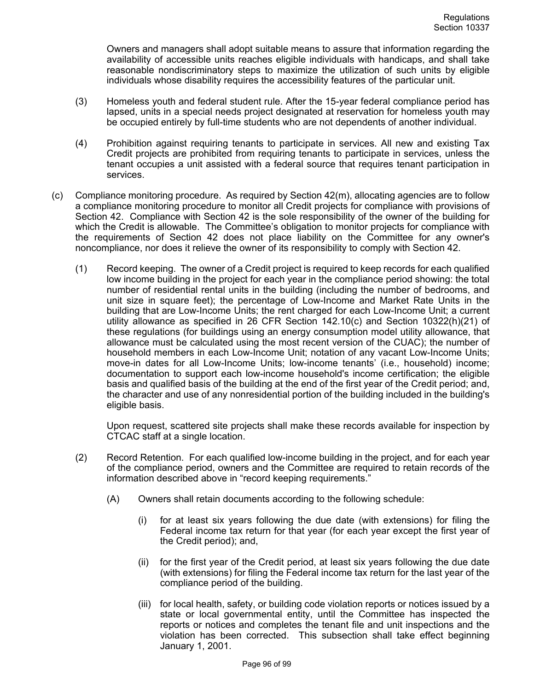Owners and managers shall adopt suitable means to assure that information regarding the availability of accessible units reaches eligible individuals with handicaps, and shall take reasonable nondiscriminatory steps to maximize the utilization of such units by eligible individuals whose disability requires the accessibility features of the particular unit.

- (3) Homeless youth and federal student rule. After the 15-year federal compliance period has lapsed, units in a special needs project designated at reservation for homeless youth may be occupied entirely by full-time students who are not dependents of another individual.
- (4) Prohibition against requiring tenants to participate in services. All new and existing Tax Credit projects are prohibited from requiring tenants to participate in services, unless the tenant occupies a unit assisted with a federal source that requires tenant participation in services.
- (c) Compliance monitoring procedure. As required by Section 42(m), allocating agencies are to follow a compliance monitoring procedure to monitor all Credit projects for compliance with provisions of Section 42. Compliance with Section 42 is the sole responsibility of the owner of the building for which the Credit is allowable. The Committee's obligation to monitor projects for compliance with the requirements of Section 42 does not place liability on the Committee for any owner's noncompliance, nor does it relieve the owner of its responsibility to comply with Section 42.
	- (1) Record keeping. The owner of a Credit project is required to keep records for each qualified low income building in the project for each year in the compliance period showing: the total number of residential rental units in the building (including the number of bedrooms, and unit size in square feet); the percentage of Low-Income and Market Rate Units in the building that are Low-Income Units; the rent charged for each Low-Income Unit; a current utility allowance as specified in 26 CFR Section 142.10(c) and Section 10322(h)(21) of these regulations (for buildings using an energy consumption model utility allowance, that allowance must be calculated using the most recent version of the CUAC); the number of household members in each Low-Income Unit; notation of any vacant Low-Income Units; move-in dates for all Low-Income Units; low-income tenants' (i.e., household) income; documentation to support each low-income household's income certification; the eligible basis and qualified basis of the building at the end of the first year of the Credit period; and, the character and use of any nonresidential portion of the building included in the building's eligible basis.

Upon request, scattered site projects shall make these records available for inspection by CTCAC staff at a single location.

- (2) Record Retention. For each qualified low-income building in the project, and for each year of the compliance period, owners and the Committee are required to retain records of the information described above in "record keeping requirements."
	- (A) Owners shall retain documents according to the following schedule:
		- (i) for at least six years following the due date (with extensions) for filing the Federal income tax return for that year (for each year except the first year of the Credit period); and,
		- (ii) for the first year of the Credit period, at least six years following the due date (with extensions) for filing the Federal income tax return for the last year of the compliance period of the building.
		- (iii) for local health, safety, or building code violation reports or notices issued by a state or local governmental entity, until the Committee has inspected the reports or notices and completes the tenant file and unit inspections and the violation has been corrected. This subsection shall take effect beginning January 1, 2001.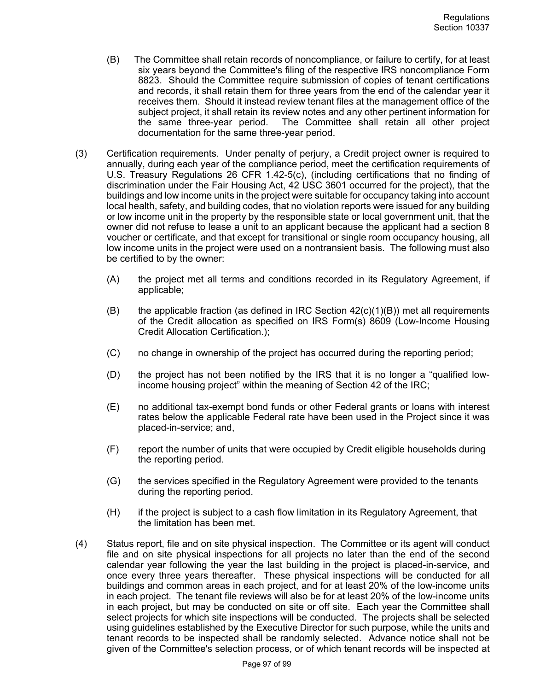- (B) The Committee shall retain records of noncompliance, or failure to certify, for at least six years beyond the Committee's filing of the respective IRS noncompliance Form 8823. Should the Committee require submission of copies of tenant certifications and records, it shall retain them for three years from the end of the calendar year it receives them. Should it instead review tenant files at the management office of the subject project, it shall retain its review notes and any other pertinent information for the same three-year period. The Committee shall retain all other project documentation for the same three-year period.
- (3) Certification requirements. Under penalty of perjury, a Credit project owner is required to annually, during each year of the compliance period, meet the certification requirements of U.S. Treasury Regulations 26 CFR 1.42-5(c), (including certifications that no finding of discrimination under the Fair Housing Act, 42 USC 3601 occurred for the project), that the buildings and low income units in the project were suitable for occupancy taking into account local health, safety, and building codes, that no violation reports were issued for any building or low income unit in the property by the responsible state or local government unit, that the owner did not refuse to lease a unit to an applicant because the applicant had a section 8 voucher or certificate, and that except for transitional or single room occupancy housing, all low income units in the project were used on a nontransient basis. The following must also be certified to by the owner:
	- (A) the project met all terms and conditions recorded in its Regulatory Agreement, if applicable;
	- (B) the applicable fraction (as defined in IRC Section  $42(c)(1)(B)$ ) met all requirements of the Credit allocation as specified on IRS Form(s) 8609 (Low-Income Housing Credit Allocation Certification.);
	- (C) no change in ownership of the project has occurred during the reporting period;
	- (D) the project has not been notified by the IRS that it is no longer a "qualified lowincome housing project" within the meaning of Section 42 of the IRC;
	- (E) no additional tax-exempt bond funds or other Federal grants or loans with interest rates below the applicable Federal rate have been used in the Project since it was placed-in-service; and,
	- (F) report the number of units that were occupied by Credit eligible households during the reporting period.
	- (G) the services specified in the Regulatory Agreement were provided to the tenants during the reporting period.
	- (H) if the project is subject to a cash flow limitation in its Regulatory Agreement, that the limitation has been met.
- (4) Status report, file and on site physical inspection. The Committee or its agent will conduct file and on site physical inspections for all projects no later than the end of the second calendar year following the year the last building in the project is placed-in-service, and once every three years thereafter. These physical inspections will be conducted for all buildings and common areas in each project, and for at least 20% of the low-income units in each project. The tenant file reviews will also be for at least 20% of the low-income units in each project, but may be conducted on site or off site. Each year the Committee shall select projects for which site inspections will be conducted. The projects shall be selected using guidelines established by the Executive Director for such purpose, while the units and tenant records to be inspected shall be randomly selected. Advance notice shall not be given of the Committee's selection process, or of which tenant records will be inspected at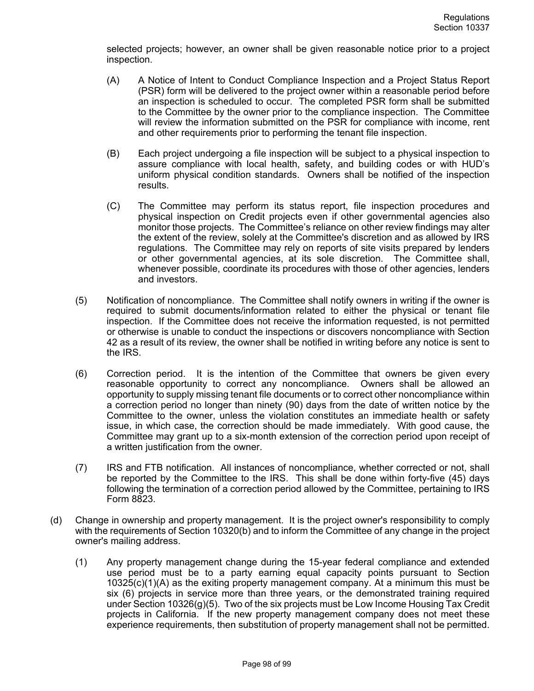selected projects; however, an owner shall be given reasonable notice prior to a project inspection.

- (A) A Notice of Intent to Conduct Compliance Inspection and a Project Status Report (PSR) form will be delivered to the project owner within a reasonable period before an inspection is scheduled to occur. The completed PSR form shall be submitted to the Committee by the owner prior to the compliance inspection. The Committee will review the information submitted on the PSR for compliance with income, rent and other requirements prior to performing the tenant file inspection.
- (B) Each project undergoing a file inspection will be subject to a physical inspection to assure compliance with local health, safety, and building codes or with HUD's uniform physical condition standards. Owners shall be notified of the inspection results.
- (C) The Committee may perform its status report, file inspection procedures and physical inspection on Credit projects even if other governmental agencies also monitor those projects. The Committee's reliance on other review findings may alter the extent of the review, solely at the Committee's discretion and as allowed by IRS regulations. The Committee may rely on reports of site visits prepared by lenders or other governmental agencies, at its sole discretion. The Committee shall, whenever possible, coordinate its procedures with those of other agencies, lenders and investors.
- (5) Notification of noncompliance. The Committee shall notify owners in writing if the owner is required to submit documents/information related to either the physical or tenant file inspection. If the Committee does not receive the information requested, is not permitted or otherwise is unable to conduct the inspections or discovers noncompliance with Section 42 as a result of its review, the owner shall be notified in writing before any notice is sent to the IRS.
- (6) Correction period. It is the intention of the Committee that owners be given every reasonable opportunity to correct any noncompliance. Owners shall be allowed an opportunity to supply missing tenant file documents or to correct other noncompliance within a correction period no longer than ninety (90) days from the date of written notice by the Committee to the owner, unless the violation constitutes an immediate health or safety issue, in which case, the correction should be made immediately. With good cause, the Committee may grant up to a six-month extension of the correction period upon receipt of a written justification from the owner.
- (7) IRS and FTB notification. All instances of noncompliance, whether corrected or not, shall be reported by the Committee to the IRS. This shall be done within forty-five (45) days following the termination of a correction period allowed by the Committee, pertaining to IRS Form 8823.
- (d) Change in ownership and property management. It is the project owner's responsibility to comply with the requirements of Section 10320(b) and to inform the Committee of any change in the project owner's mailing address.
	- (1) Any property management change during the 15-year federal compliance and extended use period must be to a party earning equal capacity points pursuant to Section 10325(c)(1)(A) as the exiting property management company. At a minimum this must be six (6) projects in service more than three years, or the demonstrated training required under Section 10326(g)(5). Two of the six projects must be Low Income Housing Tax Credit projects in California. If the new property management company does not meet these experience requirements, then substitution of property management shall not be permitted.